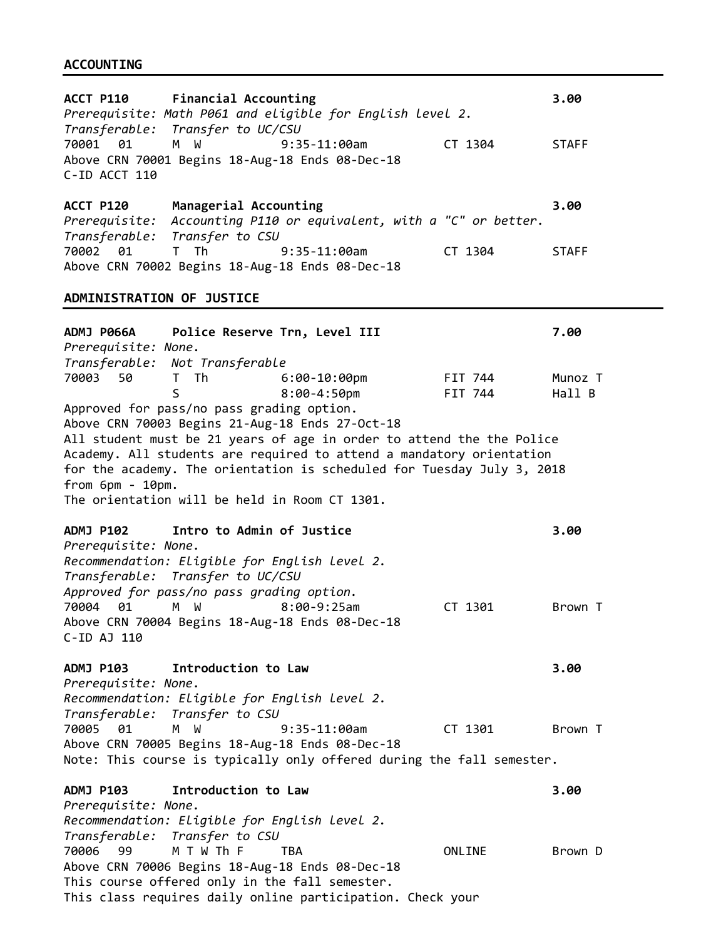#### **ACCOUNTING**

**ACCT P110 Financial Accounting 3.00** *Prerequisite: Math P061 and eligible for English level 2. Transferable: Transfer to UC/CSU* 70001 01 M W 9:35-11:00am CT 1304 STAFF Above CRN 70001 Begins 18-Aug-18 Ends 08-Dec-18 C-ID ACCT 110 **ACCT P120 Managerial Accounting 3.00** *Prerequisite: Accounting P110 or equivalent, with a "C" or better. Transferable: Transfer to CSU* 70002 01 T Th 9:35-11:00am CT 1304 STAFF Above CRN 70002 Begins 18-Aug-18 Ends 08-Dec-18 **ADMINISTRATION OF JUSTICE ADMJ P066A Police Reserve Trn, Level III 7.00** *Prerequisite: None. Transferable: Not Transferable* 70003 50 T Th 6:00-10:00pm FIT 744 Munoz T S 8:00-4:50pm FIT 744 Hall B Approved for pass/no pass grading option. Above CRN 70003 Begins 21-Aug-18 Ends 27-Oct-18 All student must be 21 years of age in order to attend the the Police Academy. All students are required to attend a mandatory orientation for the academy. The orientation is scheduled for Tuesday July 3, 2018 from 6pm - 10pm. The orientation will be held in Room CT 1301. **ADMJ P102 Intro to Admin of Justice 3.00** *Prerequisite: None. Recommendation: Eligible for English level 2. Transferable: Transfer to UC/CSU Approved for pass/no pass grading option.* 70004 01 M W 8:00-9:25am CT 1301 Brown T Above CRN 70004 Begins 18-Aug-18 Ends 08-Dec-18 C-ID AJ 110 **ADMJ P103 Introduction to Law 3.00** *Prerequisite: None. Recommendation: Eligible for English level 2. Transferable: Transfer to CSU* 70005 01 M W 9:35-11:00am CT 1301 Brown T Above CRN 70005 Begins 18-Aug-18 Ends 08-Dec-18 Note: This course is typically only offered during the fall semester. **ADMJ P103 Introduction to Law 3.00** *Prerequisite: None. Recommendation: Eligible for English level 2. Transferable: Transfer to CSU* 70006 99 M T W Th F TBA ONLINE Brown D Above CRN 70006 Begins 18-Aug-18 Ends 08-Dec-18 This course offered only in the fall semester.

This class requires daily online participation. Check your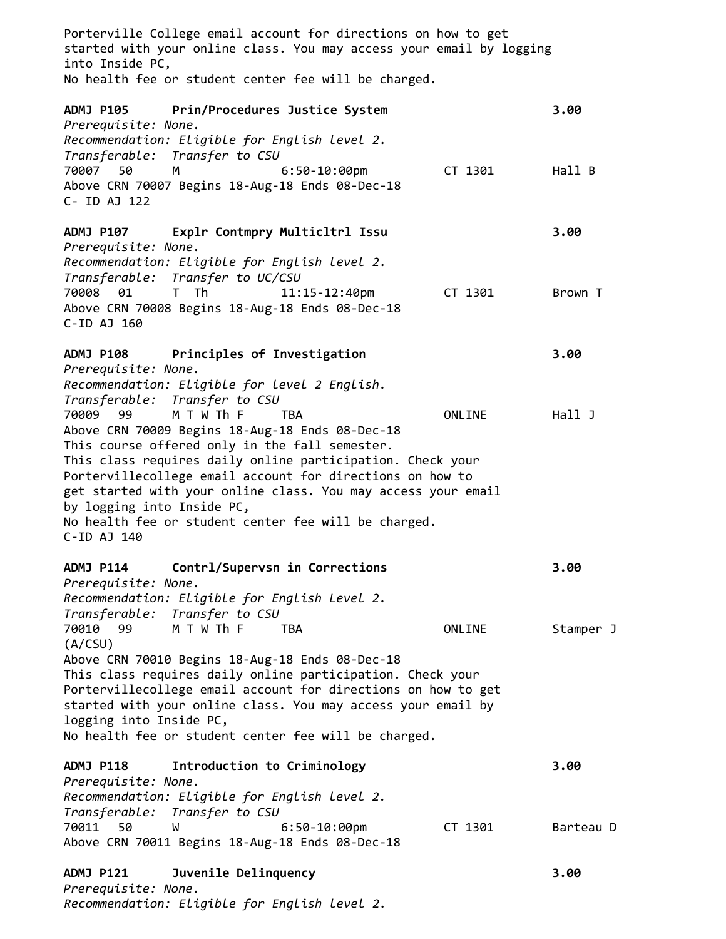Porterville College email account for directions on how to get started with your online class. You may access your email by logging into Inside PC, No health fee or student center fee will be charged.

**ADMJ P105 Prin/Procedures Justice System 3.00** *Prerequisite: None. Recommendation: Eligible for English level 2. Transferable: Transfer to CSU* 70007 50 M 6:50-10:00pm CT 1301 Hall B Above CRN 70007 Begins 18-Aug-18 Ends 08-Dec-18 C- ID AJ 122 **ADMJ P107 Explr Contmpry Multicltrl Issu 3.00** *Prerequisite: None. Recommendation: Eligible for English level 2. Transferable: Transfer to UC/CSU* 70008 01 T Th 11:15-12:40pm CT 1301 Brown T Above CRN 70008 Begins 18-Aug-18 Ends 08-Dec-18 C-ID AJ 160 **ADMJ P108 Principles of Investigation 3.00** *Prerequisite: None. Recommendation: Eligible for level 2 English. Transferable: Transfer to CSU* 70009 99 M T W Th F TBA ONLINE Hall J Above CRN 70009 Begins 18-Aug-18 Ends 08-Dec-18 This course offered only in the fall semester. This class requires daily online participation. Check your Portervillecollege email account for directions on how to get started with your online class. You may access your email by logging into Inside PC, No health fee or student center fee will be charged. C-ID AJ 140 **ADMJ P114 Contrl/Supervsn in Corrections 3.00** *Prerequisite: None. Recommendation: Eligible for English Level 2. Transferable: Transfer to CSU* 70010 99 M T W Th F TBA **ONLINE** Stamper J (A/CSU) Above CRN 70010 Begins 18-Aug-18 Ends 08-Dec-18 This class requires daily online participation. Check your Portervillecollege email account for directions on how to get started with your online class. You may access your email by logging into Inside PC, No health fee or student center fee will be charged. **ADMJ P118 Introduction to Criminology 3.00** *Prerequisite: None. Recommendation: Eligible for English level 2. Transferable: Transfer to CSU* 70011 50 W 6:50-10:00pm CT 1301 Barteau D Above CRN 70011 Begins 18-Aug-18 Ends 08-Dec-18

**ADMJ P121 Juvenile Delinquency 3.00** *Prerequisite: None. Recommendation: Eligible for English level 2.*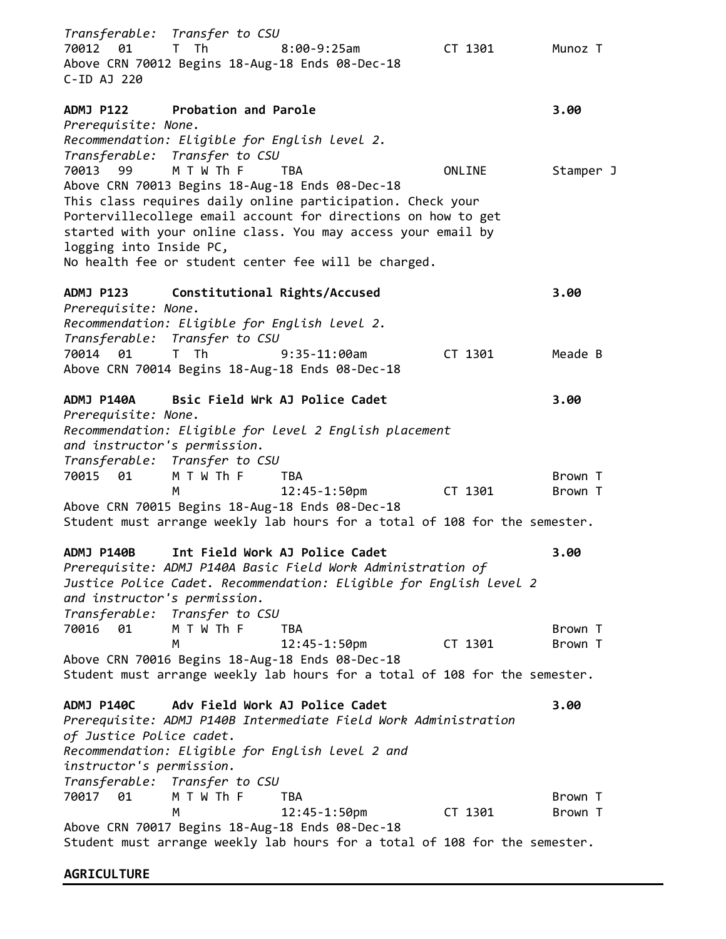*Transferable: Transfer to CSU* 70012 01 T Th 8:00-9:25am CT 1301 Munoz T Above CRN 70012 Begins 18-Aug-18 Ends 08-Dec-18 C-ID AJ 220 **ADMJ P122 Probation and Parole 3.00** *Prerequisite: None. Recommendation: Eligible for English level 2. Transferable: Transfer to CSU* 70013 99 M T W Th F TBA **ONLINE** Stamper J Above CRN 70013 Begins 18-Aug-18 Ends 08-Dec-18 This class requires daily online participation. Check your Portervillecollege email account for directions on how to get started with your online class. You may access your email by logging into Inside PC, No health fee or student center fee will be charged. **ADMJ P123 Constitutional Rights/Accused 3.00** *Prerequisite: None. Recommendation: Eligible for English level 2. Transferable: Transfer to CSU* 70014 01 T Th 9:35-11:00am CT 1301 Meade B Above CRN 70014 Begins 18-Aug-18 Ends 08-Dec-18 **ADMJ P140A Bsic Field Wrk AJ Police Cadet 3.00** *Prerequisite: None. Recommendation: Eligible for level 2 English placement and instructor's permission. Transferable: Transfer to CSU* 70015 01 M T W Th F TBA Brown T M 12:45-1:50pm CT 1301 Brown T Above CRN 70015 Begins 18-Aug-18 Ends 08-Dec-18 Student must arrange weekly lab hours for a total of 108 for the semester. **ADMJ P140B Int Field Work AJ Police Cadet 3.00** *Prerequisite: ADMJ P140A Basic Field Work Administration of Justice Police Cadet. Recommendation: Eligible for English level 2 and instructor's permission. Transferable: Transfer to CSU* 70016 01 M T W Th F TBA Brown T 12:45-1:50pm CT 1301 Brown T Above CRN 70016 Begins 18-Aug-18 Ends 08-Dec-18 Student must arrange weekly lab hours for a total of 108 for the semester. **ADMJ P140C Adv Field Work AJ Police Cadet 3.00** *Prerequisite: ADMJ P140B Intermediate Field Work Administration of Justice Police cadet. Recommendation: Eligible for English level 2 and instructor's permission. Transferable: Transfer to CSU* 70017 01 M T W Th F TBA Brown T M 12:45-1:50pm CT 1301 Brown T Above CRN 70017 Begins 18-Aug-18 Ends 08-Dec-18 Student must arrange weekly lab hours for a total of 108 for the semester.

**AGRICULTURE**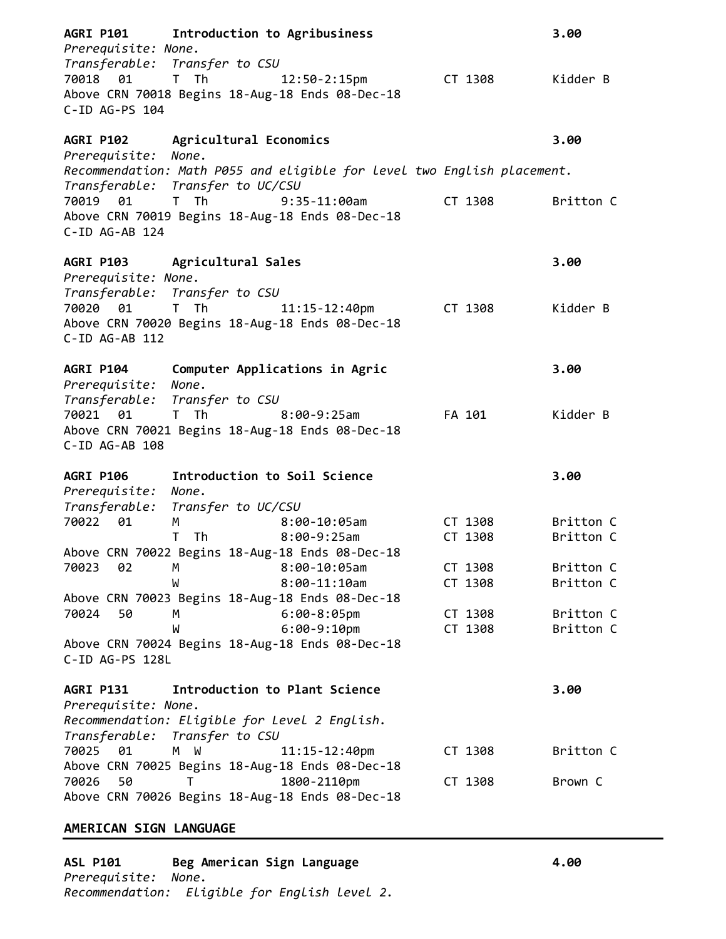| Prerequisite: None.        | AGRI P101 Introduction to Agribusiness<br>Transferable: Transfer to CSU                                                                                                                                                        |                                                                         |         | 3.00      |
|----------------------------|--------------------------------------------------------------------------------------------------------------------------------------------------------------------------------------------------------------------------------|-------------------------------------------------------------------------|---------|-----------|
| 70018 01<br>C-ID AG-PS 104 | T The Theory of The Theory of The Theory and The Theory and The Theory and The Theory and The Theory and The T                                                                                                                 | 12:50-2:15pm CT 1308<br>Above CRN 70018 Begins 18-Aug-18 Ends 08-Dec-18 |         | Kidder B  |
| Prerequisite: None.        | AGRI P102 Agricultural Economics                                                                                                                                                                                               |                                                                         |         | 3.00      |
|                            |                                                                                                                                                                                                                                | Recommendation: Math P055 and eligible for level two English placement. |         |           |
| 70019 01<br>C-ID AG-AB 124 | Transferable: Transfer to UC/CSU<br>T Th 9:35-11:00am                                                                                                                                                                          | Above CRN 70019 Begins 18-Aug-18 Ends 08-Dec-18                         | CT 1308 | Britton C |
| Prerequisite: None.        | AGRI P103 Agricultural Sales                                                                                                                                                                                                   |                                                                         |         | 3.00      |
|                            | Transferable: Transfer to CSU                                                                                                                                                                                                  |                                                                         |         |           |
| 70020 01<br>C-ID AG-AB 112 | T The Contract of the Contract of the Contract of the Contract of the Contract of the Contract of the Contract of the Contract of the Contract of the Contract of the Contract of the Contract of the Contract of the Contract | 11:15-12:40pm<br>Above CRN 70020 Begins 18-Aug-18 Ends 08-Dec-18        | CT 1308 | Kidder B  |
| AGRI P104                  |                                                                                                                                                                                                                                | Computer Applications in Agric                                          |         | 3.00      |
| Prerequisite: None.        | Transferable: Transfer to CSU                                                                                                                                                                                                  |                                                                         |         |           |
| 70021 01                   | T Th                                                                                                                                                                                                                           | $8:00-9:25$ am                                                          | FA 101  | Kidder B  |
| C-ID AG-AB 108             |                                                                                                                                                                                                                                | Above CRN 70021 Begins 18-Aug-18 Ends 08-Dec-18                         |         |           |
| AGRI P106                  | Introduction to Soil Science                                                                                                                                                                                                   |                                                                         |         | 3.00      |
| Prerequisite: None.        |                                                                                                                                                                                                                                |                                                                         |         |           |
|                            | Transferable: Transfer to UC/CSU                                                                                                                                                                                               |                                                                         |         |           |
| 70022<br>01                | M                                                                                                                                                                                                                              | 8:00-10:05am                                                            | CT 1308 | Britton C |
|                            |                                                                                                                                                                                                                                | T Th 8:00-9:25am<br>Above CRN 70022 Begins 18-Aug-18 Ends 08-Dec-18     | CT 1308 | Britton C |
| 02<br>70023                | M                                                                                                                                                                                                                              | $8:00-10:05am$                                                          | CT 1308 | Britton C |
|                            | W                                                                                                                                                                                                                              | $8:00-11:10am$                                                          | CT 1308 | Britton C |
|                            |                                                                                                                                                                                                                                | Above CRN 70023 Begins 18-Aug-18 Ends 08-Dec-18                         |         |           |
| 70024<br>50                | М                                                                                                                                                                                                                              | $6:00-8:05$ pm                                                          | CT 1308 | Britton C |
|                            | W                                                                                                                                                                                                                              | $6:00-9:10$ pm                                                          | CT 1308 | Britton C |
| C-ID AG-PS 128L            |                                                                                                                                                                                                                                | Above CRN 70024 Begins 18-Aug-18 Ends 08-Dec-18                         |         |           |
| <b>AGRI P131</b>           | Introduction to Plant Science                                                                                                                                                                                                  |                                                                         |         | 3.00      |
| Prerequisite: None.        | Recommendation: Eligible for Level 2 English.<br>Transferable: Transfer to CSU                                                                                                                                                 |                                                                         |         |           |
| 70025 01                   | M <sub>1</sub><br>W                                                                                                                                                                                                            | $11:15 - 12:40$ pm<br>Above CRN 70025 Begins 18-Aug-18 Ends 08-Dec-18   | CT 1308 | Britton C |
| 50<br>70026                | T.                                                                                                                                                                                                                             | 1800-2110pm<br>Above CRN 70026 Begins 18-Aug-18 Ends 08-Dec-18          | CT 1308 | Brown C   |

# **AMERICAN SIGN LANGUAGE**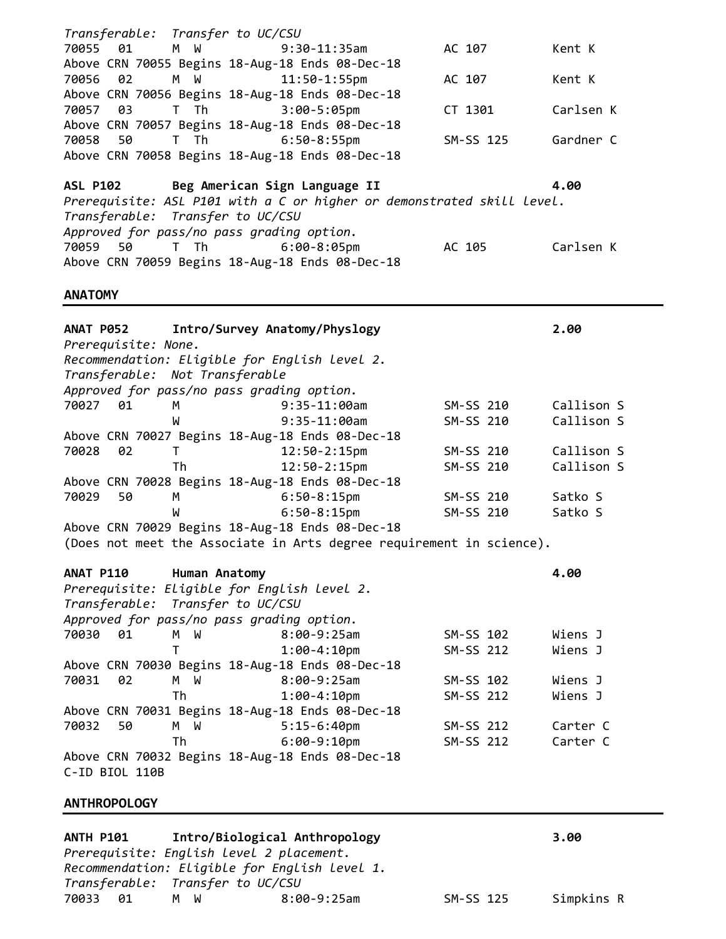| Transferable: Transfer to UC/CSU                                                                           |            |
|------------------------------------------------------------------------------------------------------------|------------|
| 01<br>M W<br>70055<br>$9:30-11:35am$<br>AC 107                                                             | Kent K     |
| Above CRN 70055 Begins 18-Aug-18 Ends 08-Dec-18                                                            |            |
| 70056<br>02<br>M W<br>$11:50 - 1:55$ pm<br>AC 107                                                          | Kent K     |
| Above CRN 70056 Begins 18-Aug-18 Ends 08-Dec-18                                                            |            |
| 70057<br>03<br>T Th<br>$3:00 - 5:05$ pm<br>CT 1301                                                         | Carlsen K  |
| Above CRN 70057 Begins 18-Aug-18 Ends 08-Dec-18                                                            |            |
| 70058<br>50<br>T Th<br>$6:50-8:55pm$<br>SM-SS 125                                                          | Gardner C  |
| Above CRN 70058 Begins 18-Aug-18 Ends 08-Dec-18                                                            |            |
|                                                                                                            |            |
| Beg American Sign Language II<br><b>ASL P102</b>                                                           | 4.00       |
| Prerequisite: ASL P101 with a C or higher or demonstrated skill level.<br>Transferable: Transfer to UC/CSU |            |
| Approved for pass/no pass grading option.                                                                  |            |
| T Th<br>50<br>$6:00-8:05$ pm<br>AC 105<br>70059                                                            | Carlsen K  |
| Above CRN 70059 Begins 18-Aug-18 Ends 08-Dec-18                                                            |            |
|                                                                                                            |            |
| <b>ANATOMY</b>                                                                                             |            |
| <b>ANAT P052</b><br>Intro/Survey Anatomy/Physlogy                                                          | 2.00       |
| Prerequisite: None.                                                                                        |            |
| Recommendation: Eligible for English level 2.                                                              |            |
| Transferable: Not Transferable                                                                             |            |
| Approved for pass/no pass grading option.                                                                  |            |
| 70027<br>01<br>$9:35-11:00am$<br>SM-SS 210<br>М                                                            | Callison S |
| $9:35-11:00am$<br>SM-SS 210<br>W                                                                           | Callison S |
| Above CRN 70027 Begins 18-Aug-18 Ends 08-Dec-18                                                            |            |
| 02<br>$12:50-2:15pm$<br>70028<br>T.<br>SM-SS 210                                                           | Callison S |
| Th<br>$12:50-2:15$ pm<br>SM-SS 210                                                                         | Callison S |
| Above CRN 70028 Begins 18-Aug-18 Ends 08-Dec-18<br>$6:50-8:15$ pm<br>70029<br>50<br>SM-SS 210<br>М         | Satko S    |
| W<br>$6:50-8:15$ pm<br>SM-SS 210                                                                           | Satko S    |
| Above CRN 70029 Begins 18-Aug-18 Ends 08-Dec-18                                                            |            |
| (Does not meet the Associate in Arts degree requirement in science).                                       |            |
|                                                                                                            |            |
| ANAT P110<br>Human Anatomy                                                                                 | 4.00       |
| Prerequisite: Eligible for English level 2.                                                                |            |
| Transferable: Transfer to UC/CSU                                                                           |            |
| Approved for pass/no pass grading option.                                                                  |            |
| 70030<br>01<br>M<br>W<br>$8:00-9:25am$<br>SM-SS 102                                                        | Wiens J    |
| т<br>$1:00 - 4:10$ pm<br>SM-SS 212<br>Above CRN 70030 Begins 18-Aug-18 Ends 08-Dec-18                      | Wiens J    |
| 70031<br>02<br>M W<br>$8:00-9:25am$<br>SM-SS 102                                                           | Wiens J    |
| Th<br>$1:00 - 4:10$ pm<br>SM-SS 212                                                                        | Wiens J    |
| Above CRN 70031 Begins 18-Aug-18 Ends 08-Dec-18                                                            |            |
| 50<br>$5:15-6:40$ pm<br>70032<br>M W<br>SM-SS 212                                                          | Carter C   |
| Th<br>$6:00-9:10$ pm<br>SM-SS 212                                                                          | Carter C   |
| Above CRN 70032 Begins 18-Aug-18 Ends 08-Dec-18                                                            |            |
| C-ID BIOL 110B                                                                                             |            |
| <b>ANTHROPOLOGY</b>                                                                                        |            |

**ANTH P101 Intro/Biological Anthropology 3.00**  *Prerequisite: English level 2 placement. Recommendation: Eligible for English level 1. Transferable: Transfer to UC/CSU*

8:00-9:25am SM-SS 125 Simpkins R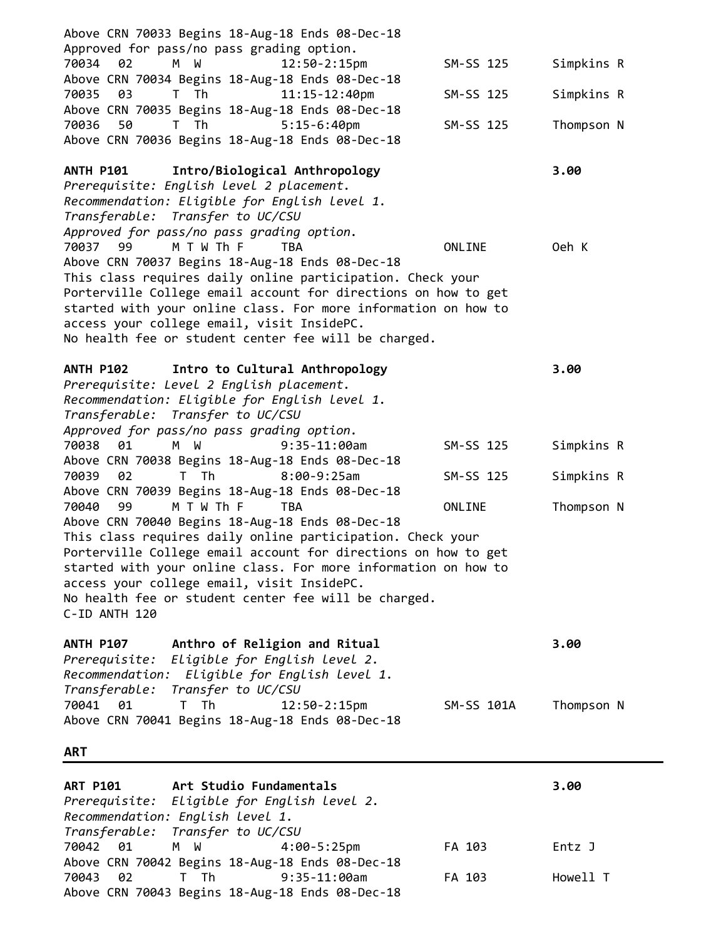| <b>ART P101</b><br>Art Studio Fundamentals                                                                                                                                                                                                                                                                                                                               | 3.00                     |
|--------------------------------------------------------------------------------------------------------------------------------------------------------------------------------------------------------------------------------------------------------------------------------------------------------------------------------------------------------------------------|--------------------------|
| <b>ART</b>                                                                                                                                                                                                                                                                                                                                                               |                          |
| ANTH P107 Anthro of Religion and Ritual<br>Prerequisite: Eligible for English level 2.<br>Recommendation: Eligible for English level 1.<br>Transferable: Transfer to UC/CSU<br>70041 01 T Th<br>$12:50 - 2:15$ pm<br>SM-SS 101A<br>Above CRN 70041 Begins 18-Aug-18 Ends 08-Dec-18                                                                                       | 3.00<br>Thompson N       |
| Above CRN 70040 Begins 18-Aug-18 Ends 08-Dec-18<br>This class requires daily online participation. Check your<br>Porterville College email account for directions on how to get<br>started with your online class. For more information on how to<br>access your college email, visit InsidePC.<br>No health fee or student center fee will be charged.<br>C-ID ANTH 120 |                          |
| 70039<br>02<br>T Th<br>$8:00-9:25am$<br>SM-SS 125<br>Above CRN 70039 Begins 18-Aug-18 Ends 08-Dec-18<br>70040<br>M T W Th F<br>99<br><b>TBA</b><br>ONLINE                                                                                                                                                                                                                | Simpkins R<br>Thompson N |
| Recommendation: Eligible for English level 1.<br>Transferable: Transfer to UC/CSU<br>Approved for pass/no pass grading option.<br>70038<br>M W<br>SM-SS 125<br>01<br>$9:35-11:00am$<br>Above CRN 70038 Begins 18-Aug-18 Ends 08-Dec-18                                                                                                                                   | Simpkins R               |
| Intro to Cultural Anthropology<br><b>ANTH P102</b><br>Prerequisite: Level 2 English placement.                                                                                                                                                                                                                                                                           | 3.00                     |
| This class requires daily online participation. Check your<br>Porterville College email account for directions on how to get<br>started with your online class. For more information on how to<br>access your college email, visit InsidePC.<br>No health fee or student center fee will be charged.                                                                     |                          |
| Prerequisite: English Level 2 placement.<br>Recommendation: Eligible for English level 1.<br>Transferable: Transfer to UC/CSU<br>Approved for pass/no pass grading option.<br>M T W Th F<br>70037<br>99<br><b>TBA</b><br>ONLINE<br>Above CRN 70037 Begins 18-Aug-18 Ends 08-Dec-18                                                                                       | Oeh K                    |
| <b>ANTH P101</b><br>Intro/Biological Anthropology                                                                                                                                                                                                                                                                                                                        | 3.00                     |
| Above CRN 70035 Begins 18-Aug-18 Ends 08-Dec-18<br>70036<br>50<br>T Th<br>$5:15-6:40$ pm<br>SM-SS 125<br>Above CRN 70036 Begins 18-Aug-18 Ends 08-Dec-18                                                                                                                                                                                                                 | Thompson N               |
| Above CRN 70034 Begins 18-Aug-18 Ends 08-Dec-18<br>11:15-12:40pm<br>SM-SS 125<br>70035<br>03<br>T Th                                                                                                                                                                                                                                                                     | Simpkins R               |
| Above CRN 70033 Begins 18-Aug-18 Ends 08-Dec-18<br>Approved for pass/no pass grading option.<br>02<br>M W<br>12:50-2:15pm<br>70034<br>SM-SS 125                                                                                                                                                                                                                          | Simpkins R               |

| Prerequisite: Eligible for English level 2. |                                                 |        |          |
|---------------------------------------------|-------------------------------------------------|--------|----------|
| Recommendation: English Level 1.            |                                                 |        |          |
| Transferable: Transfer to UC/CSU            |                                                 |        |          |
| 70042 01 M W 4:00-5:25pm                    |                                                 | FA 103 | Entz J   |
|                                             | Above CRN 70042 Begins 18-Aug-18 Ends 08-Dec-18 |        |          |
|                                             |                                                 | FA 103 | Howell T |
|                                             | Above CRN 70043 Begins 18-Aug-18 Ends 08-Dec-18 |        |          |
|                                             |                                                 |        |          |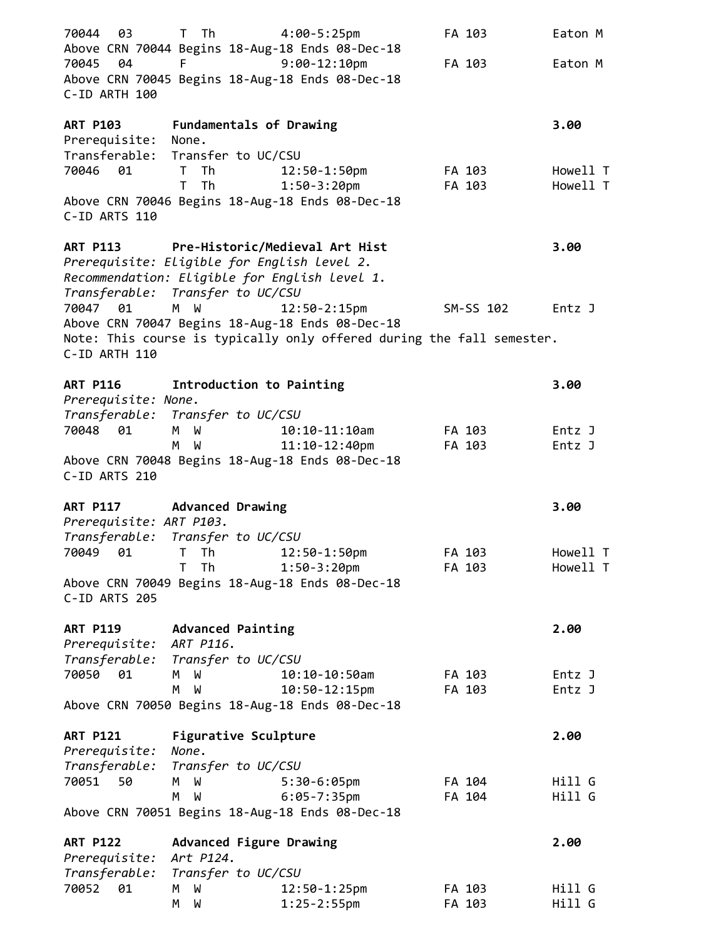| 03<br>70044                      | T Th                                                           | $4:00-5:25$ pm<br>Above CRN 70044 Begins 18-Aug-18 Ends 08-Dec-18     | FA 103           | Eaton M          |
|----------------------------------|----------------------------------------------------------------|-----------------------------------------------------------------------|------------------|------------------|
| 70045<br>- 04<br>C-ID ARTH 100   | F. Co                                                          | $9:00-12:10$ pm<br>Above CRN 70045 Begins 18-Aug-18 Ends 08-Dec-18    | FA 103           | Eaton M          |
|                                  |                                                                |                                                                       |                  |                  |
| <b>ART P103</b><br>Prerequisite: | Fundamentals of Drawing<br>None.                               |                                                                       |                  | 3.00             |
|                                  | Transferable: Transfer to UC/CSU                               |                                                                       |                  |                  |
| 70046 01                         | T Th                                                           | 12:50-1:50pm                                                          | FA 103           | Howell T         |
|                                  | T.<br>Th                                                       | $1:50-3:20$ pm                                                        | FA 103           | Howell T         |
| C-ID ARTS 110                    |                                                                | Above CRN 70046 Begins 18-Aug-18 Ends 08-Dec-18                       |                  |                  |
| <b>ART P113</b>                  |                                                                | Pre-Historic/Medieval Art Hist                                        |                  | 3.00             |
|                                  | Prerequisite: Eligible for English level 2.                    |                                                                       |                  |                  |
|                                  | Recommendation: Eligible for English level 1.                  |                                                                       |                  |                  |
| 70047 01                         | Transferable: Transfer to UC/CSU<br>M W                        | 12:50-2:15pm                                                          | SM-SS 102        | Entz J           |
|                                  |                                                                | Above CRN 70047 Begins 18-Aug-18 Ends 08-Dec-18                       |                  |                  |
|                                  |                                                                | Note: This course is typically only offered during the fall semester. |                  |                  |
| C-ID ARTH 110                    |                                                                |                                                                       |                  |                  |
| <b>ART P116</b>                  | Introduction to Painting                                       |                                                                       |                  | 3.00             |
| Prerequisite: None.              |                                                                |                                                                       |                  |                  |
|                                  | Transferable: Transfer to UC/CSU                               |                                                                       |                  |                  |
| 70048 01                         | M W                                                            | $10:10-11:10$ am                                                      | FA 103           | Entz J           |
|                                  | M<br>W                                                         | $11:10-12:40$ pm                                                      | FA 103           | Entz J           |
| C-ID ARTS 210                    |                                                                | Above CRN 70048 Begins 18-Aug-18 Ends 08-Dec-18                       |                  |                  |
|                                  | ART P117 Advanced Drawing                                      |                                                                       |                  | 3.00             |
| Prerequisite: ART P103.          |                                                                |                                                                       |                  |                  |
|                                  | Transferable: Transfer to UC/CSU<br>70049 01 T Th 12:50-1:50pm |                                                                       | FA 103           | Howell T         |
|                                  | T Th                                                           | $1:50-3:20$ pm                                                        | FA 103           | Howell T         |
|                                  |                                                                | Above CRN 70049 Begins 18-Aug-18 Ends 08-Dec-18                       |                  |                  |
| C-ID ARTS 205                    |                                                                |                                                                       |                  |                  |
| <b>ART P119</b>                  | <b>Advanced Painting</b>                                       |                                                                       |                  | 2.00             |
| Prerequisite: ART P116.          |                                                                |                                                                       |                  |                  |
|                                  | Transferable: Transfer to UC/CSU                               |                                                                       |                  |                  |
| 70050 01                         | M W<br>M                                                       | $10:10-10:50$ am                                                      | FA 103           | Entz J           |
|                                  | <b>M</b>                                                       | 10:50-12:15pm<br>Above CRN 70050 Begins 18-Aug-18 Ends 08-Dec-18      | FA 103           | Entz J           |
| <b>ART P121</b>                  | <b>Figurative Sculpture</b>                                    |                                                                       |                  | 2.00             |
| Prerequisite:                    | None.                                                          |                                                                       |                  |                  |
|                                  | Transferable: Transfer to UC/CSU                               |                                                                       |                  |                  |
| 70051<br>50                      | M W                                                            | $5:30-6:05$ pm                                                        | FA 104           | Hill G           |
|                                  | M W                                                            | $6:05 - 7:35$ pm<br>Above CRN 70051 Begins 18-Aug-18 Ends 08-Dec-18   | FA 104           | Hill G           |
| <b>ART P122</b>                  | Advanced Figure Drawing                                        |                                                                       |                  | 2.00             |
| Prerequisite: Art P124.          |                                                                |                                                                       |                  |                  |
|                                  | Transferable: Transfer to UC/CSU                               |                                                                       |                  |                  |
| 70052<br>01                      | M W<br>M<br>W                                                  | $12:50 - 1:25$ pm<br>$1:25 - 2:55$ pm                                 | FA 103<br>FA 103 | Hill G<br>Hill G |
|                                  |                                                                |                                                                       |                  |                  |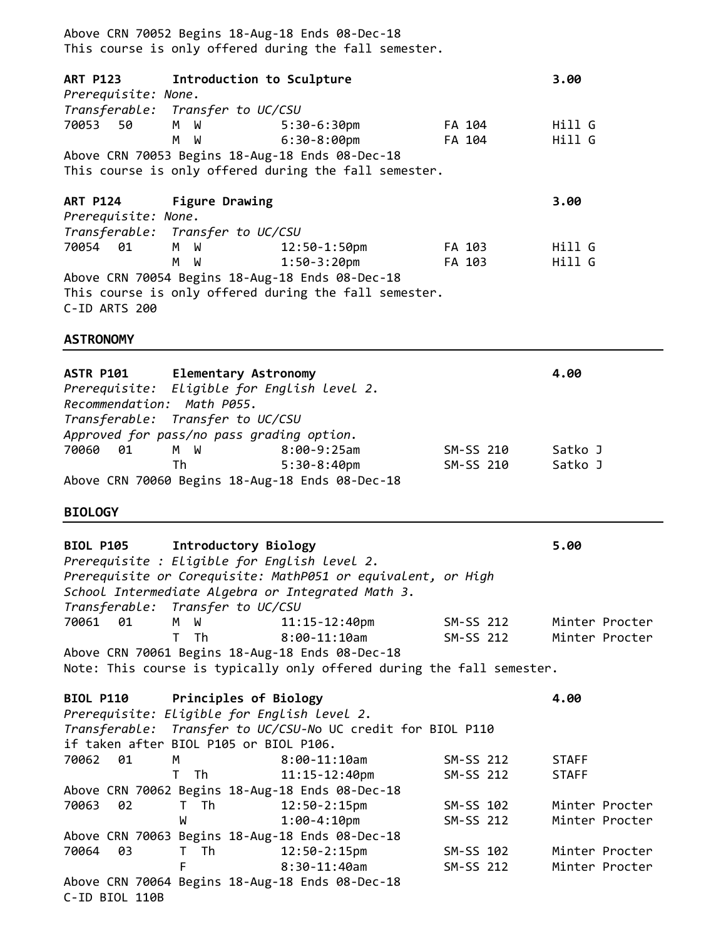Above CRN 70052 Begins 18-Aug-18 Ends 08-Dec-18 This course is only offered during the fall semester. **ART P123 Introduction to Sculpture 3.00** *Prerequisite: None. Transferable: Transfer to UC/CSU* 70053 50 M W 5:30-6:30pm FA 104 Hill G M W 6:30-8:00pm FA 104 Hill G Above CRN 70053 Begins 18-Aug-18 Ends 08-Dec-18 This course is only offered during the fall semester. **ART P124 Figure Drawing 3.00** *Prerequisite: None. Transferable: Transfer to UC/CSU* 70054 01 M W 12:50-1:50pm FA 103 Hill G M W 1:50-3:20pm FA 103 Hill G Above CRN 70054 Begins 18-Aug-18 Ends 08-Dec-18 This course is only offered during the fall semester. C-ID ARTS 200 **ASTRONOMY ASTR P101 Elementary Astronomy 4.00** *Prerequisite: Eligible for English level 2. Recommendation: Math P055. Transferable: Transfer to UC/CSU Approved for pass/no pass grading option.* 70060 01 M W 8:00-9:25am SM-SS 210 Satko J Th 5:30-8:40pm SM-SS 210 Satko J Above CRN 70060 Begins 18-Aug-18 Ends 08-Dec-18 **BIOLOGY BIOL P105 Introductory Biology 5.00**  *Prerequisite : Eligible for English level 2. Prerequisite or Corequisite: MathP051 or equivalent, or High School Intermediate Algebra or Integrated Math 3. Transferable: Transfer to UC/CSU* 70061 01 M W 11:15-12:40pm SM-SS 212 Minter Procter T Th 8:00-11:10am SM-SS 212 Minter Procter Above CRN 70061 Begins 18-Aug-18 Ends 08-Dec-18 Note: This course is typically only offered during the fall semester. **BIOL P110 Principles of Biology 4.00** *Prerequisite: Eligible for English level 2. Transferable: Transfer to UC/CSU-N*o UC credit for BIOL P110 if taken after BIOL P105 or BIOL P106. 70062 01 M 8:00-11:10am SM-SS 212 STAFF T Th 11:15-12:40pm SM-SS 212 STAFF Above CRN 70062 Begins 18-Aug-18 Ends 08-Dec-18 70063 02 T Th 12:50-2:15pm SM-SS 102 Minter Procter W 1:00-4:10pm SM-SS 212 Minter Procter Above CRN 70063 Begins 18-Aug-18 Ends 08-Dec-18 70064 03 T Th 12:50-2:15pm SM-SS 102 Minter Procter F 8:30-11:40am SM-SS 212 Minter Procter Above CRN 70064 Begins 18-Aug-18 Ends 08-Dec-18 C-ID BIOL 110B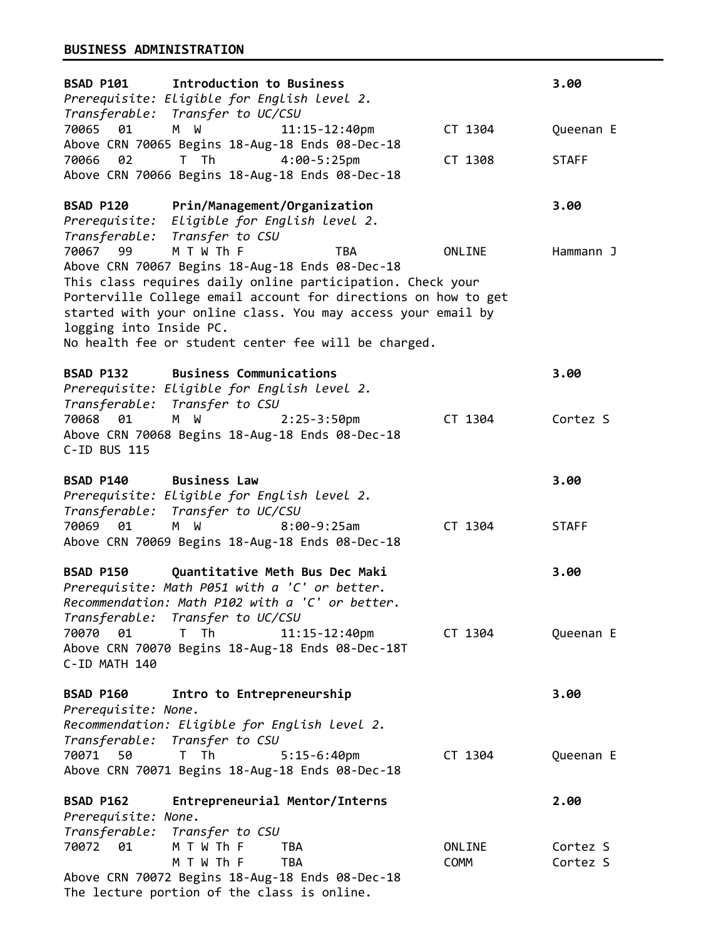# **BUSINESS ADMINISTRATION**

| BSAD P101 Introduction to Business<br>Prerequisite: Eligible for English level 2.                                                                                                                                                                                                                                                                                                             |                                |                       | 3.00                 |
|-----------------------------------------------------------------------------------------------------------------------------------------------------------------------------------------------------------------------------------------------------------------------------------------------------------------------------------------------------------------------------------------------|--------------------------------|-----------------------|----------------------|
| Transferable: Transfer to UC/CSU<br>70065 01<br>M W                                                                                                                                                                                                                                                                                                                                           | $11:15 - 12:40$ pm             | CT 1304               | Queenan E            |
| Above CRN 70065 Begins 18-Aug-18 Ends 08-Dec-18<br>T Th<br>70066<br>02<br>Above CRN 70066 Begins 18-Aug-18 Ends 08-Dec-18                                                                                                                                                                                                                                                                     | $4:00-5:25 \text{pm}$          | CT 1308               | <b>STAFF</b>         |
| BSAD P120<br>Prerequisite: Eligible for English level 2.                                                                                                                                                                                                                                                                                                                                      | Prin/Management/Organization   |                       | 3.00                 |
| Transferable: Transfer to CSU<br>M T W Th F<br>70067 99<br>Above CRN 70067 Begins 18-Aug-18 Ends 08-Dec-18<br>This class requires daily online participation. Check your<br>Porterville College email account for directions on how to get<br>started with your online class. You may access your email by<br>logging into Inside PC.<br>No health fee or student center fee will be charged. | <b>TBA</b>                     | ONLINE                | Hammann J            |
| BSAD P132 Business Communications<br>Prerequisite: Eligible for English level 2.<br>Transferable: Transfer to CSU                                                                                                                                                                                                                                                                             |                                |                       | 3.00                 |
| 70068 01<br>M W<br>Above CRN 70068 Begins 18-Aug-18 Ends 08-Dec-18<br>C-ID BUS 115                                                                                                                                                                                                                                                                                                            | $2:25-3:50$ pm                 | CT 1304               | Cortez S             |
| <b>Business Law</b><br><b>BSAD P140</b><br>Prerequisite: Eligible for English level 2.<br>Transferable: Transfer to UC/CSU                                                                                                                                                                                                                                                                    |                                |                       | 3.00                 |
| 70069<br>01<br>M W<br>Above CRN 70069 Begins 18-Aug-18 Ends 08-Dec-18                                                                                                                                                                                                                                                                                                                         | $8:00-9:25am$                  | CT 1304               | <b>STAFF</b>         |
| <b>BSAD P150</b><br>Prerequisite: Math P051 with a 'C' or better.<br>Recommendation: Math P102 with a 'C' or better.<br>Transferable: Transfer to UC/CSU                                                                                                                                                                                                                                      | Quantitative Meth Bus Dec Maki |                       | 3.00                 |
| 70070<br>01<br>T Th<br>Above CRN 70070 Begins 18-Aug-18 Ends 08-Dec-18T<br>C-ID MATH 140                                                                                                                                                                                                                                                                                                      | $11:15 - 12:40$ pm             | CT 1304               | Queenan E            |
| <b>BSAD P160</b><br>Prerequisite: None.<br>Recommendation: Eligible for English level 2.<br>Transferable: Transfer to CSU                                                                                                                                                                                                                                                                     | Intro to Entrepreneurship      |                       | 3.00                 |
| 70071<br>50<br>T Th<br>Above CRN 70071 Begins 18-Aug-18 Ends 08-Dec-18                                                                                                                                                                                                                                                                                                                        | $5:15-6:40$ pm                 | CT 1304               | Queenan E            |
| <b>BSAD P162</b><br>Prerequisite: None.<br>Transferable:<br>Transfer to CSU                                                                                                                                                                                                                                                                                                                   | Entrepreneurial Mentor/Interns |                       | 2.00                 |
| 70072 01<br>M T W Th F<br>M T W Th F<br>Above CRN 70072 Begins 18-Aug-18 Ends 08-Dec-18                                                                                                                                                                                                                                                                                                       | TBA<br>TBA                     | ONLINE<br><b>COMM</b> | Cortez S<br>Cortez S |
| The lecture portion of the class is online.                                                                                                                                                                                                                                                                                                                                                   |                                |                       |                      |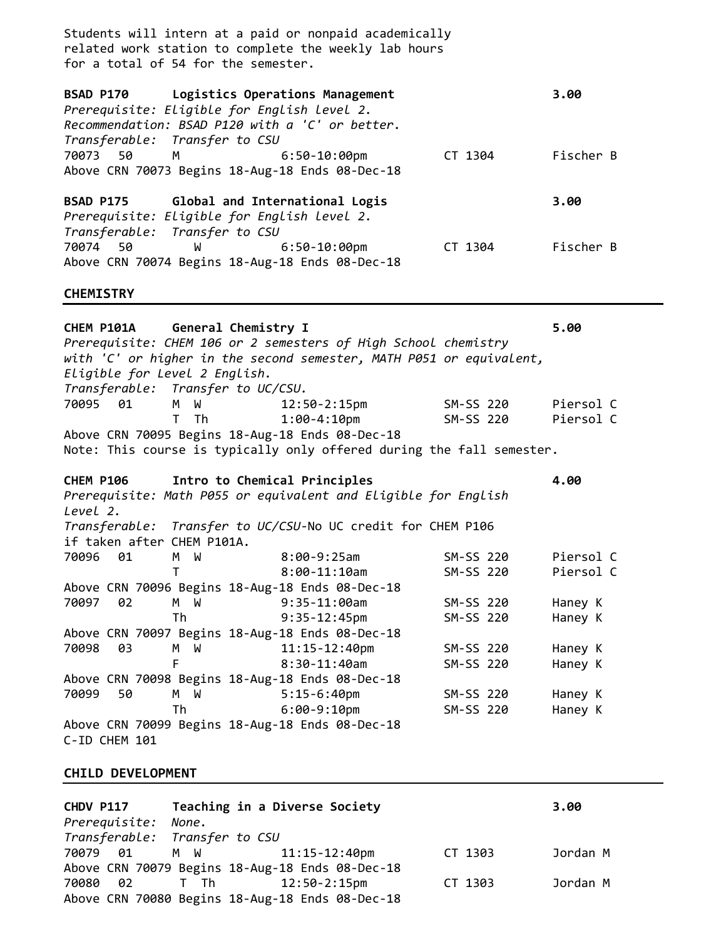Students will intern at a paid or nonpaid academically related work station to complete the weekly lab hours for a total of 54 for the semester. **BSAD P170 Logistics Operations Management 3.00** *Prerequisite: Eligible for English level 2. Recommendation: BSAD P120 with a 'C' or better. Transferable: Transfer to CSU* 70073 50 M 6:50-10:00pm CT 1304 Fischer B Above CRN 70073 Begins 18-Aug-18 Ends 08-Dec-18 **BSAD P175 Global and International Logis 3.00** *Prerequisite: Eligible for English level 2. Transferable: Transfer to CSU* 70074 50 W 6:50-10:00pm CT 1304 Fischer B Above CRN 70074 Begins 18-Aug-18 Ends 08-Dec-18

#### **CHEMISTRY**

**CHEM P101A General Chemistry I 5.00**  *Prerequisite: CHEM 106 or 2 semesters of High School chemistry with 'C' or higher in the second semester, MATH P051 or equivalent, Eligible for Level 2 English. Transferable: Transfer to UC/CSU.*  70095 01 M W 12:50-2:15pm SM-SS 220 Piersol C T Th 1:00-4:10pm SM-SS 220 Piersol C Above CRN 70095 Begins 18-Aug-18 Ends 08-Dec-18 Note: This course is typically only offered during the fall semester. **CHEM P106 Intro to Chemical Principles 4.00**  *Prerequisite: Math P055 or equivalent and Eligible for English Level 2. Transferable: Transfer to UC/CSU-*No UC credit for CHEM P106 if taken after CHEM P101A. 70096 01 M W 8:00-9:25am SM-SS 220 Piersol C T 8:00-11:10am SM-SS 220 Piersol C Above CRN 70096 Begins 18-Aug-18 Ends 08-Dec-18 70097 02 M W 9:35-11:00am SM-SS 220 Haney K Th 9:35-12:45pm SM-SS 220 Haney K Above CRN 70097 Begins 18-Aug-18 Ends 08-Dec-18 70098 03 M W 11:15-12:40pm SM-SS 220 Haney K F 8:30-11:40am SM-SS 220 Haney K Above CRN 70098 Begins 18-Aug-18 Ends 08-Dec-18 70099 50 M W 5:15-6:40pm SM-SS 220 Haney K Th 6:00-9:10pm SM-SS 220 Haney K Above CRN 70099 Begins 18-Aug-18 Ends 08-Dec-18 C-ID CHEM 101

### **CHILD DEVELOPMENT**

| CHDV P117           | Teaching in a Diverse Society |                                                 |         | 3.00     |
|---------------------|-------------------------------|-------------------------------------------------|---------|----------|
| Prerequisite: None. |                               |                                                 |         |          |
|                     | Transferable: Transfer to CSU |                                                 |         |          |
| 70079 01            | M W 11:15-12:40pm             |                                                 | CT 1303 | Jordan M |
|                     |                               | Above CRN 70079 Begins 18-Aug-18 Ends 08-Dec-18 |         |          |
| 70080 02            |                               |                                                 | CT 1303 | Jordan M |
|                     |                               | Above CRN 70080 Begins 18-Aug-18 Ends 08-Dec-18 |         |          |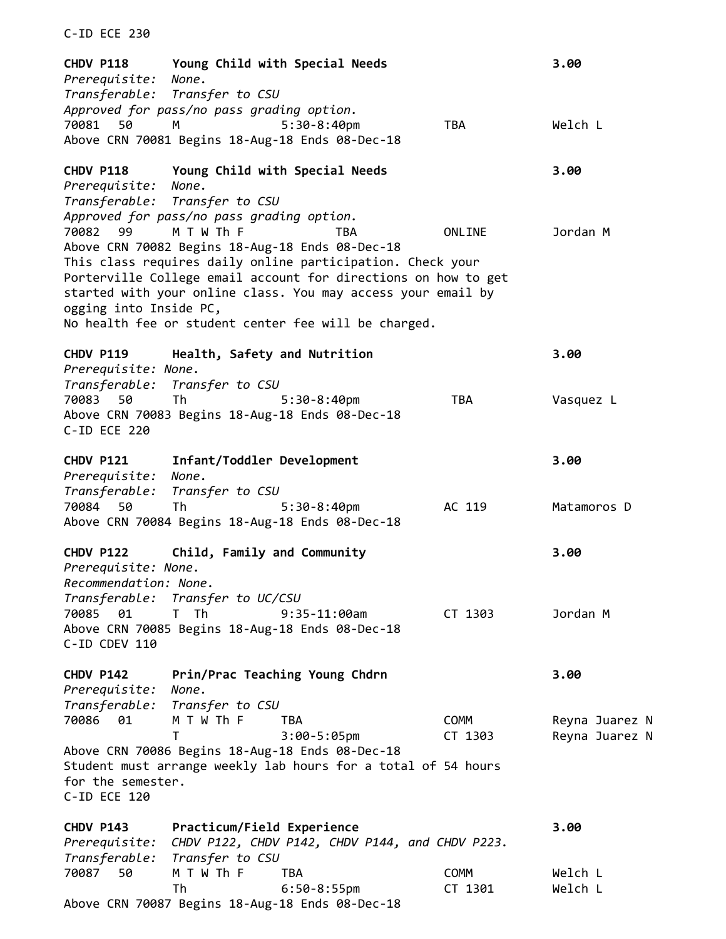**CHDV P118 Young Child with Special Needs 3.00** *Prerequisite: None. Transferable: Transfer to CSU Approved for pass/no pass grading option.* 70081 50 M 5:30-8:40pm TBA Welch L Above CRN 70081 Begins 18-Aug-18 Ends 08-Dec-18 **CHDV P118 Young Child with Special Needs 3.00** *Prerequisite: None. Transferable: Transfer to CSU Approved for pass/no pass grading option.* 70082 99 M T W Th F TBA ONLINE Jordan M Above CRN 70082 Begins 18-Aug-18 Ends 08-Dec-18 This class requires daily online participation. Check your Porterville College email account for directions on how to get started with your online class. You may access your email by ogging into Inside PC, No health fee or student center fee will be charged. **CHDV P119 Health, Safety and Nutrition 3.00** *Prerequisite: None. Transferable: Transfer to CSU* 70083 50 Th 5:30-8:40pm TBA Vasquez L Above CRN 70083 Begins 18-Aug-18 Ends 08-Dec-18 C-ID ECE 220 **CHDV P121 Infant/Toddler Development 3.00** *Prerequisite: None. Transferable: Transfer to CSU* 70084 50 Th 5:30-8:40pm AC 119 Matamoros D Above CRN 70084 Begins 18-Aug-18 Ends 08-Dec-18 **CHDV P122 Child, Family and Community 3.00** *Prerequisite: None. Recommendation: None. Transferable: Transfer to UC/CSU* 70085 01 T Th 9:35-11:00am CT 1303 Jordan M Above CRN 70085 Begins 18-Aug-18 Ends 08-Dec-18 C-ID CDEV 110 **CHDV P142 Prin/Prac Teaching Young Chdrn 3.00** *Prerequisite: None. Transferable: Transfer to CSU* 70086 01 M T W Th F TBA COMM Reyna Juarez N T 3:00-5:05pm CT 1303 Reyna Juarez N Above CRN 70086 Begins 18-Aug-18 Ends 08-Dec-18 Student must arrange weekly lab hours for a total of 54 hours for the semester. C-ID ECE 120 **CHDV P143 Practicum/Field Experience 3.00** *Prerequisite: CHDV P122, CHDV P142, CHDV P144, and CHDV P223. Transferable: Transfer to CSU* 70087 50 M T W Th F TBA COMM Welch L Th 6:50-8:55pm CT 1301 Welch L

Above CRN 70087 Begins 18-Aug-18 Ends 08-Dec-18

C-ID ECE 230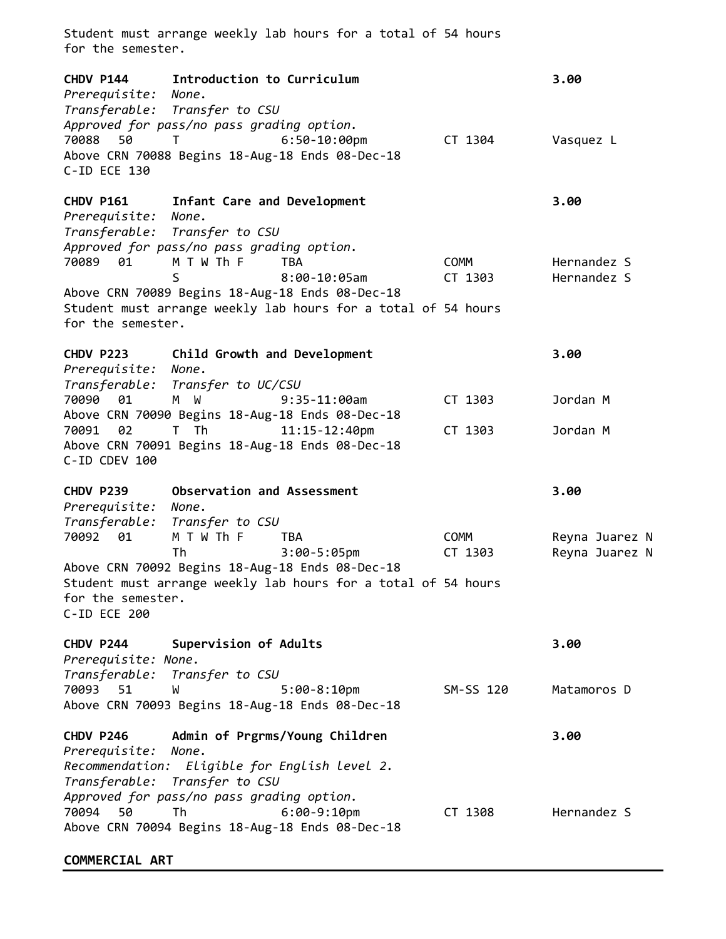Student must arrange weekly lab hours for a total of 54 hours for the semester. **CHDV P144 Introduction to Curriculum 3.00** *Prerequisite: None. Transferable: Transfer to CSU Approved for pass/no pass grading option.* 70088 50 T 6:50-10:00pm CT 1304 Vasquez L Above CRN 70088 Begins 18-Aug-18 Ends 08-Dec-18 C-ID ECE 130 **CHDV P161 Infant Care and Development 3.00**  *Prerequisite: None. Transferable: Transfer to CSU Approved for pass/no pass grading option.*  70089 01 M T W Th F TBA COMM Hernandez S S 8:00-10:05am CT 1303 Hernandez S Above CRN 70089 Begins 18-Aug-18 Ends 08-Dec-18 Student must arrange weekly lab hours for a total of 54 hours for the semester. **CHDV P223 Child Growth and Development 3.00** *Prerequisite: None. Transferable: Transfer to UC/CSU* 70090 01 M W 9:35-11:00am CT 1303 Jordan M Above CRN 70090 Begins 18-Aug-18 Ends 08-Dec-18 70091 02 T Th 11:15-12:40pm CT 1303 Jordan M Above CRN 70091 Begins 18-Aug-18 Ends 08-Dec-18 C-ID CDEV 100 **CHDV P239 Observation and Assessment 3.00**  *Prerequisite: None. Transferable: Transfer to CSU* 70092 01 M T W Th F TBA COMM Reyna Juarez N Th 3:00-5:05pm CT 1303 Reyna Juarez N Above CRN 70092 Begins 18-Aug-18 Ends 08-Dec-18 Student must arrange weekly lab hours for a total of 54 hours for the semester. C-ID ECE 200 **CHDV P244 Supervision of Adults 3.00** *Prerequisite: None. Transferable: Transfer to CSU* 70093 51 W 5:00-8:10pm SM-SS 120 Matamoros D Above CRN 70093 Begins 18-Aug-18 Ends 08-Dec-18 **CHDV P246 Admin of Prgrms/Young Children 3.00** *Prerequisite: None. Recommendation: Eligible for English level 2. Transferable: Transfer to CSU Approved for pass/no pass grading option.*  70094 50 Th 6:00-9:10pm CT 1308 Hernandez S Above CRN 70094 Begins 18-Aug-18 Ends 08-Dec-18

### **COMMERCIAL ART**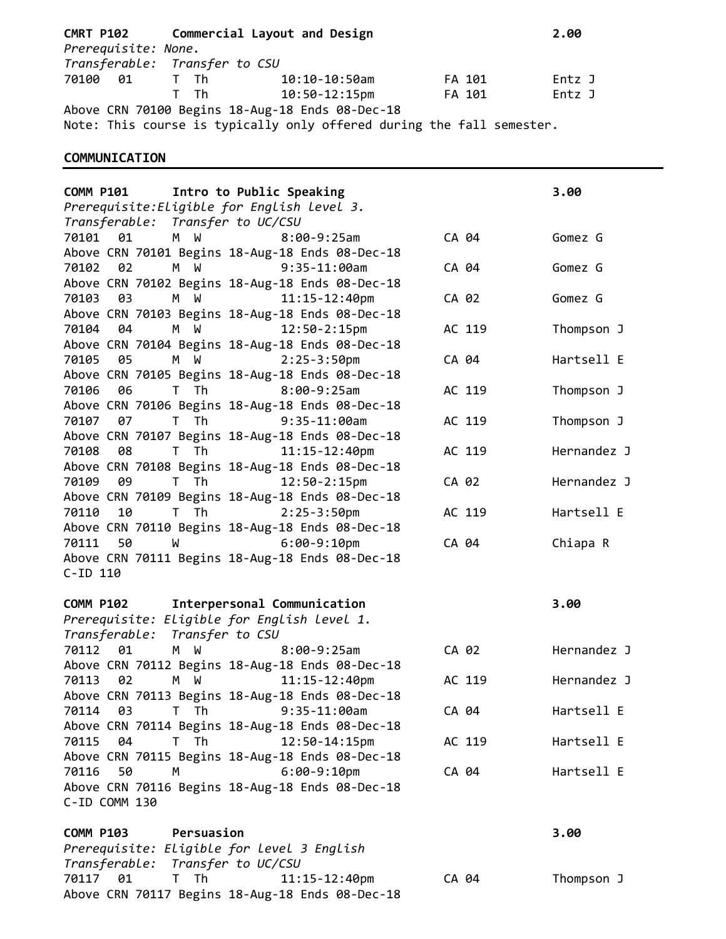| <b>CMRT P102</b>    | Commercial Layout and Design |                                                                       |        |        |  |
|---------------------|------------------------------|-----------------------------------------------------------------------|--------|--------|--|
| Prerequisite: None. |                              |                                                                       |        |        |  |
|                     |                              | Transferable: Transfer to CSU                                         |        |        |  |
| 70100 01 T Th       |                              | 10:10-10:50am                                                         | FA 101 | Entz J |  |
|                     | $T$ The T                    | 10:50-12:15pm                                                         | FA 101 | Entz J |  |
|                     |                              | Above CRN 70100 Begins 18-Aug-18 Ends 08-Dec-18                       |        |        |  |
|                     |                              | Note: This course is typically only offered during the fall semester. |        |        |  |

# **COMMUNICATION**

| Intro to Public Speaking<br><b>COMM P101</b>                                              |        | 3.00        |
|-------------------------------------------------------------------------------------------|--------|-------------|
| Prerequisite: Eligible for English level 3.                                               |        |             |
| Transferable: Transfer to UC/CSU                                                          |        |             |
| 70101<br>01<br>M W<br>$8:00-9:25am$                                                       | CA 04  | Gomez G     |
| Above CRN 70101 Begins 18-Aug-18 Ends 08-Dec-18                                           |        |             |
| 02<br>M W<br>$9:35-11:00am$<br>70102                                                      | CA 04  | Gomez G     |
| Above CRN 70102 Begins 18-Aug-18 Ends 08-Dec-18                                           |        |             |
| M W<br>70103<br>03<br>$11:15 - 12:40$ pm                                                  | CA 02  | Gomez G     |
| Above CRN 70103 Begins 18-Aug-18 Ends 08-Dec-18                                           |        |             |
| 70104<br>04<br>M W<br>$12:50-2:15pm$                                                      | AC 119 | Thompson J  |
| Above CRN 70104 Begins 18-Aug-18 Ends 08-Dec-18                                           |        |             |
| 05<br>M W<br>$2:25-3:50$ pm<br>70105                                                      | CA 04  | Hartsell E  |
| Above CRN 70105 Begins 18-Aug-18 Ends 08-Dec-18                                           |        |             |
| T Th<br>$8:00-9:25am$<br>70106<br>06                                                      | AC 119 | Thompson J  |
| Above CRN 70106 Begins 18-Aug-18 Ends 08-Dec-18                                           |        |             |
| 70107<br>T Th<br>$9:35-11:00am$<br>07                                                     | AC 119 | Thompson J  |
| Above CRN 70107 Begins 18-Aug-18 Ends 08-Dec-18                                           |        |             |
| 08<br>70108<br>T Th<br>11:15-12:40pm                                                      | AC 119 | Hernandez J |
| Above CRN 70108 Begins 18-Aug-18 Ends 08-Dec-18                                           |        |             |
| 70109<br>09<br>T Th<br>12:50-2:15pm                                                       | CA 02  | Hernandez J |
| Above CRN 70109 Begins 18-Aug-18 Ends 08-Dec-18                                           |        |             |
| T Th<br>$2:25-3:50$ pm<br>70110<br>10                                                     | AC 119 | Hartsell E  |
| Above CRN 70110 Begins 18-Aug-18 Ends 08-Dec-18                                           |        |             |
| 70111<br>50<br>$6:00-9:10$ pm<br><b>M</b>                                                 | CA 04  | Chiapa R    |
| Above CRN 70111 Begins 18-Aug-18 Ends 08-Dec-18                                           |        |             |
|                                                                                           |        |             |
|                                                                                           |        |             |
| $C$ -ID 110                                                                               |        |             |
| Interpersonal Communication<br><b>COMM P102</b>                                           |        | 3.00        |
| Prerequisite: Eligible for English level 1.                                               |        |             |
| Transferable: Transfer to CSU                                                             |        |             |
| 70112<br>01<br>M W<br>$8:00-9:25am$                                                       | CA 02  | Hernandez J |
| Above CRN 70112 Begins 18-Aug-18 Ends 08-Dec-18                                           |        |             |
| M W<br>02<br>$11:15 - 12:40$ pm<br>70113                                                  | AC 119 | Hernandez J |
| Above CRN 70113 Begins 18-Aug-18 Ends 08-Dec-18                                           |        |             |
| 70114 03 T Th 9:35-11:00am                                                                | CA 04  | Hartsell E  |
| Above CRN 70114 Begins 18-Aug-18 Ends 08-Dec-18                                           |        |             |
| 70115<br>04<br>T Th<br>12:50-14:15pm                                                      | AC 119 | Hartsell E  |
|                                                                                           |        |             |
| Above CRN 70115 Begins 18-Aug-18 Ends 08-Dec-18<br>50<br>70116<br>M                       | CA 04  | Hartsell E  |
| $6:00-9:10$ pm<br>Above CRN 70116 Begins 18-Aug-18 Ends 08-Dec-18                         |        |             |
| C-ID COMM 130                                                                             |        |             |
|                                                                                           |        |             |
| Persuasion<br><b>COMM P103</b>                                                            |        | 3.00        |
| Prerequisite: Eligible for level 3 English                                                |        |             |
| Transferable: Transfer to UC/CSU                                                          |        |             |
| 70117 01<br>T Th<br>$11:15 - 12:40$ pm<br>Above CRN 70117 Begins 18-Aug-18 Ends 08-Dec-18 | CA 04  | Thompson J  |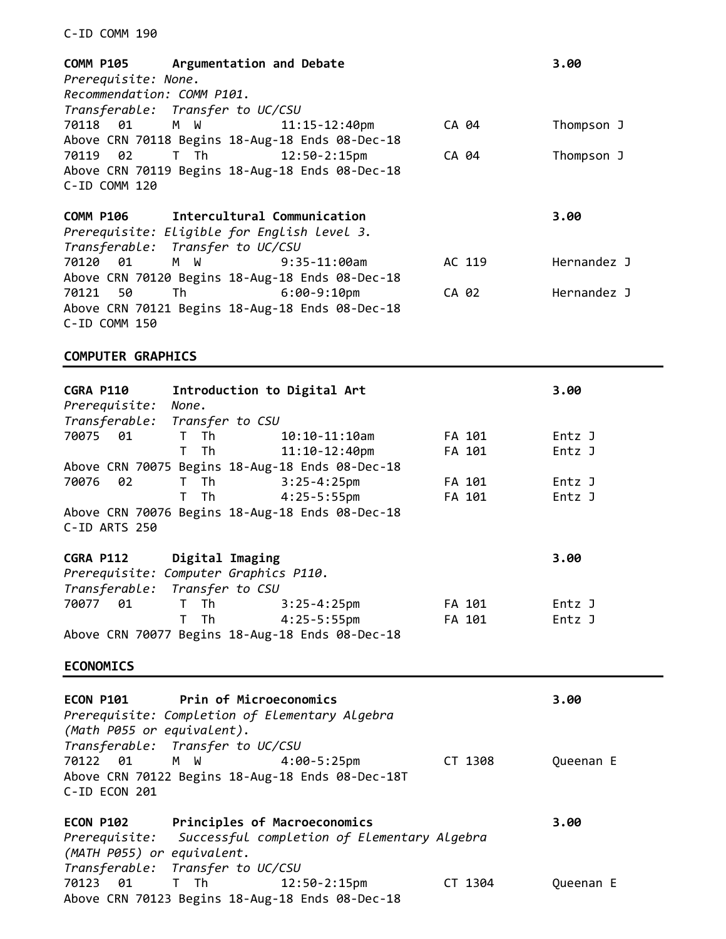### C-ID COMM 190

|                            | COMM P105 Argumentation and Debate          |                                                 |       |        | 3.00        |
|----------------------------|---------------------------------------------|-------------------------------------------------|-------|--------|-------------|
| Prerequisite: None.        |                                             |                                                 |       |        |             |
| Recommendation: COMM P101. |                                             |                                                 |       |        |             |
|                            | Transferable: Transfer to UC/CSU            |                                                 |       |        |             |
|                            | 70118 01 M W 11:15-12:40pm                  |                                                 |       | CA 04  | Thompson J  |
|                            |                                             | Above CRN 70118 Begins 18-Aug-18 Ends 08-Dec-18 |       |        |             |
|                            |                                             | $12:50-2:15p$ m                                 |       | CA 04  | Thompson J  |
|                            |                                             | Above CRN 70119 Begins 18-Aug-18 Ends 08-Dec-18 |       |        |             |
| C-ID COMM 120              |                                             |                                                 |       |        |             |
|                            |                                             |                                                 |       |        |             |
|                            | COMM P106 Intercultural Communication       |                                                 |       |        | 3.00        |
|                            | Prerequisite: Eligible for English level 3. |                                                 |       |        |             |
|                            | Transferable: Transfer to UC/CSU            |                                                 |       |        |             |
| 70120 01                   | M W                                         | $9:35-11:00$ am                                 |       | AC 119 | Hernandez J |
|                            |                                             |                                                 |       |        |             |
|                            |                                             | Above CRN 70120 Begins 18-Aug-18 Ends 08-Dec-18 |       |        |             |
| 70121 50                   | Th 6:00-9:10pm                              |                                                 | CA 02 |        | Hernandez J |
|                            |                                             | Above CRN 70121 Begins 18-Aug-18 Ends 08-Dec-18 |       |        |             |

# **COMPUTER GRAPHICS**

| <b>CGRA P110</b><br>Prerequisite:<br>Transferable: | Introduction to Digital Art<br>None.<br>Transfer to CSU |                                                                      |         | 3.00      |
|----------------------------------------------------|---------------------------------------------------------|----------------------------------------------------------------------|---------|-----------|
| 70075<br>01                                        | Th<br>T.                                                | $10:10 - 11:10$ am                                                   | FA 101  | Entz J    |
|                                                    | Th<br>T.                                                | $11:10-12:40$ pm                                                     | FA 101  | Entz J    |
|                                                    |                                                         | Above CRN 70075 Begins 18-Aug-18 Ends 08-Dec-18                      |         |           |
| 70076<br>02                                        | Th<br>$\mathsf T$                                       | $3:25 - 4:25$ pm                                                     | FA 101  | Entz J    |
|                                                    | Th<br>T.                                                | $4:25 - 5:55$ pm                                                     | FA 101  | Entz J    |
| C-ID ARTS 250                                      |                                                         | Above CRN 70076 Begins 18-Aug-18 Ends 08-Dec-18                      |         |           |
| <b>CGRA P112</b>                                   | Digital Imaging                                         |                                                                      |         | 3.00      |
| Prerequisite: Computer Graphics P110.              | Transferable: Transfer to CSU                           |                                                                      |         |           |
| 70077<br>01                                        | T.<br>Th                                                | $3:25 - 4:25$ pm                                                     | FA 101  | Entz J    |
|                                                    | Th<br>T.                                                | $4:25-5:55$ pm                                                       | FA 101  | Entz J    |
|                                                    |                                                         | Above CRN 70077 Begins 18-Aug-18 Ends 08-Dec-18                      |         |           |
| <b>ECONOMICS</b>                                   |                                                         |                                                                      |         |           |
| ECON P101<br>(Math P055 or equivalent).            | Prin of Microeconomics                                  | Prerequisite: Completion of Elementary Algebra                       |         | 3.00      |
|                                                    | Transferable: Transfer to UC/CSU                        |                                                                      |         |           |
| 70122<br>01<br>C-ID ECON 201                       | M W                                                     | $4:00 - 5:25$ pm<br>Above CRN 70122 Begins 18-Aug-18 Ends 08-Dec-18T | CT 1308 | Queenan E |
|                                                    |                                                         |                                                                      |         |           |
| ECON P102                                          | Principles of Macroeconomics                            |                                                                      |         | 3.00      |
| Prerequisite:<br>(MATH P055) or equivalent.        |                                                         | Successful completion of Elementary Algebra                          |         |           |
| Transferable:                                      | Transfer to UC/CSU                                      |                                                                      |         |           |
| 70123<br>01                                        | T Th                                                    | $12:50 - 2:15$ pm<br>Above CRN 70123 Begins 18-Aug-18 Ends 08-Dec-18 | CT 1304 | Queenan E |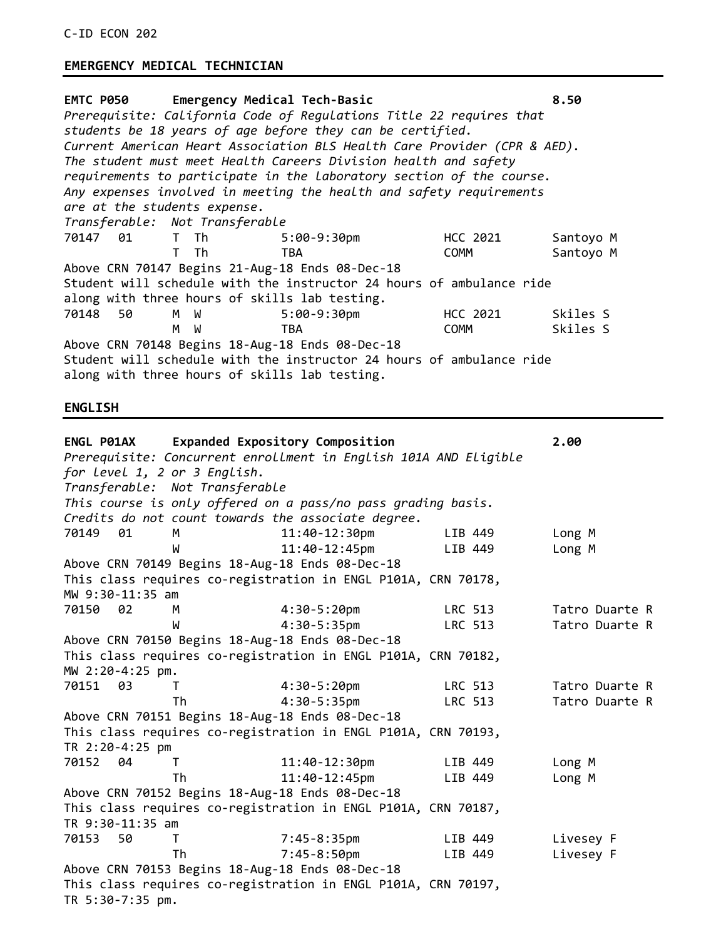## **EMERGENCY MEDICAL TECHNICIAN**

| EMTC P050 Emergency Medical Tech-Basic<br>8.50<br>Prerequisite: California Code of Requlations Title 22 requires that<br>students be 18 years of age before they can be certified. |                                               |                                                                          |             |           |  |
|------------------------------------------------------------------------------------------------------------------------------------------------------------------------------------|-----------------------------------------------|--------------------------------------------------------------------------|-------------|-----------|--|
|                                                                                                                                                                                    |                                               | Current American Heart Association BLS Health Care Provider (CPR & AED). |             |           |  |
|                                                                                                                                                                                    |                                               | The student must meet Health Careers Division health and safety          |             |           |  |
|                                                                                                                                                                                    |                                               | requirements to participate in the laboratory section of the course.     |             |           |  |
|                                                                                                                                                                                    |                                               | Any expenses involved in meeting the health and safety requirements      |             |           |  |
| are at the students expense.                                                                                                                                                       |                                               |                                                                          |             |           |  |
|                                                                                                                                                                                    | Transferable: Not Transferable                |                                                                          |             |           |  |
| 70147 01 T Th                                                                                                                                                                      |                                               | 5:00-9:30pm                                                              | HCC 2021    | Santoyo M |  |
|                                                                                                                                                                                    | T Th                                          | <b>TBA</b>                                                               | <b>COMM</b> | Santoyo M |  |
|                                                                                                                                                                                    |                                               | Above CRN 70147 Begins 21-Aug-18 Ends 08-Dec-18                          |             |           |  |
|                                                                                                                                                                                    |                                               | Student will schedule with the instructor 24 hours of ambulance ride     |             |           |  |
|                                                                                                                                                                                    |                                               | along with three hours of skills lab testing.                            |             |           |  |
| 70148 50                                                                                                                                                                           | M W                                           | $5:00-9:30$ pm                                                           | HCC 2021    | Skiles S  |  |
|                                                                                                                                                                                    | M W                                           | <b>TBA</b>                                                               | <b>COMM</b> | Skiles S  |  |
|                                                                                                                                                                                    |                                               | Above CRN 70148 Begins 18-Aug-18 Ends 08-Dec-18                          |             |           |  |
|                                                                                                                                                                                    |                                               | Student will schedule with the instructor 24 hours of ambulance ride     |             |           |  |
|                                                                                                                                                                                    | along with three hours of skills lab testing. |                                                                          |             |           |  |

### **ENGLISH**

| <b>ENGL P01AX</b>            |                                                                  | Expanded Expository Composition                               |                | 2.00           |  |  |  |
|------------------------------|------------------------------------------------------------------|---------------------------------------------------------------|----------------|----------------|--|--|--|
|                              | Prerequisite: Concurrent enrollment in English 101A AND Eligible |                                                               |                |                |  |  |  |
| for level 1, 2 or 3 English. |                                                                  |                                                               |                |                |  |  |  |
|                              | Transferable: Not Transferable                                   |                                                               |                |                |  |  |  |
|                              |                                                                  | This course is only offered on a pass/no pass grading basis.  |                |                |  |  |  |
|                              |                                                                  | Credits do not count towards the associate degree.            |                |                |  |  |  |
| 70149 01                     | M                                                                | 11:40-12:30pm                                                 | LIB 449        | Long M         |  |  |  |
|                              | W                                                                | 11:40-12:45pm                                                 | LIB 449        | Long M         |  |  |  |
|                              |                                                                  | Above CRN 70149 Begins 18-Aug-18 Ends 08-Dec-18               |                |                |  |  |  |
|                              |                                                                  | This class requires co-registration in ENGL P101A, CRN 70178, |                |                |  |  |  |
| MW 9:30-11:35 am             |                                                                  |                                                               |                |                |  |  |  |
| 70150 02                     | M                                                                | $4:30-5:20 \text{pm}$                                         | <b>LRC 513</b> | Tatro Duarte R |  |  |  |
|                              | W                                                                | $4:30-5:35$ pm                                                | LRC 513        | Tatro Duarte R |  |  |  |
|                              |                                                                  | Above CRN 70150 Begins 18-Aug-18 Ends 08-Dec-18               |                |                |  |  |  |
|                              |                                                                  | This class requires co-registration in ENGL P101A, CRN 70182, |                |                |  |  |  |
| MW 2:20-4:25 pm.             |                                                                  |                                                               |                |                |  |  |  |
| 70151 03                     | T.                                                               | $4:30-5:20$ pm                                                | LRC 513        | Tatro Duarte R |  |  |  |
|                              | Th                                                               | $4:30-5:35$ pm                                                | LRC 513        | Tatro Duarte R |  |  |  |
|                              |                                                                  | Above CRN 70151 Begins 18-Aug-18 Ends 08-Dec-18               |                |                |  |  |  |
|                              |                                                                  | This class requires co-registration in ENGL P101A, CRN 70193, |                |                |  |  |  |
| TR 2:20-4:25 pm              |                                                                  |                                                               |                |                |  |  |  |
| 70152 04                     | T.                                                               | 11:40-12:30pm                                                 | LIB 449        | Long M         |  |  |  |
|                              | Τh                                                               | $11:40-12:45$ pm                                              | LIB 449        | Long M         |  |  |  |
|                              |                                                                  | Above CRN 70152 Begins 18-Aug-18 Ends 08-Dec-18               |                |                |  |  |  |
|                              |                                                                  | This class requires co-registration in ENGL P101A, CRN 70187, |                |                |  |  |  |
| TR 9:30-11:35 am             |                                                                  |                                                               |                |                |  |  |  |
| 70153<br>50                  | T.                                                               | $7:45-8:35$ pm                                                | LIB 449        | Livesey F      |  |  |  |
|                              | Th                                                               | $7:45 - 8:50$ pm                                              | LIB 449        | Livesey F      |  |  |  |
|                              |                                                                  | Above CRN 70153 Begins 18-Aug-18 Ends 08-Dec-18               |                |                |  |  |  |
|                              |                                                                  | This class requires co-registration in ENGL P101A, CRN 70197, |                |                |  |  |  |
| TR 5:30-7:35 pm.             |                                                                  |                                                               |                |                |  |  |  |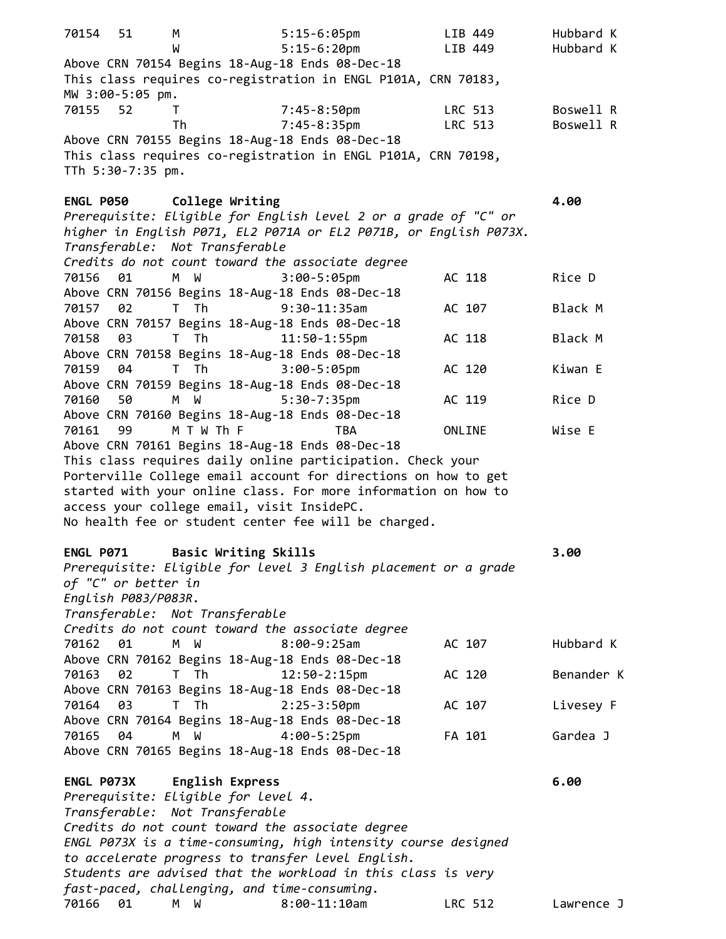70154 51 M 5:15-6:05pm LIB 449 Hubbard K W 5:15-6:20pm LIB 449 Hubbard K Above CRN 70154 Begins 18-Aug-18 Ends 08-Dec-18 This class requires co-registration in ENGL P101A, CRN 70183, MW 3:00-5:05 pm. 70155 52 T 7:45-8:50pm LRC 513 Boswell R Th 7:45-8:35pm LRC 513 Boswell R Above CRN 70155 Begins 18-Aug-18 Ends 08-Dec-18 This class requires co-registration in ENGL P101A, CRN 70198, TTh 5:30-7:35 pm. **ENGL P050 College Writing 4.00**  *Prerequisite: Eligible for English level 2 or a grade of "C" or higher in English P071, EL2 P071A or EL2 P071B, or English P073X. Transferable: Not Transferable Credits do not count toward the associate degree* 70156 01 M W 3:00-5:05pm AC 118 Rice D Above CRN 70156 Begins 18-Aug-18 Ends 08-Dec-18 70157 02 T Th 9:30-11:35am AC 107 Black M Above CRN 70157 Begins 18-Aug-18 Ends 08-Dec-18 70158 03 T Th 11:50-1:55pm AC 118 Black M Above CRN 70158 Begins 18-Aug-18 Ends 08-Dec-18 70159 04 T Th 3:00-5:05pm AC 120 Kiwan E Above CRN 70159 Begins 18-Aug-18 Ends 08-Dec-18 70160 50 M W 5:30-7:35pm AC 119 Rice D Above CRN 70160 Begins 18-Aug-18 Ends 08-Dec-18 70161 99 M T W Th F TBA ONLINE Wise E Above CRN 70161 Begins 18-Aug-18 Ends 08-Dec-18 This class requires daily online participation. Check your Porterville College email account for directions on how to get started with your online class. For more information on how to access your college email, visit InsidePC. No health fee or student center fee will be charged. **ENGL P071 Basic Writing Skills 3.00** *Prerequisite: Eligible for level 3 English placement or a grade of "C" or better in English P083/P083R. Transferable: Not Transferable Credits do not count toward the associate degree* 70162 01 M W 8:00-9:25am AC 107 Hubbard K Above CRN 70162 Begins 18-Aug-18 Ends 08-Dec-18 70163 02 T Th 12:50-2:15pm AC 120 Benander K Above CRN 70163 Begins 18-Aug-18 Ends 08-Dec-18 70164 03 T Th 2:25-3:50pm AC 107 Livesey F Above CRN 70164 Begins 18-Aug-18 Ends 08-Dec-18 70165 04 M W 4:00-5:25pm FA 101 Gardea J Above CRN 70165 Begins 18-Aug-18 Ends 08-Dec-18 **ENGL P073X English Express 6.00**  *Prerequisite: Eligible for level 4. Transferable: Not Transferable Credits do not count toward the associate degree ENGL P073X is a time-consuming, high intensity course designed to accelerate progress to transfer level English. Students are advised that the workload in this class is very fast-paced, challenging, and time-consuming.* 70166 01 M W 8:00-11:10am LRC 512 Lawrence J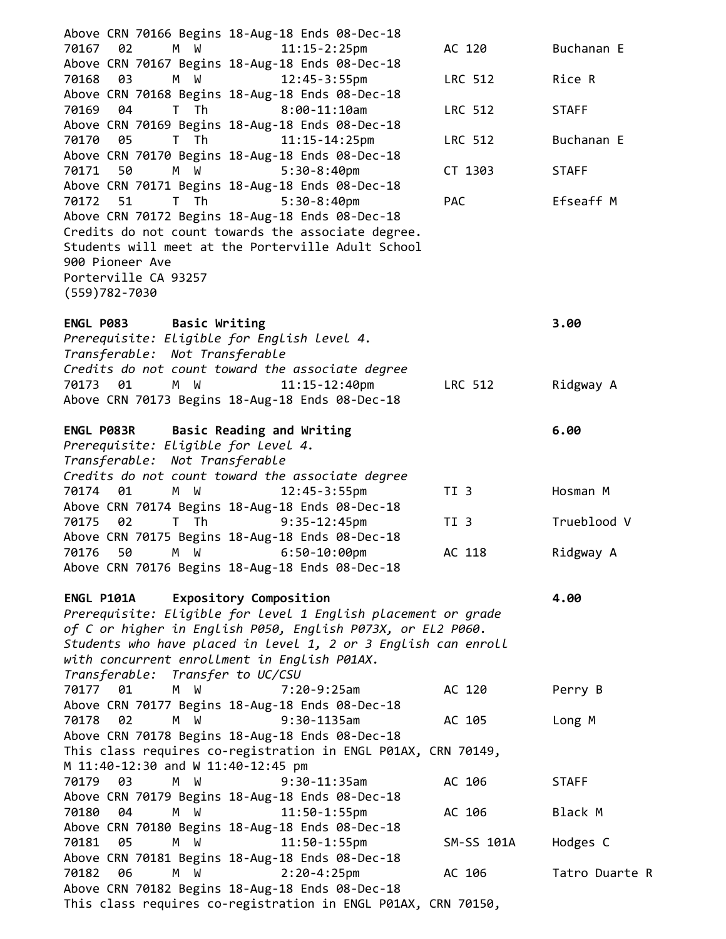| Above CRN 70166 Begins 18-Aug-18 Ends 08-Dec-18                                                                  |                 |                |
|------------------------------------------------------------------------------------------------------------------|-----------------|----------------|
| 02<br>M W<br>$11:15 - 2:25$ pm<br>70167                                                                          | AC 120          | Buchanan E     |
| Above CRN 70167 Begins 18-Aug-18 Ends 08-Dec-18                                                                  |                 |                |
| 03<br>M W<br>$12:45 - 3:55$ pm<br>70168                                                                          | LRC 512         | Rice R         |
| Above CRN 70168 Begins 18-Aug-18 Ends 08-Dec-18                                                                  |                 |                |
| $8:00-11:10am$<br>70169<br>04<br>T Th                                                                            | LRC 512         | <b>STAFF</b>   |
| Above CRN 70169 Begins 18-Aug-18 Ends 08-Dec-18<br>T Th<br>$11:15 - 14:25$ pm<br>70170<br>05                     | LRC 512         | Buchanan E     |
| Above CRN 70170 Begins 18-Aug-18 Ends 08-Dec-18                                                                  |                 |                |
| 70171<br>50<br>$5:30-8:40$ pm<br>M W                                                                             | CT 1303         | <b>STAFF</b>   |
| Above CRN 70171 Begins 18-Aug-18 Ends 08-Dec-18                                                                  |                 |                |
| $5:30-8:40$ pm<br>70172<br>51<br>T Th                                                                            | <b>PAC</b>      | Efseaff M      |
| Above CRN 70172 Begins 18-Aug-18 Ends 08-Dec-18                                                                  |                 |                |
| Credits do not count towards the associate degree.                                                               |                 |                |
| Students will meet at the Porterville Adult School                                                               |                 |                |
| 900 Pioneer Ave                                                                                                  |                 |                |
| Porterville CA 93257                                                                                             |                 |                |
| $(559)782 - 7030$                                                                                                |                 |                |
| ENGL P083 Basic Writing                                                                                          |                 | 3.00           |
| Prerequisite: Eligible for English level 4.                                                                      |                 |                |
| Transferable: Not Transferable                                                                                   |                 |                |
| Credits do not count toward the associate degree                                                                 |                 |                |
| 70173<br>01<br>M W<br>$11:15 - 12:40$ pm                                                                         | LRC 512         | Ridgway A      |
| Above CRN 70173 Begins 18-Aug-18 Ends 08-Dec-18                                                                  |                 |                |
|                                                                                                                  |                 |                |
| Basic Reading and Writing<br>ENGL P083R                                                                          |                 | 6.00           |
| Prerequisite: Eligible for Level 4.<br>Transferable: Not Transferable                                            |                 |                |
| Credits do not count toward the associate degree                                                                 |                 |                |
| 70174<br>01<br>M W<br>$12:45 - 3:55$ pm                                                                          | TI <sub>3</sub> | Hosman M       |
| Above CRN 70174 Begins 18-Aug-18 Ends 08-Dec-18                                                                  |                 |                |
| $9:35 - 12:45$ pm<br>70175<br>T Th<br>02                                                                         | TI 3            | Trueblood V    |
| Above CRN 70175 Begins 18-Aug-18 Ends 08-Dec-18                                                                  |                 |                |
| 70176<br>50<br>W<br>$6:50 - 10:00$ pm<br>М                                                                       | AC 118          | Ridgway A      |
| Above CRN 70176 Begins 18-Aug-18 Ends 08-Dec-18                                                                  |                 |                |
| <b>Expository Composition</b><br>ENGL P101A                                                                      |                 | 4.00           |
| Prerequisite: Eligible for level 1 English placement or grade                                                    |                 |                |
| of C or higher in English P050, English P073X, or EL2 P060.                                                      |                 |                |
| Students who have placed in level 1, 2 or 3 English can enroll                                                   |                 |                |
| with concurrent enrollment in English P01AX.                                                                     |                 |                |
| Transferable: Transfer to UC/CSU                                                                                 |                 |                |
| 70177<br>01<br>M <sub>1</sub><br>W<br>$7:20-9:25am$                                                              | AC 120          | Perry B        |
| Above CRN 70177 Begins 18-Aug-18 Ends 08-Dec-18                                                                  |                 |                |
| 02<br>M W<br>$9:30-1135$ am<br>70178<br>Above CRN 70178 Begins 18-Aug-18 Ends 08-Dec-18                          | AC 105          | Long M         |
| This class requires co-registration in ENGL P01AX, CRN 70149,                                                    |                 |                |
| M 11:40-12:30 and W 11:40-12:45 pm                                                                               |                 |                |
| M W<br>70179<br>- 03<br>$9:30-11:35am$                                                                           | AC 106          | <b>STAFF</b>   |
| Above CRN 70179 Begins 18-Aug-18 Ends 08-Dec-18                                                                  |                 |                |
| $11:50 - 1:55$ pm<br>70180<br>04<br>M W                                                                          | AC 106          | Black M        |
| Above CRN 70180 Begins 18-Aug-18 Ends 08-Dec-18                                                                  |                 |                |
| $11:50 - 1:55$ pm<br>70181<br>05<br>M W                                                                          | SM-SS 101A      | Hodges C       |
| Above CRN 70181 Begins 18-Aug-18 Ends 08-Dec-18                                                                  |                 |                |
| $2:20 - 4:25$ pm<br>70182<br>06<br>M W                                                                           | AC 106          | Tatro Duarte R |
| Above CRN 70182 Begins 18-Aug-18 Ends 08-Dec-18<br>This class requires co-registration in ENGL P01AX, CRN 70150, |                 |                |
|                                                                                                                  |                 |                |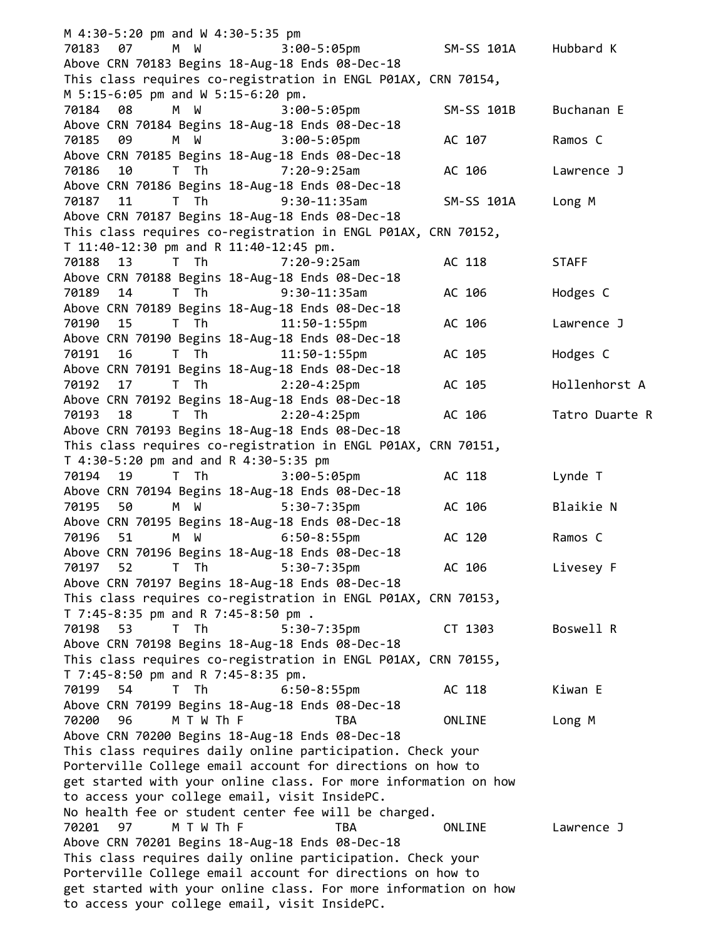M 4:30-5:20 pm and W 4:30-5:35 pm 70183 07 M W 3:00-5:05pm SM-SS 101A Hubbard K Above CRN 70183 Begins 18-Aug-18 Ends 08-Dec-18 This class requires co-registration in ENGL P01AX, CRN 70154, M 5:15-6:05 pm and W 5:15-6:20 pm. 70184 08 M W 3:00-5:05pm SM-SS 101B Buchanan E Above CRN 70184 Begins 18-Aug-18 Ends 08-Dec-18 70185 09 M W 3:00-5:05pm AC 107 Ramos C Above CRN 70185 Begins 18-Aug-18 Ends 08-Dec-18 70186 10 T Th 7:20-9:25am AC 106 Lawrence J Above CRN 70186 Begins 18-Aug-18 Ends 08-Dec-18 70187 11 T Th 9:30-11:35am SM-SS 101A Long M Above CRN 70187 Begins 18-Aug-18 Ends 08-Dec-18 This class requires co-registration in ENGL P01AX, CRN 70152, T 11:40-12:30 pm and R 11:40-12:45 pm. 70188 13 T Th 7:20-9:25am AC 118 STAFF Above CRN 70188 Begins 18-Aug-18 Ends 08-Dec-18 70189 14 T Th 9:30-11:35am AC 106 Hodges C Above CRN 70189 Begins 18-Aug-18 Ends 08-Dec-18 70190 15 T Th 11:50-1:55pm AC 106 Lawrence J Above CRN 70190 Begins 18-Aug-18 Ends 08-Dec-18 70191 16 T Th 11:50-1:55pm AC 105 Hodges C Above CRN 70191 Begins 18-Aug-18 Ends 08-Dec-18 70192 17 T Th 2:20-4:25pm AC 105 Hollenhorst A Above CRN 70192 Begins 18-Aug-18 Ends 08-Dec-18 70193 18 T Th 2:20-4:25pm AC 106 Tatro Duarte R Above CRN 70193 Begins 18-Aug-18 Ends 08-Dec-18 This class requires co-registration in ENGL P01AX, CRN 70151, T 4:30-5:20 pm and and R 4:30-5:35 pm 70194 19 T Th 3:00-5:05pm AC 118 Lynde T Above CRN 70194 Begins 18-Aug-18 Ends 08-Dec-18 70195 50 M W 5:30-7:35pm AC 106 Blaikie N Above CRN 70195 Begins 18-Aug-18 Ends 08-Dec-18 70196 51 M W 6:50-8:55pm AC 120 Ramos C Above CRN 70196 Begins 18-Aug-18 Ends 08-Dec-18 70197 52 T Th 5:30-7:35pm AC 106 Livesey F Above CRN 70197 Begins 18-Aug-18 Ends 08-Dec-18 This class requires co-registration in ENGL P01AX, CRN 70153, T 7:45-8:35 pm and R 7:45-8:50 pm . 70198 53 T Th 5:30-7:35pm CT 1303 Boswell R Above CRN 70198 Begins 18-Aug-18 Ends 08-Dec-18 This class requires co-registration in ENGL P01AX, CRN 70155, T 7:45-8:50 pm and R 7:45-8:35 pm. 70199 54 T Th 6:50-8:55pm AC 118 Kiwan E Above CRN 70199 Begins 18-Aug-18 Ends 08-Dec-18 70200 96 M T W Th F TBA ONLINE Long M Above CRN 70200 Begins 18-Aug-18 Ends 08-Dec-18 This class requires daily online participation. Check your Porterville College email account for directions on how to get started with your online class. For more information on how to access your college email, visit InsidePC. No health fee or student center fee will be charged. 70201 97 M T W Th F TBA ONLINE Lawrence J Above CRN 70201 Begins 18-Aug-18 Ends 08-Dec-18 This class requires daily online participation. Check your Porterville College email account for directions on how to get started with your online class. For more information on how to access your college email, visit InsidePC.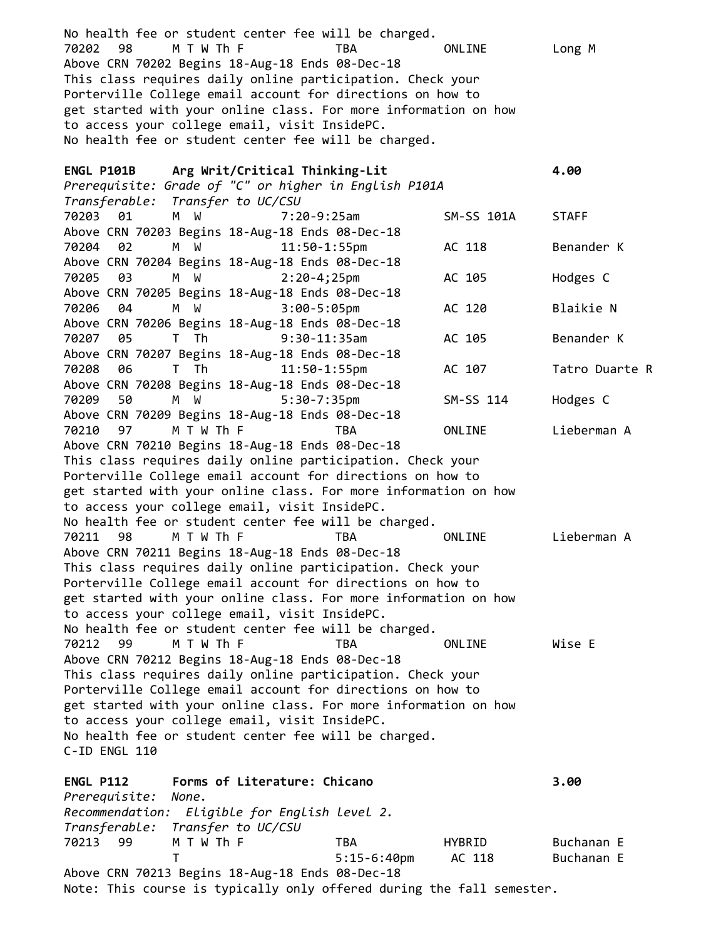No health fee or student center fee will be charged. 70202 98 M T W Th F TBA ONLINE Long M Above CRN 70202 Begins 18-Aug-18 Ends 08-Dec-18 This class requires daily online participation. Check your Porterville College email account for directions on how to get started with your online class. For more information on how to access your college email, visit InsidePC. No health fee or student center fee will be charged. **ENGL P101B Arg Writ/Critical Thinking-Lit 4.00** *Prerequisite: Grade of "C" or higher in English P101A Transferable: Transfer to UC/CSU* 70203 01 M W 7:20-9:25am SM-SS 101A STAFF Above CRN 70203 Begins 18-Aug-18 Ends 08-Dec-18 70204 02 M W 11:50-1:55pm AC 118 Benander K Above CRN 70204 Begins 18-Aug-18 Ends 08-Dec-18 70205 03 M W 2:20-4;25pm AC 105 Hodges C Above CRN 70205 Begins 18-Aug-18 Ends 08-Dec-18 70206 04 M W 3:00-5:05pm AC 120 Blaikie N Above CRN 70206 Begins 18-Aug-18 Ends 08-Dec-18 70207 05 T Th 9:30-11:35am AC 105 Benander K Above CRN 70207 Begins 18-Aug-18 Ends 08-Dec-18 70208 06 T Th 11:50-1:55pm AC 107 Tatro Duarte R Above CRN 70208 Begins 18-Aug-18 Ends 08-Dec-18 70209 50 M W 5:30-7:35pm SM-SS 114 Hodges C Above CRN 70209 Begins 18-Aug-18 Ends 08-Dec-18 70210 97 M T W Th F TBA ONLINE Lieberman A Above CRN 70210 Begins 18-Aug-18 Ends 08-Dec-18 This class requires daily online participation. Check your Porterville College email account for directions on how to get started with your online class. For more information on how to access your college email, visit InsidePC. No health fee or student center fee will be charged. 70211 98 M T W Th F TBA ONLINE Lieberman A Above CRN 70211 Begins 18-Aug-18 Ends 08-Dec-18 This class requires daily online participation. Check your Porterville College email account for directions on how to get started with your online class. For more information on how to access your college email, visit InsidePC. No health fee or student center fee will be charged. 70212 99 M T W Th F TBA ONLINE Wise E Above CRN 70212 Begins 18-Aug-18 Ends 08-Dec-18 This class requires daily online participation. Check your Porterville College email account for directions on how to get started with your online class. For more information on how to access your college email, visit InsidePC. No health fee or student center fee will be charged. C-ID ENGL 110 **ENGL P112 Forms of Literature: Chicano 3.00** *Prerequisite: None. Recommendation: Eligible for English level 2. Transferable: Transfer to UC/CSU* 70213 99 M T W Th F TBA HYBRID Buchanan E T 5:15-6:40pm AC 118 Buchanan E Above CRN 70213 Begins 18-Aug-18 Ends 08-Dec-18 Note: This course is typically only offered during the fall semester.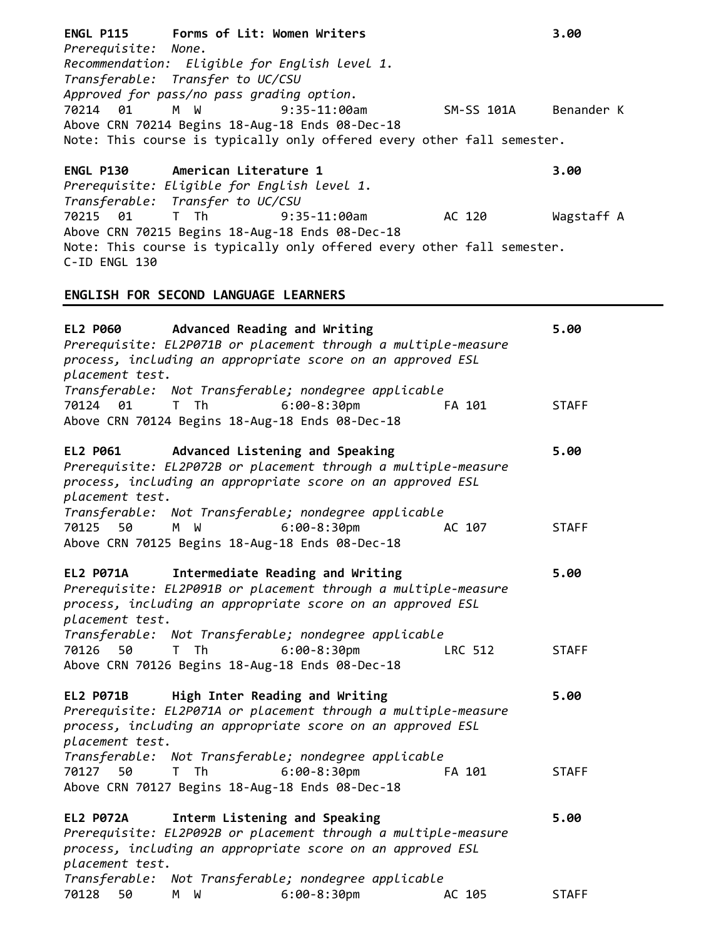| ENGL P115 Forms of Lit: Women Writers<br>Prerequisite: None.<br>Recommendation: Eligible for English level 1.<br>Transferable: Transfer to UC/CSU<br>Approved for pass/no pass grading option.          | 3.00         |
|---------------------------------------------------------------------------------------------------------------------------------------------------------------------------------------------------------|--------------|
| M W<br>$9:35-11:00am$<br>70214 01<br>SM-SS 101A<br>Above CRN 70214 Begins 18-Aug-18 Ends 08-Dec-18<br>Note: This course is typically only offered every other fall semester.                            | Benander K   |
| American Literature 1<br><b>ENGL P130</b><br>Prerequisite: Eligible for English level 1.<br>Transferable: Transfer to UC/CSU                                                                            | 3.00         |
| 70215 01<br>T The T<br>$9:35-11:00$ am<br>AC 120<br>Above CRN 70215 Begins 18-Aug-18 Ends 08-Dec-18<br>Note: This course is typically only offered every other fall semester.<br>C-ID ENGL 130          | Wagstaff A   |
| ENGLISH FOR SECOND LANGUAGE LEARNERS                                                                                                                                                                    |              |
| Advanced Reading and Writing<br><b>EL2 P060</b><br>Prerequisite: EL2P071B or placement through a multiple-measure<br>process, including an appropriate score on an approved ESL<br>placement test.      | 5.00         |
| Transferable: Not Transferable; nondegree applicable<br>$6:00-8:30$ pm<br>70124 01<br>T Th<br>FA 101<br>Above CRN 70124 Begins 18-Aug-18 Ends 08-Dec-18                                                 | <b>STAFF</b> |
| EL2 P061 Advanced Listening and Speaking<br>Prerequisite: EL2P072B or placement through a multiple-measure<br>process, including an appropriate score on an approved ESL<br>placement test.             | 5.00         |
| Transferable: Not Transferable; nondegree applicable<br>70125<br>50<br>M W<br>$6:00-8:30$ pm<br>AC 107<br>Above CRN 70125 Begins 18-Aug-18 Ends 08-Dec-18                                               | <b>STAFF</b> |
| Intermediate Reading and Writing<br><b>EL2 P071A</b><br>Prerequisite: EL2P091B or placement through a multiple-measure<br>process, including an appropriate score on an approved ESL<br>placement test. | 5.00         |
| Transferable: Not Transferable; nondegree applicable<br>$6:00-8:30$ pm<br>LRC 512<br>70126 50<br>T Th<br>Above CRN 70126 Begins 18-Aug-18 Ends 08-Dec-18                                                | <b>STAFF</b> |
| <b>EL2 P071B</b><br>High Inter Reading and Writing<br>Prerequisite: EL2P071A or placement through a multiple-measure<br>process, including an appropriate score on an approved ESL<br>placement test.   | 5.00         |
| Transferable: Not Transferable; nondegree applicable<br>$6:00-8:30$ pm<br>70127<br>50<br>T Th<br>FA 101<br>Above CRN 70127 Begins 18-Aug-18 Ends 08-Dec-18                                              | <b>STAFF</b> |
| Interm Listening and Speaking<br><b>EL2 P072A</b><br>Prerequisite: EL2P092B or placement through a multiple-measure<br>process, including an appropriate score on an approved ESL<br>placement test.    | 5.00         |
| Transferable: Not Transferable; nondegree applicable<br>70128 50<br>$6:00-8:30$ pm<br>M W<br>AC 105                                                                                                     | <b>STAFF</b> |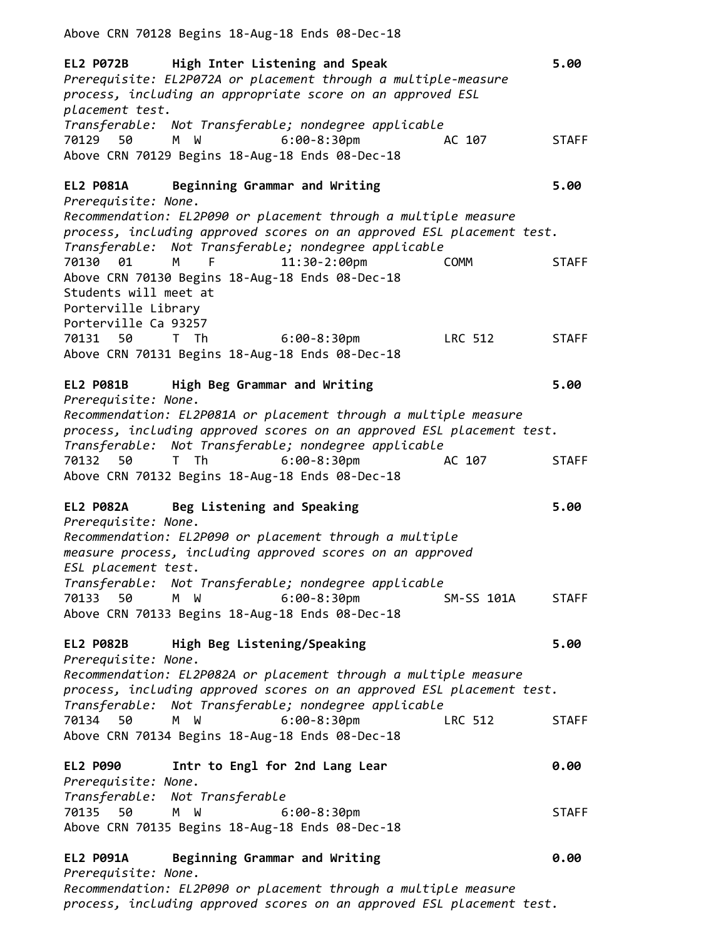Above CRN 70128 Begins 18-Aug-18 Ends 08-Dec-18

**EL2 P072B High Inter Listening and Speak 5.00**  *Prerequisite: EL2P072A or placement through a multiple-measure process, including an appropriate score on an approved ESL placement test. Transferable: Not Transferable; nondegree applicable* 70129 50 M W 6:00-8:30pm AC 107 STAFF Above CRN 70129 Begins 18-Aug-18 Ends 08-Dec-18 **EL2 P081A Beginning Grammar and Writing 5.00** *Prerequisite: None. Recommendation: EL2P090 or placement through a multiple measure process, including approved scores on an approved ESL placement test. Transferable: Not Transferable; nondegree applicable* 70130 01 M F 11:30-2:00pm COMM STAFF Above CRN 70130 Begins 18-Aug-18 Ends 08-Dec-18 Students will meet at Porterville Library Porterville Ca 93257 70131 50 T Th 6:00-8:30pm LRC 512 STAFF Above CRN 70131 Begins 18-Aug-18 Ends 08-Dec-18 **EL2 P081B High Beg Grammar and Writing 5.00** *Prerequisite: None. Recommendation: EL2P081A or placement through a multiple measure process, including approved scores on an approved ESL placement test. Transferable: Not Transferable; nondegree applicable* 70132 50 T Th 6:00-8:30pm AC 107 STAFF Above CRN 70132 Begins 18-Aug-18 Ends 08-Dec-18 **EL2 P082A Beg Listening and Speaking 5.00** *Prerequisite: None. Recommendation: EL2P090 or placement through a multiple measure process, including approved scores on an approved ESL placement test. Transferable: Not Transferable; nondegree applicable* 70133 50 M W 6:00-8:30pm SM-SS 101A STAFF Above CRN 70133 Begins 18-Aug-18 Ends 08-Dec-18 **EL2 P082B High Beg Listening/Speaking 5.00** *Prerequisite: None. Recommendation: EL2P082A or placement through a multiple measure process, including approved scores on an approved ESL placement test. Transferable: Not Transferable; nondegree applicable* 70134 50 M W 6:00-8:30pm LRC 512 STAFF Above CRN 70134 Begins 18-Aug-18 Ends 08-Dec-18 **EL2 P090 Intr to Engl for 2nd Lang Lear 0.00** *Prerequisite: None. Transferable: Not Transferable* 70135 50 M W 6:00-8:30pm STAFF Above CRN 70135 Begins 18-Aug-18 Ends 08-Dec-18 **EL2 P091A Beginning Grammar and Writing 0.00**  *Prerequisite: None. Recommendation: EL2P090 or placement through a multiple measure*

*process, including approved scores on an approved ESL placement test.*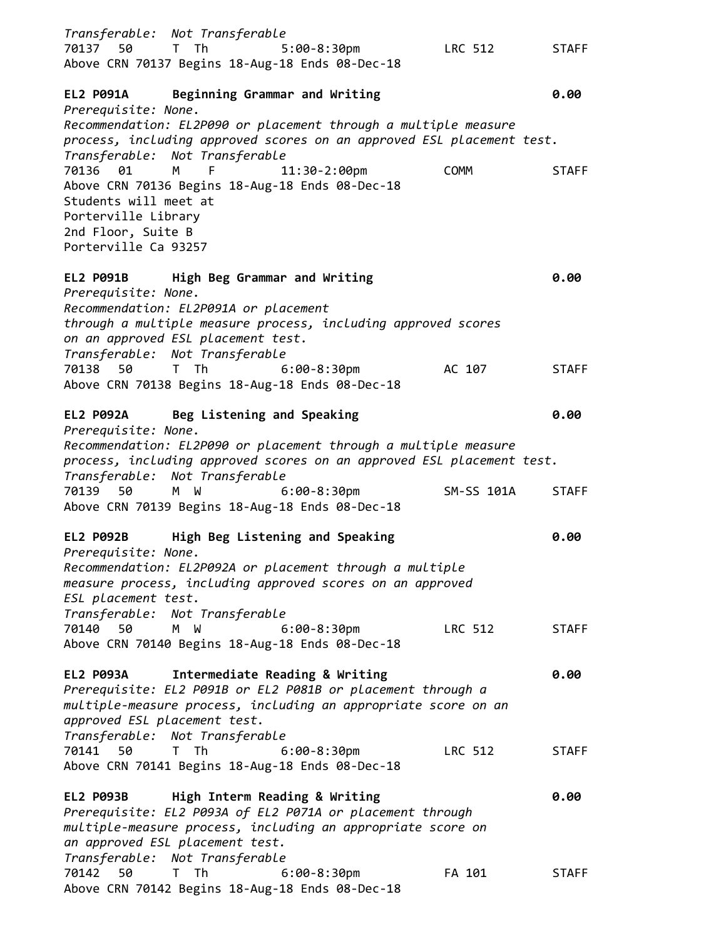*Transferable: Not Transferable* 70137 50 T Th 5:00-8:30pm LRC 512 STAFF Above CRN 70137 Begins 18-Aug-18 Ends 08-Dec-18 **EL2 P091A Beginning Grammar and Writing 0.00** *Prerequisite: None. Recommendation: EL2P090 or placement through a multiple measure process, including approved scores on an approved ESL placement test. Transferable: Not Transferable* 70136 01 M F 11:30-2:00pm COMM STAFF Above CRN 70136 Begins 18-Aug-18 Ends 08-Dec-18 Students will meet at Porterville Library 2nd Floor, Suite B Porterville Ca 93257 **EL2 P091B High Beg Grammar and Writing 0.00** *Prerequisite: None. Recommendation: EL2P091A or placement through a multiple measure process, including approved scores on an approved ESL placement test. Transferable: Not Transferable* 70138 50 T Th 6:00-8:30pm AC 107 STAFF Above CRN 70138 Begins 18-Aug-18 Ends 08-Dec-18 **EL2 P092A Beg Listening and Speaking 0.00** *Prerequisite: None. Recommendation: EL2P090 or placement through a multiple measure process, including approved scores on an approved ESL placement test. Transferable: Not Transferable* 70139 50 M W 6:00-8:30pm SM-SS 101A STAFF Above CRN 70139 Begins 18-Aug-18 Ends 08-Dec-18 **EL2 P092B High Beg Listening and Speaking 0.00** *Prerequisite: None. Recommendation: EL2P092A or placement through a multiple measure process, including approved scores on an approved ESL placement test. Transferable: Not Transferable* 70140 50 M W 6:00-8:30pm LRC 512 STAFF Above CRN 70140 Begins 18-Aug-18 Ends 08-Dec-18 **EL2 P093A Intermediate Reading & Writing 0.00** *Prerequisite: EL2 P091B or EL2 P081B or placement through a multiple-measure process, including an appropriate score on an approved ESL placement test. Transferable: Not Transferable* 70141 50 T Th 6:00-8:30pm LRC 512 STAFF Above CRN 70141 Begins 18-Aug-18 Ends 08-Dec-18 **EL2 P093B High Interm Reading & Writing 0.00** *Prerequisite: EL2 P093A of EL2 P071A or placement through multiple-measure process, including an appropriate score on an approved ESL placement test. Transferable: Not Transferable* 70142 50 T Th 6:00-8:30pm FA 101 STAFF Above CRN 70142 Begins 18-Aug-18 Ends 08-Dec-18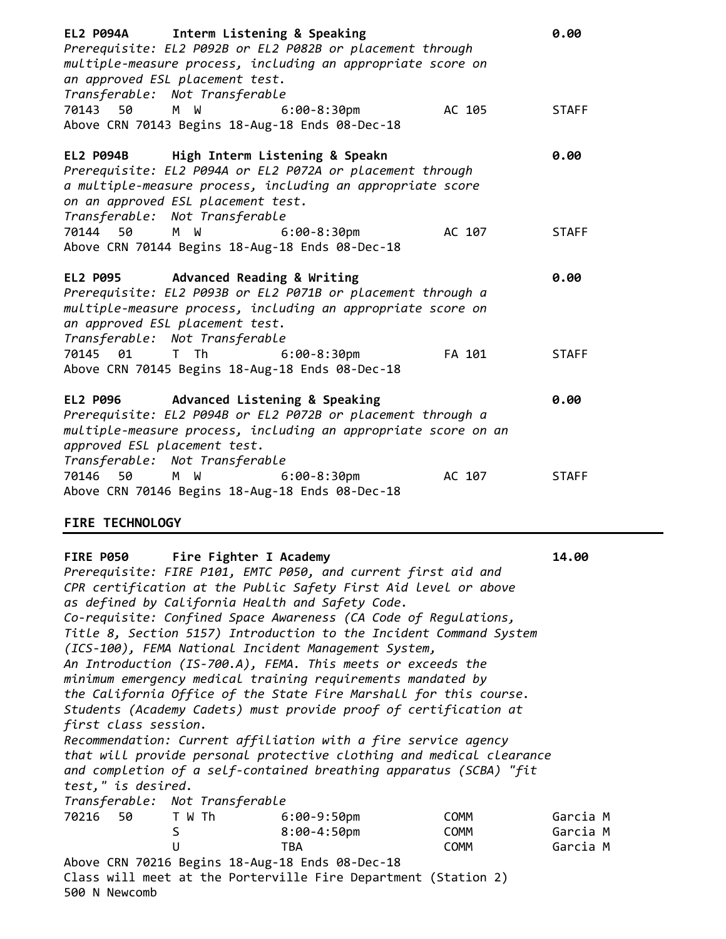| Interm Listening & Speaking<br><b>EL2 P094A</b><br>Prerequisite: EL2 P092B or EL2 P082B or placement through<br>multiple-measure process, including an appropriate score on<br>an approved ESL placement test.<br>Transferable: Not Transferable                                                                                                                                                                                                                                                                                                                                                                                                                                                                                                                                                                                                                   | 0.00         |
|--------------------------------------------------------------------------------------------------------------------------------------------------------------------------------------------------------------------------------------------------------------------------------------------------------------------------------------------------------------------------------------------------------------------------------------------------------------------------------------------------------------------------------------------------------------------------------------------------------------------------------------------------------------------------------------------------------------------------------------------------------------------------------------------------------------------------------------------------------------------|--------------|
| 70143 50<br>W<br>$6:00-8:30$ pm<br>AC 105<br>M<br>Above CRN 70143 Begins 18-Aug-18 Ends 08-Dec-18                                                                                                                                                                                                                                                                                                                                                                                                                                                                                                                                                                                                                                                                                                                                                                  | <b>STAFF</b> |
| High Interm Listening & Speakn<br><b>EL2 P094B</b><br>Prerequisite: EL2 P094A or EL2 P072A or placement through<br>a multiple-measure process, including an appropriate score<br>on an approved ESL placement test.<br>Transferable: Not Transferable                                                                                                                                                                                                                                                                                                                                                                                                                                                                                                                                                                                                              | 0.00         |
| 70144 50<br>W<br>$6:00-8:30$ pm<br>AC 107<br>M <sub>1</sub><br>Above CRN 70144 Begins 18-Aug-18 Ends 08-Dec-18                                                                                                                                                                                                                                                                                                                                                                                                                                                                                                                                                                                                                                                                                                                                                     | <b>STAFF</b> |
| <b>EL2 P095</b><br><b>Advanced Reading &amp; Writing</b><br>Prerequisite: EL2 P093B or EL2 P071B or placement through a<br>multiple-measure process, including an appropriate score on<br>an approved ESL placement test.<br>Transferable: Not Transferable                                                                                                                                                                                                                                                                                                                                                                                                                                                                                                                                                                                                        | 0.00         |
| 70145 01<br>T Th<br>$6:00-8:30$ pm<br>FA 101<br>Above CRN 70145 Begins 18-Aug-18 Ends 08-Dec-18                                                                                                                                                                                                                                                                                                                                                                                                                                                                                                                                                                                                                                                                                                                                                                    | <b>STAFF</b> |
| <b>EL2 P096</b><br>Advanced Listening & Speaking<br>Prerequisite: EL2 P094B or EL2 P072B or placement through a<br>multiple-measure process, including an appropriate score on an<br>approved ESL placement test.<br>Transferable: Not Transferable                                                                                                                                                                                                                                                                                                                                                                                                                                                                                                                                                                                                                | 0.00         |
| 70146 50<br>W<br>$6:00-8:30$ pm<br>AC 107<br>M l<br>Above CRN 70146 Begins 18-Aug-18 Ends 08-Dec-18                                                                                                                                                                                                                                                                                                                                                                                                                                                                                                                                                                                                                                                                                                                                                                | <b>STAFF</b> |
| <b>FIRE TECHNOLOGY</b>                                                                                                                                                                                                                                                                                                                                                                                                                                                                                                                                                                                                                                                                                                                                                                                                                                             |              |
| FIRE P050 Fire Fighter I Academy<br>Prerequisite: FIRE P101, EMTC P050, and current first aid and<br>CPR certification at the Public Safety First Aid level or above<br>as defined by California Health and Safety Code.<br>Co-requisite: Confined Space Awareness (CA Code of Regulations,<br>Title 8, Section 5157) Introduction to the Incident Command System<br>(ICS-100), FEMA National Incident Management System,<br>An Introduction (IS-700.A), FEMA. This meets or exceeds the<br>minimum emergency medical training requirements mandated by<br>the California Office of the State Fire Marshall for this course.<br>Students (Academy Cadets) must provide proof of certification at<br>first class session.<br>Recommendation: Current affiliation with a fire service agency<br>that will provide personal protective clothing and medical clearance | 14.00        |
| and completion of a self-contained breathing apparatus (SCBA) "fit<br>test," is desired.<br>Transferable: Not Transferable                                                                                                                                                                                                                                                                                                                                                                                                                                                                                                                                                                                                                                                                                                                                         |              |

| 70216 | 50. | T W Th | 6:00-9:50pm                                     | COMM | Garcia M |
|-------|-----|--------|-------------------------------------------------|------|----------|
|       |     |        | 8:00-4:50pm                                     | COMM | Garcia M |
|       |     |        | TBA                                             | COMM | Garcia M |
|       |     |        | Above CRN 70216 Begins 18-Aug-18 Ends 08-Dec-18 |      |          |
|       |     |        |                                                 |      |          |

Class will meet at the Porterville Fire Department (Station 2) 500 N Newcomb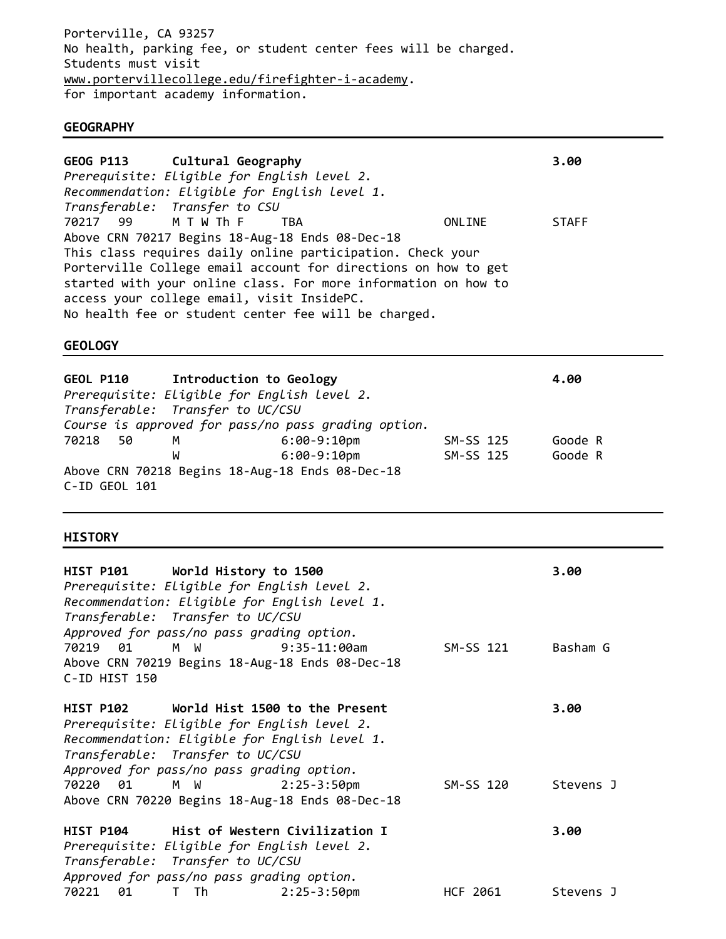Porterville, CA 93257 No health, parking fee, or student center fees will be charged. Students must visit [www.portervillecollege.edu/firefighter-i-academy.](http://www.portervillecollege.edu/firefighter-i-academy) for important academy information.

### **GEOGRAPHY**

|                 | GEOG P113 Cultural Geography               |                                                            |                                                                | 3.00         |
|-----------------|--------------------------------------------|------------------------------------------------------------|----------------------------------------------------------------|--------------|
|                 |                                            | Prerequisite: Eligible for English level 2.                |                                                                |              |
|                 |                                            | Recommendation: Eligible for English level 1.              |                                                                |              |
|                 | Transferable: Transfer to CSU              |                                                            |                                                                |              |
| 70217 99 MTWThF |                                            | TBA                                                        | ONLINE                                                         | <b>STAFF</b> |
|                 |                                            | Above CRN 70217 Begins 18-Aug-18 Ends 08-Dec-18            |                                                                |              |
|                 |                                            | This class requires daily online participation. Check your |                                                                |              |
|                 |                                            |                                                            | Porterville College email account for directions on how to get |              |
|                 |                                            |                                                            | started with your online class. For more information on how to |              |
|                 | access your college email, visit InsidePC. |                                                            |                                                                |              |
|                 |                                            | No health fee or student center fee will be charged.       |                                                                |              |

### **GEOLOGY**

|                                  |   | GEOL P110 Introduction to Geology                   |           | 4.00    |
|----------------------------------|---|-----------------------------------------------------|-----------|---------|
|                                  |   | Prerequisite: Eligible for English level 2.         |           |         |
| Transferable: Transfer to UC/CSU |   |                                                     |           |         |
|                                  |   | Course is approved for pass/no pass grading option. |           |         |
| 70218 50                         | М | 6:00-9:10pm                                         | SM-SS 125 | Goode R |
|                                  | W | $6:00-9:10$ pm                                      | SM-SS 125 | Goode R |
|                                  |   | Above CRN 70218 Begins 18-Aug-18 Ends 08-Dec-18     |           |         |
| C-ID GEOL 101                    |   |                                                     |           |         |

### **HISTORY**

| HIST P101 World History to 1500<br>Prerequisite: Eligible for English level 2.<br>Recommendation: Eligible for English level 1.<br>Transferable: Transfer to UC/CSU<br>Approved for pass/no pass grading option.          |                       |           | 3.00      |
|---------------------------------------------------------------------------------------------------------------------------------------------------------------------------------------------------------------------------|-----------------------|-----------|-----------|
| Above CRN 70219 Begins 18-Aug-18 Ends 08-Dec-18<br>C-ID HIST 150                                                                                                                                                          |                       | SM-SS 121 | Basham G  |
| HIST P102 World Hist 1500 to the Present<br>Prerequisite: Eligible for English level 2.<br>Recommendation: Eligible for English level 1.<br>Transferable: Transfer to UC/CSU<br>Approved for pass/no pass grading option. |                       |           | 3.00      |
| 70220 01 M W<br>Above CRN 70220 Begins 18-Aug-18 Ends 08-Dec-18                                                                                                                                                           | $2:25-3:50 \text{pm}$ | SM-SS 120 | Stevens J |
| HIST P104 Hist of Western Civilization I<br>Prerequisite: Eligible for English level 2.<br>Transferable: Transfer to UC/CSU<br>Approved for pass/no pass grading option.                                                  |                       |           | 3.00      |
| T Th<br>70221<br>01                                                                                                                                                                                                       | $2:25-3:50$ pm        | HCF 2061  | Stevens J |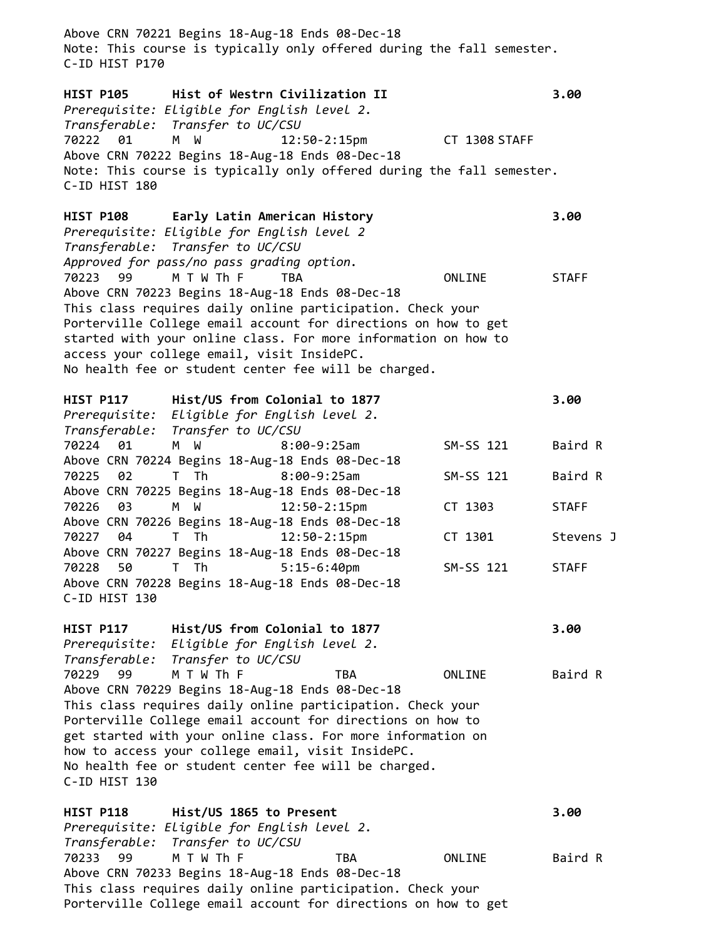Above CRN 70221 Begins 18-Aug-18 Ends 08-Dec-18 Note: This course is typically only offered during the fall semester. C-ID HIST P170 **HIST P105 Hist of Westrn Civilization II 3.00** *Prerequisite: Eligible for English level 2. Transferable: Transfer to UC/CSU* 70222 01 M W 12:50-2:15pm CT 1308 STAFF Above CRN 70222 Begins 18-Aug-18 Ends 08-Dec-18 Note: This course is typically only offered during the fall semester. C-ID HIST 180 **HIST P108 Early Latin American History 3.00** *Prerequisite: Eligible for English level 2 Transferable: Transfer to UC/CSU Approved for pass/no pass grading option.*  70223 99 M T W Th F TBA ONLINE STAFF Above CRN 70223 Begins 18-Aug-18 Ends 08-Dec-18 This class requires daily online participation. Check your Porterville College email account for directions on how to get started with your online class. For more information on how to access your college email, visit InsidePC. No health fee or student center fee will be charged. **HIST P117 Hist/US from Colonial to 1877 3.00** *Prerequisite: Eligible for English level 2. Transferable: Transfer to UC/CSU* 70224 01 M W 8:00-9:25am SM-SS 121 Baird R Above CRN 70224 Begins 18-Aug-18 Ends 08-Dec-18 70225 02 T Th 8:00-9:25am SM-SS 121 Baird R Above CRN 70225 Begins 18-Aug-18 Ends 08-Dec-18 70226 03 M W 12:50-2:15pm CT 1303 STAFF Above CRN 70226 Begins 18-Aug-18 Ends 08-Dec-18 70227 04 T Th 12:50-2:15pm CT 1301 Stevens J Above CRN 70227 Begins 18-Aug-18 Ends 08-Dec-18 70228 50 T Th 5:15-6:40pm SM-SS 121 STAFF Above CRN 70228 Begins 18-Aug-18 Ends 08-Dec-18 C-ID HIST 130 **HIST P117 Hist/US from Colonial to 1877 3.00** *Prerequisite: Eligible for English level 2. Transferable: Transfer to UC/CSU* 70229 99 M T W Th F TBA ONLINE Baird R Above CRN 70229 Begins 18-Aug-18 Ends 08-Dec-18 This class requires daily online participation. Check your Porterville College email account for directions on how to get started with your online class. For more information on how to access your college email, visit InsidePC. No health fee or student center fee will be charged. C-ID HIST 130 **HIST P118 Hist/US 1865 to Present 3.00** *Prerequisite: Eligible for English level 2. Transferable: Transfer to UC/CSU* 70233 99 M T W Th F TBA ONLINE Baird R Above CRN 70233 Begins 18-Aug-18 Ends 08-Dec-18

This class requires daily online participation. Check your Porterville College email account for directions on how to get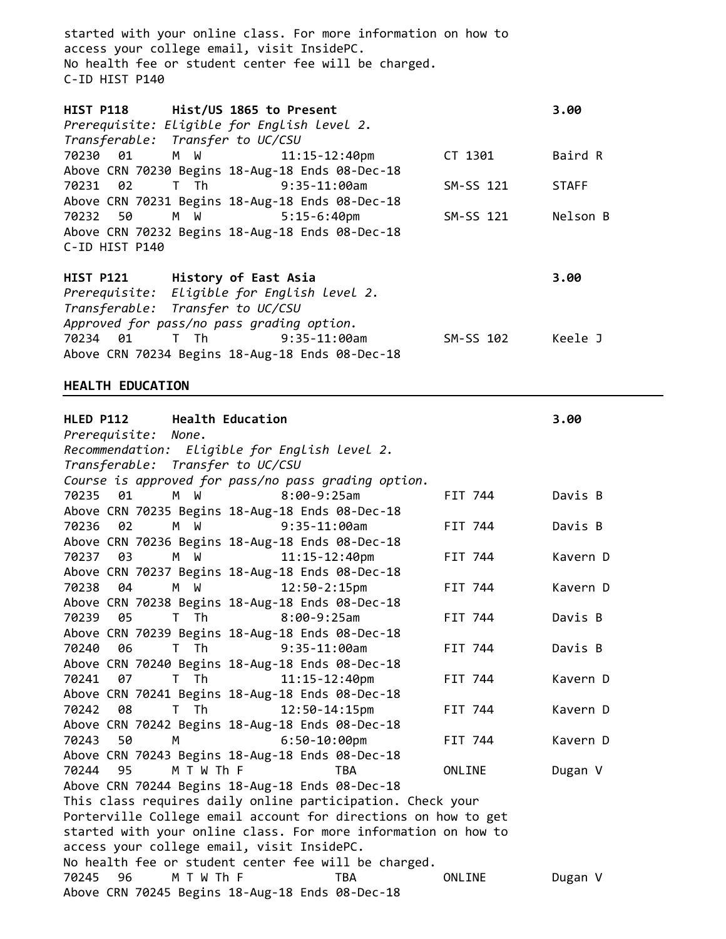started with your online class. For more information on how to access your college email, visit InsidePC. No health fee or student center fee will be charged. C-ID HIST P140

| HIST P118 Hist/US 1865 to Present |                      |                                                 |           | 3.00         |
|-----------------------------------|----------------------|-------------------------------------------------|-----------|--------------|
|                                   |                      | Prerequisite: Eligible for English level 2.     |           |              |
| Transferable: Transfer to UC/CSU  |                      |                                                 |           |              |
|                                   |                      | 70230 01 M W 11:15-12:40pm                      | CT 1301   | Baird R      |
|                                   |                      | Above CRN 70230 Begins 18-Aug-18 Ends 08-Dec-18 |           |              |
|                                   |                      | 70231 02 T Th 9:35-11:00am                      | SM-SS 121 | <b>STAFF</b> |
|                                   |                      | Above CRN 70231 Begins 18-Aug-18 Ends 08-Dec-18 |           |              |
|                                   |                      | 70232 50 M W 5:15-6:40pm                        | SM-SS 121 | Nelson B     |
|                                   |                      | Above CRN 70232 Begins 18-Aug-18 Ends 08-Dec-18 |           |              |
| C-ID HIST P140                    |                      |                                                 |           |              |
|                                   |                      |                                                 |           |              |
| <b>HIST P121</b>                  | History of East Asia |                                                 |           | 3.00         |
|                                   |                      | Preneguisite: Eligible for English Level 2      |           |              |

*Prerequisite: Eligible for English level 2. Transferable: Transfer to UC/CSU Approved for pass/no pass grading option.* 70234 01 T Th 9:35-11:00am SM-SS 102 Keele J Above CRN 70234 Begins 18-Aug-18 Ends 08-Dec-18

### **HEALTH EDUCATION**

| <b>HLED P112</b> | <b>Health Education</b>                    |                                                                |         | 3.00     |
|------------------|--------------------------------------------|----------------------------------------------------------------|---------|----------|
| Prerequisite:    | None.                                      |                                                                |         |          |
|                  |                                            | Recommendation: Eligible for English level 2.                  |         |          |
|                  | Transferable: Transfer to UC/CSU           |                                                                |         |          |
|                  |                                            | Course is approved for pass/no pass grading option.            |         |          |
| 70235<br>01      | M W                                        | $8:00-9:25am$                                                  | FIT 744 | Davis B  |
|                  |                                            | Above CRN 70235 Begins 18-Aug-18 Ends 08-Dec-18                |         |          |
| 70236<br>02      | M W                                        | $9:35-11:00am$                                                 | FIT 744 | Davis B  |
|                  |                                            | Above CRN 70236 Begins 18-Aug-18 Ends 08-Dec-18                |         |          |
| 03<br>70237      | M W                                        | $11:15 - 12:40$ pm                                             | FIT 744 | Kavern D |
|                  |                                            | Above CRN 70237 Begins 18-Aug-18 Ends 08-Dec-18                |         |          |
| 70238<br>04      | M W                                        | $12:50 - 2:15$ pm                                              | FIT 744 | Kavern D |
|                  |                                            | Above CRN 70238 Begins 18-Aug-18 Ends 08-Dec-18                |         |          |
| 70239<br>05      | T Th                                       | $8:00-9:25am$                                                  | FIT 744 | Davis B  |
|                  |                                            | Above CRN 70239 Begins 18-Aug-18 Ends 08-Dec-18                |         |          |
| 70240<br>06      | T Th                                       | $9:35-11:00am$                                                 | FIT 744 | Davis B  |
|                  |                                            | Above CRN 70240 Begins 18-Aug-18 Ends 08-Dec-18                |         |          |
| 70241<br>07      | T Th                                       | $11:15 - 12:40$ pm                                             | FIT 744 | Kavern D |
|                  |                                            | Above CRN 70241 Begins 18-Aug-18 Ends 08-Dec-18                |         |          |
| 08<br>70242      | T Th                                       | $12:50 - 14:15$ pm                                             | FIT 744 | Kavern D |
|                  |                                            | Above CRN 70242 Begins 18-Aug-18 Ends 08-Dec-18                |         |          |
| 70243<br>50      | $M \sim 1$                                 | $6:50-10:00$ pm                                                | FIT 744 | Kavern D |
|                  |                                            | Above CRN 70243 Begins 18-Aug-18 Ends 08-Dec-18                |         |          |
| 70244<br>95      | M T W Th F                                 | <b>TBA</b>                                                     | ONLINE  | Dugan V  |
|                  |                                            | Above CRN 70244 Begins 18-Aug-18 Ends 08-Dec-18                |         |          |
|                  |                                            | This class requires daily online participation. Check your     |         |          |
|                  |                                            | Porterville College email account for directions on how to get |         |          |
|                  |                                            | started with your online class. For more information on how to |         |          |
|                  | access your college email, visit InsidePC. |                                                                |         |          |
|                  |                                            | No health fee or student center fee will be charged.           |         |          |
| 96<br>70245      | M T W Th F                                 | <b>TBA</b>                                                     | ONLINE  | Dugan V  |
|                  |                                            | Above CRN 70245 Begins 18-Aug-18 Ends 08-Dec-18                |         |          |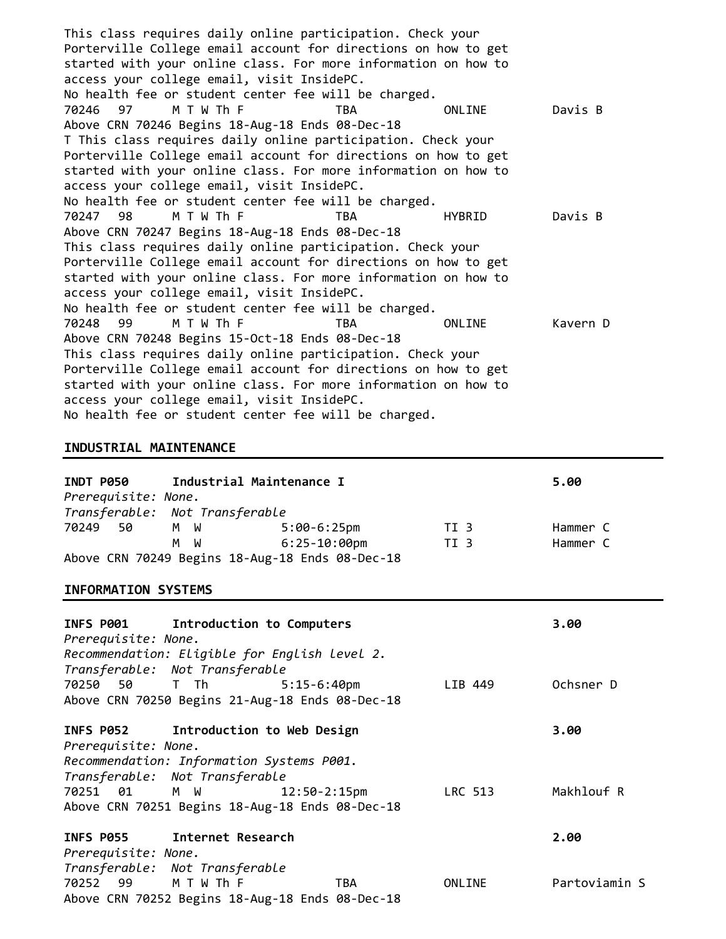This class requires daily online participation. Check your Porterville College email account for directions on how to get started with your online class. For more information on how to access your college email, visit InsidePC. No health fee or student center fee will be charged. 70246 97 M T W Th F TBA ONLINE Davis B Above CRN 70246 Begins 18-Aug-18 Ends 08-Dec-18 T This class requires daily online participation. Check your Porterville College email account for directions on how to get started with your online class. For more information on how to access your college email, visit InsidePC. No health fee or student center fee will be charged. 70247 98 M T W Th F TBA HYBRID Davis B Above CRN 70247 Begins 18-Aug-18 Ends 08-Dec-18 This class requires daily online participation. Check your Porterville College email account for directions on how to get started with your online class. For more information on how to access your college email, visit InsidePC. No health fee or student center fee will be charged. 70248 99 M T W Th F TBA ONLINE Kavern D Above CRN 70248 Begins 15-Oct-18 Ends 08-Dec-18 This class requires daily online participation. Check your Porterville College email account for directions on how to get started with your online class. For more information on how to access your college email, visit InsidePC. No health fee or student center fee will be charged.

#### **INDUSTRIAL MAINTENANCE**

| INDT P050                      |     | Industrial Maintenance I                        |      | 5.00     |
|--------------------------------|-----|-------------------------------------------------|------|----------|
| Prerequisite: None.            |     |                                                 |      |          |
| Transferable: Not Transferable |     |                                                 |      |          |
| 70249<br>- 50                  | M W | 5:00-6:25pm                                     | TI 3 | Hammer C |
|                                | M W | 6:25-10:00pm                                    | TI 3 | Hammer C |
|                                |     | Above CRN 70249 Begins 18-Aug-18 Ends 08-Dec-18 |      |          |

#### **INFORMATION SYSTEMS**

| Prerequisite: None. | INFS P001 Introduction to Computers             |     |         | 3.00          |
|---------------------|-------------------------------------------------|-----|---------|---------------|
|                     | Recommendation: Eligible for English level 2.   |     |         |               |
|                     | Transferable: Not Transferable                  |     |         |               |
|                     | 70250 50 T Th 5:15-6:40pm                       |     | LIB 449 | Ochsner D     |
|                     | Above CRN 70250 Begins 21-Aug-18 Ends 08-Dec-18 |     |         |               |
|                     | INFS P052 Introduction to Web Design            |     |         | 3.00          |
| Prerequisite: None. |                                                 |     |         |               |
|                     | Recommendation: Information Systems P001.       |     |         |               |
|                     | Transferable: Not Transferable                  |     |         |               |
|                     | 70251 01 M W<br>$12:50-2:15p$ m                 |     | LRC 513 | Makhlouf R    |
|                     | Above CRN 70251 Begins 18-Aug-18 Ends 08-Dec-18 |     |         |               |
|                     | INFS P055 Internet Research                     |     |         | 2.00          |
| Prerequisite: None. |                                                 |     |         |               |
|                     | Transferable: Not Transferable                  |     |         |               |
| 70252 99 MTWThF     |                                                 | TBA | ONLINE  | Partoviamin S |
|                     | Above CRN 70252 Begins 18-Aug-18 Ends 08-Dec-18 |     |         |               |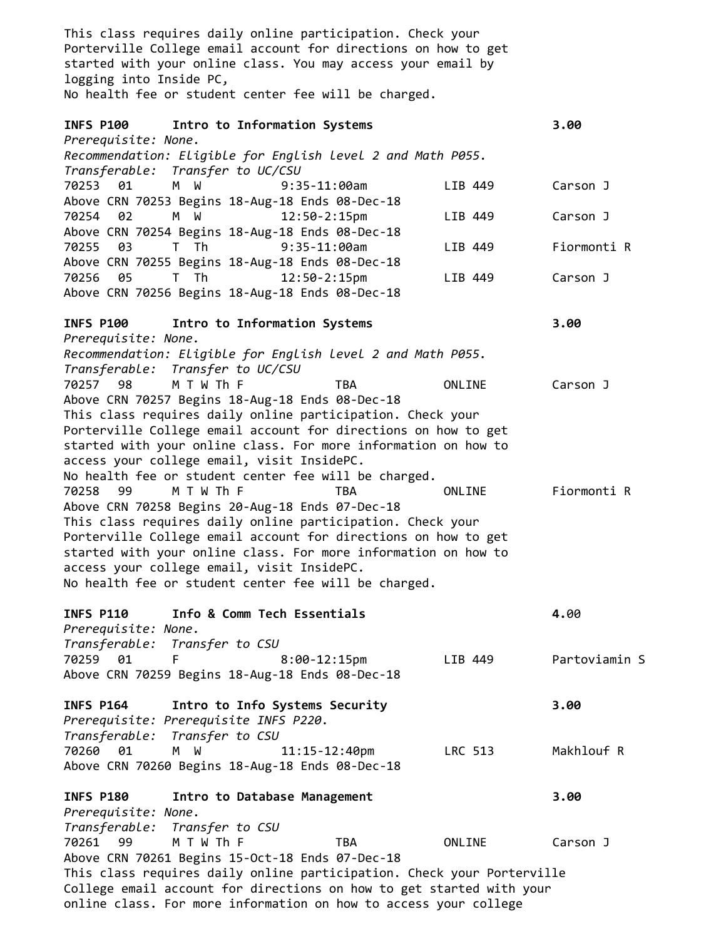This class requires daily online participation. Check your Porterville College email account for directions on how to get started with your online class. You may access your email by logging into Inside PC, No health fee or student center fee will be charged. **INFS P100 Intro to Information Systems 3.00** *Prerequisite: None. Recommendation: Eligible for English level 2 and Math P055. Transferable: Transfer to UC/CSU* 70253 01 M W 9:35-11:00am LIB 449 Carson J Above CRN 70253 Begins 18-Aug-18 Ends 08-Dec-18 70254 02 M W 12:50-2:15pm LIB 449 Carson J Above CRN 70254 Begins 18-Aug-18 Ends 08-Dec-18 70255 03 T Th 9:35-11:00am LIB 449 Fiormonti R Above CRN 70255 Begins 18-Aug-18 Ends 08-Dec-18 70256 05 T Th 12:50-2:15pm LIB 449 Carson J Above CRN 70256 Begins 18-Aug-18 Ends 08-Dec-18 **INFS P100 Intro to Information Systems 3.00** *Prerequisite: None. Recommendation: Eligible for English level 2 and Math P055. Transferable: Transfer to UC/CSU* 70257 98 M T W Th F TBA ONLINE Carson J Above CRN 70257 Begins 18-Aug-18 Ends 08-Dec-18 This class requires daily online participation. Check your Porterville College email account for directions on how to get started with your online class. For more information on how to access your college email, visit InsidePC. No health fee or student center fee will be charged. 70258 99 M T W Th F TBA ONLINE Fiormonti R Above CRN 70258 Begins 20-Aug-18 Ends 07-Dec-18 This class requires daily online participation. Check your Porterville College email account for directions on how to get started with your online class. For more information on how to access your college email, visit InsidePC. No health fee or student center fee will be charged. **INFS P110 Info & Comm Tech Essentials 4.**00 *Prerequisite: None. Transferable: Transfer to CSU* 70259 01 F 8:00-12:15pm LIB 449 Partoviamin S Above CRN 70259 Begins 18-Aug-18 Ends 08-Dec-18 **INFS P164 Intro to Info Systems Security 3.00** *Prerequisite: Prerequisite INFS P220. Transferable: Transfer to CSU* 70260 01 M W 11:15-12:40pm LRC 513 Makhlouf R Above CRN 70260 Begins 18-Aug-18 Ends 08-Dec-18 **INFS P180 Intro to Database Management 3.00** *Prerequisite: None. Transferable: Transfer to CSU* 70261 99 M T W Th F TBA ONLINE Carson J Above CRN 70261 Begins 15-Oct-18 Ends 07-Dec-18 This class requires daily online participation. Check your Porterville College email account for directions on how to get started with your online class. For more information on how to access your college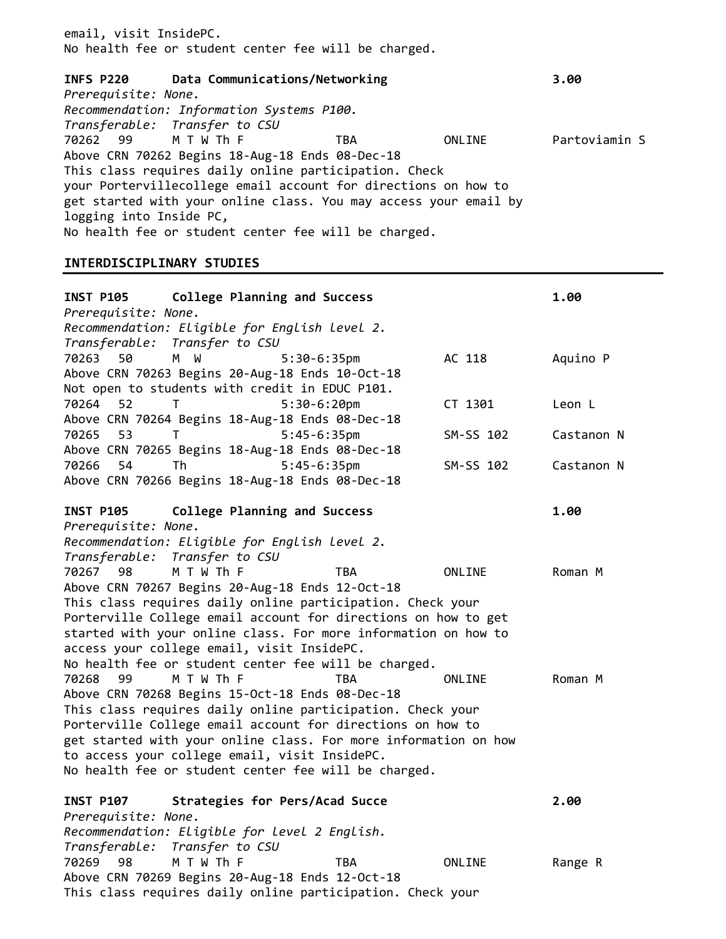email, visit InsidePC. No health fee or student center fee will be charged.

**INFS P220 Data Communications/Networking 3.00** *Prerequisite: None. Recommendation: Information Systems P100. Transferable: Transfer to CSU* M T W Th F TBA TONLINE Partoviamin S Above CRN 70262 Begins 18-Aug-18 Ends 08-Dec-18 This class requires daily online participation. Check your Portervillecollege email account for directions on how to get started with your online class. You may access your email by logging into Inside PC, No health fee or student center fee will be charged.

#### **INTERDISCIPLINARY STUDIES**

| INST P105 College Planning and Success                                                                                                                                                                                                                                                                                                                                                             |           | 1.00       |
|----------------------------------------------------------------------------------------------------------------------------------------------------------------------------------------------------------------------------------------------------------------------------------------------------------------------------------------------------------------------------------------------------|-----------|------------|
| Prerequisite: None.<br>Recommendation: Eligible for English level 2.<br>Transferable: Transfer to CSU                                                                                                                                                                                                                                                                                              |           |            |
| 70263<br>50<br>W<br>M .<br>$5:30-6:35$ pm<br>Above CRN 70263 Begins 20-Aug-18 Ends 10-Oct-18                                                                                                                                                                                                                                                                                                       | AC 118    | Aquino P   |
| Not open to students with credit in EDUC P101.<br>70264<br>52<br>$5:30-6:20$ pm<br>т<br>Above CRN 70264 Begins 18-Aug-18 Ends 08-Dec-18                                                                                                                                                                                                                                                            | CT 1301   | Leon L     |
| 53<br>$5:45-6:35$ pm<br>70265<br>Τ<br>Above CRN 70265 Begins 18-Aug-18 Ends 08-Dec-18                                                                                                                                                                                                                                                                                                              | SM-SS 102 | Castanon N |
| 54<br>$5:45-6:35$ pm<br>70266<br>Th<br>Above CRN 70266 Begins 18-Aug-18 Ends 08-Dec-18                                                                                                                                                                                                                                                                                                             | SM-SS 102 | Castanon N |
| College Planning and Success<br><b>INST P105</b><br>Prerequisite: None.<br>Recommendation: Eligible for English level 2.                                                                                                                                                                                                                                                                           |           | 1.00       |
| Transferable:<br>Transfer to CSU<br>70267<br>M T W Th F<br>98<br>TBA<br>Above CRN 70267 Begins 20-Aug-18 Ends 12-Oct-18                                                                                                                                                                                                                                                                            | ONLINE    | Roman M    |
| This class requires daily online participation. Check your<br>Porterville College email account for directions on how to get<br>started with your online class. For more information on how to<br>access your college email, visit InsidePC.<br>No health fee or student center fee will be charged.                                                                                               |           |            |
| M T W Th F<br>70268<br><b>TBA</b><br>99<br>Above CRN 70268 Begins 15-Oct-18 Ends 08-Dec-18<br>This class requires daily online participation. Check your<br>Porterville College email account for directions on how to<br>get started with your online class. For more information on how<br>to access your college email, visit InsidePC.<br>No health fee or student center fee will be charged. | ONLINE    | Roman M    |
| Strategies for Pers/Acad Succe<br><b>INST P107</b><br>Prerequisite: None.<br>Recommendation: Eligible for level 2 English.                                                                                                                                                                                                                                                                         |           | 2.00       |
| Transfer to CSU<br>Transferable:<br>70269<br>M T W Th F<br>98<br>TBA<br>Above CRN 70269 Begins 20-Aug-18 Ends 12-Oct-18                                                                                                                                                                                                                                                                            | ONLINE    | Range R    |

This class requires daily online participation. Check your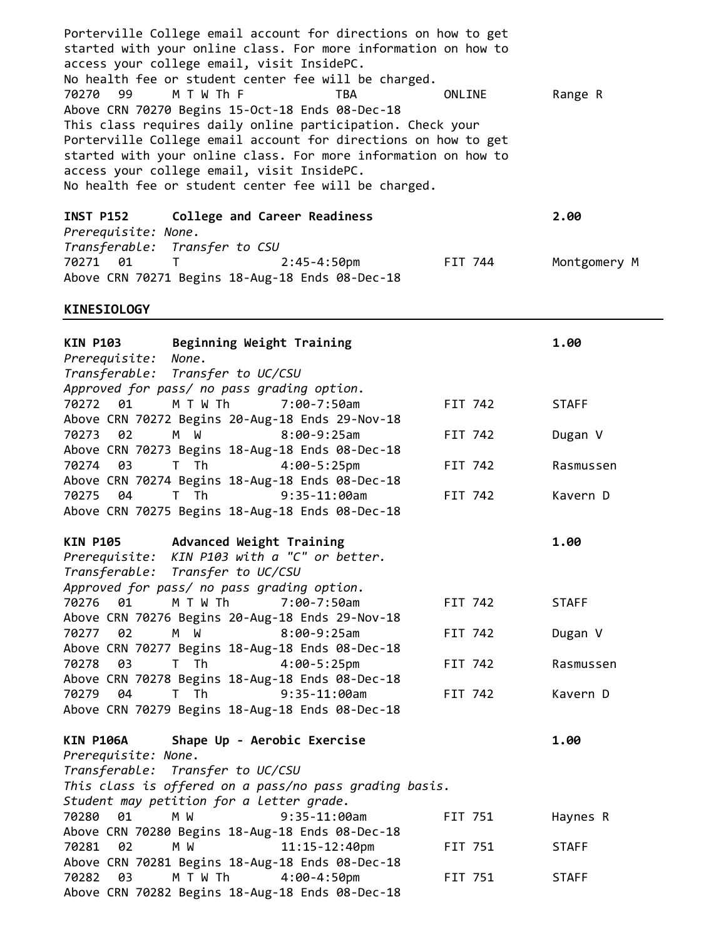Porterville College email account for directions on how to get started with your online class. For more information on how to access your college email, visit InsidePC. No health fee or student center fee will be charged. 70270 99 M T W Th F TBA ONLINE Range R Above CRN 70270 Begins 15-Oct-18 Ends 08-Dec-18 This class requires daily online participation. Check your Porterville College email account for directions on how to get started with your online class. For more information on how to access your college email, visit InsidePC. No health fee or student center fee will be charged.

**INST P152 College and Career Readiness 2.00** *Prerequisite: None. Transferable: Transfer to CSU* 70271 01 T 2:45-4:50pm FIT 744 Montgomery M Above CRN 70271 Begins 18-Aug-18 Ends 08-Dec-18

#### **KINESIOLOGY**

| Beginning Weight Training<br><b>KIN P103</b>               |         | 1.00         |
|------------------------------------------------------------|---------|--------------|
| None.<br>Prerequisite:                                     |         |              |
| Transferable: Transfer to UC/CSU                           |         |              |
| Approved for pass/ no pass grading option.                 |         |              |
| 01<br>M T W Th<br>70272<br>$7:00 - 7:50$ am                | FIT 742 | <b>STAFF</b> |
| Above CRN 70272 Begins 20-Aug-18 Ends 29-Nov-18            |         |              |
| $8:00-9:25am$<br>70273<br>02<br>M W                        | FIT 742 | Dugan V      |
| Above CRN 70273 Begins 18-Aug-18 Ends 08-Dec-18            |         |              |
| $4:00-5:25$ pm<br>70274<br>03<br>T Th                      | FIT 742 | Rasmussen    |
| Above CRN 70274 Begins 18-Aug-18 Ends 08-Dec-18            |         |              |
| T Th<br>$9:35-11:00am$<br>70275<br>04                      | FIT 742 | Kavern D     |
| Above CRN 70275 Begins 18-Aug-18 Ends 08-Dec-18            |         |              |
| <b>KIN P105</b><br>Advanced Weight Training                |         | 1.00         |
| Prerequisite: KIN P103 with a "C" or better.               |         |              |
| Transferable: Transfer to UC/CSU                           |         |              |
| Approved for pass/ no pass grading option.                 |         |              |
| 01<br>M T W Th<br>70276<br>$7:00 - 7:50$ am                | FIT 742 | <b>STAFF</b> |
| Above CRN 70276 Begins 20-Aug-18 Ends 29-Nov-18            |         |              |
| $8:00-9:25am$<br>70277<br>02<br>M W                        | FIT 742 | Dugan V      |
| Above CRN 70277 Begins 18-Aug-18 Ends 08-Dec-18            |         |              |
| 03<br>T Th<br>$4:00 - 5:25$ pm<br>70278                    | FIT 742 | Rasmussen    |
| Above CRN 70278 Begins 18-Aug-18 Ends 08-Dec-18            |         |              |
| <b>Th</b><br>$9:35-11:00am$<br>70279<br>04<br>$\mathsf{T}$ | FIT 742 | Kavern D     |
| Above CRN 70279 Begins 18-Aug-18 Ends 08-Dec-18            |         |              |
| Shape Up - Aerobic Exercise<br><b>KIN P106A</b>            |         | 1.00         |
| Prerequisite: None.                                        |         |              |
| Transferable: Transfer to UC/CSU                           |         |              |
| This class is offered on a pass/no pass grading basis.     |         |              |
| Student may petition for a letter grade.                   |         |              |
| 70280<br>01<br>M W<br>$9:35-11:00am$                       | FIT 751 | Haynes R     |
| Above CRN 70280 Begins 18-Aug-18 Ends 08-Dec-18            |         |              |
| 02<br>$11:15 - 12:40$ pm<br>70281<br>M W                   | FIT 751 | <b>STAFF</b> |
| Above CRN 70281 Begins 18-Aug-18 Ends 08-Dec-18            |         |              |
| 70282<br>03<br>M T W Th<br>$4:00 - 4:50$ pm                | FIT 751 | <b>STAFF</b> |
| Above CRN 70282 Begins 18-Aug-18 Ends 08-Dec-18            |         |              |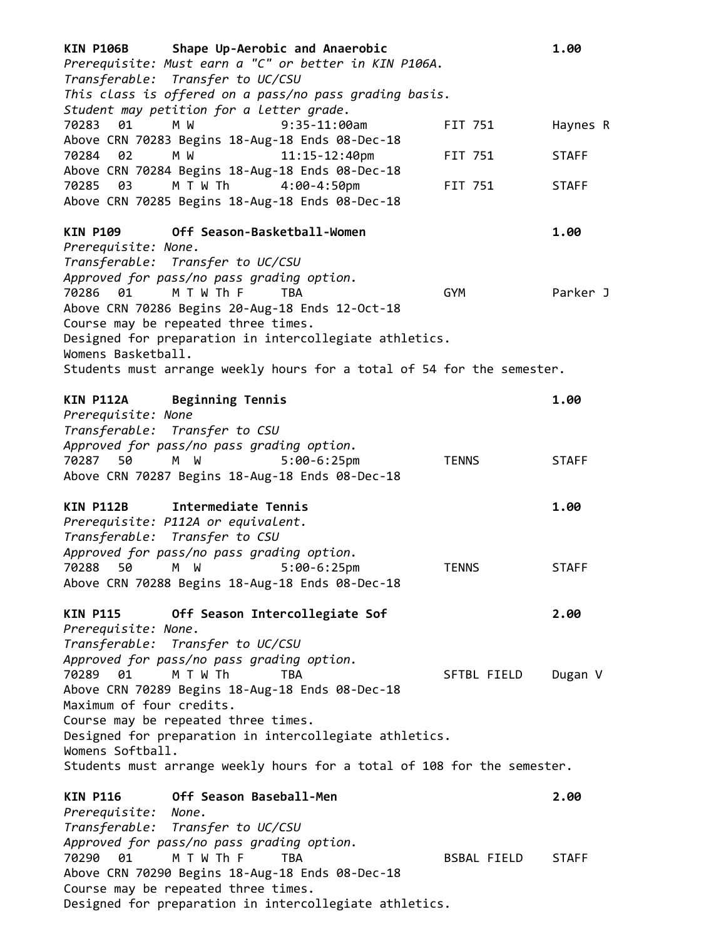| <b>KIN P106B</b><br>Shape Up-Aerobic and Anaerobic<br>Prerequisite: Must earn a "C" or better in KIN P106A.<br>Transferable: Transfer to UC/CSU<br>This class is offered on a pass/no pass grading basis. |              | 1.00         |
|-----------------------------------------------------------------------------------------------------------------------------------------------------------------------------------------------------------|--------------|--------------|
| Student may petition for a letter grade.<br>70283<br>01<br>M W<br>$9:35-11:00am$<br>Above CRN 70283 Begins 18-Aug-18 Ends 08-Dec-18                                                                       | FIT 751      | Haynes R     |
| $11:15 - 12:40$ pm<br>70284<br>02<br>M W<br>Above CRN 70284 Begins 18-Aug-18 Ends 08-Dec-18                                                                                                               | FIT 751      | <b>STAFF</b> |
| 70285<br>03<br>M T W Th<br>$4:00 - 4:50$ pm<br>Above CRN 70285 Begins 18-Aug-18 Ends 08-Dec-18                                                                                                            | FIT 751      | <b>STAFF</b> |
| Off Season-Basketball-Women<br><b>KIN P109</b><br>Prerequisite: None.                                                                                                                                     |              | 1.00         |
| Transferable: Transfer to UC/CSU<br>Approved for pass/no pass grading option.<br>M T W Th F<br>70286 01<br><b>TBA</b>                                                                                     | <b>GYM</b>   | Parker J     |
| Above CRN 70286 Begins 20-Aug-18 Ends 12-Oct-18<br>Course may be repeated three times.                                                                                                                    |              |              |
| Designed for preparation in intercollegiate athletics.<br>Womens Basketball.<br>Students must arrange weekly hours for a total of 54 for the semester.                                                    |              |              |
|                                                                                                                                                                                                           |              |              |
| <b>Beginning Tennis</b><br><b>KIN P112A</b><br>Prerequisite: None                                                                                                                                         |              | 1.00         |
| Transferable: Transfer to CSU                                                                                                                                                                             |              |              |
| Approved for pass/no pass grading option.<br>M W<br>70287 50<br>$5:00-6:25$ pm                                                                                                                            | <b>TENNS</b> | <b>STAFF</b> |
| Above CRN 70287 Begins 18-Aug-18 Ends 08-Dec-18                                                                                                                                                           |              |              |
| Intermediate Tennis<br><b>KIN P112B</b>                                                                                                                                                                   |              | 1.00         |
| Prerequisite: P112A or equivalent.                                                                                                                                                                        |              |              |
| Transferable: Transfer to CSU<br>Approved for pass/no pass grading option.                                                                                                                                |              |              |
| 70288 50<br>$5:00-6:25$ pm<br>M W V                                                                                                                                                                       | <b>TENNS</b> | <b>STAFF</b> |
| Above CRN 70288 Begins 18-Aug-18 Ends 08-Dec-18                                                                                                                                                           |              |              |
| Off Season Intercollegiate Sof<br><b>KIN P115</b><br>Prerequisite: None.                                                                                                                                  |              | 2.00         |
| Transferable: Transfer to UC/CSU                                                                                                                                                                          |              |              |
| Approved for pass/no pass grading option.                                                                                                                                                                 |              |              |
| M T W Th<br>70289<br>01<br>TBA                                                                                                                                                                            | SFTBL FIELD  | Dugan V      |
| Above CRN 70289 Begins 18-Aug-18 Ends 08-Dec-18<br>Maximum of four credits.                                                                                                                               |              |              |
| Course may be repeated three times.                                                                                                                                                                       |              |              |
| Designed for preparation in intercollegiate athletics.<br>Womens Softball.                                                                                                                                |              |              |
| Students must arrange weekly hours for a total of 108 for the semester.                                                                                                                                   |              |              |
| Off Season Baseball-Men<br><b>KIN P116</b>                                                                                                                                                                |              | 2.00         |
| Prerequisite: None.                                                                                                                                                                                       |              |              |
| Transferable: Transfer to UC/CSU                                                                                                                                                                          |              |              |
| Approved for pass/no pass grading option.<br>M T W Th F<br>70290<br>01<br><b>TBA</b>                                                                                                                      | BSBAL FIELD  | <b>STAFF</b> |
| Above CRN 70290 Begins 18-Aug-18 Ends 08-Dec-18                                                                                                                                                           |              |              |
| Course may be repeated three times.                                                                                                                                                                       |              |              |

Designed for preparation in intercollegiate athletics.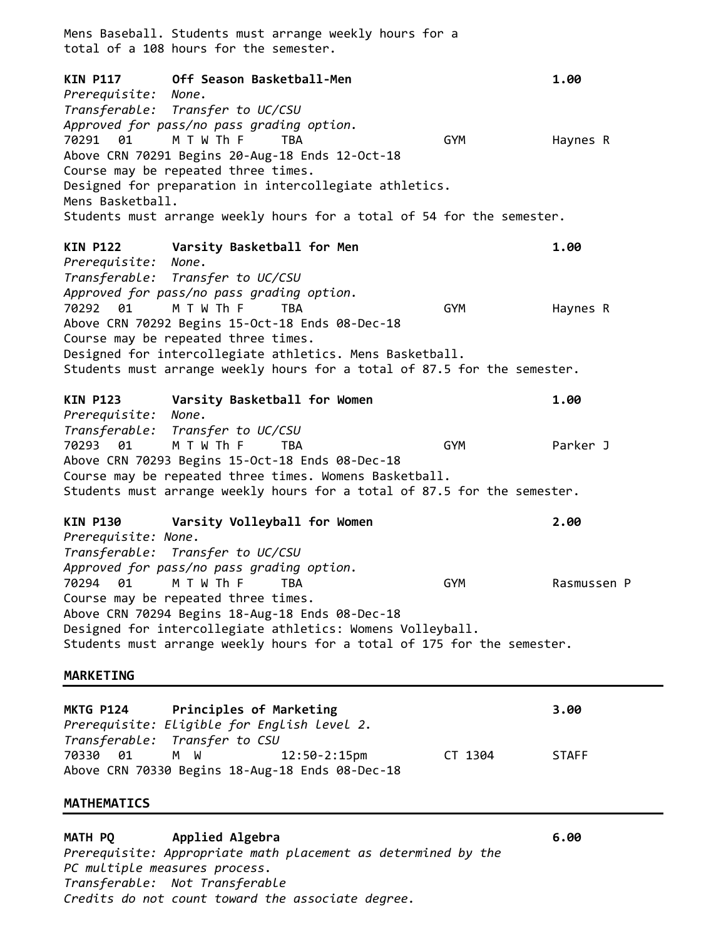Mens Baseball. Students must arrange weekly hours for a total of a 108 hours for the semester. **KIN P117 Off Season Basketball-Men 1.00** *Prerequisite: None. Transferable: Transfer to UC/CSU Approved for pass/no pass grading option.* 70291 01 M T W Th F TBA GYM Haynes R Above CRN 70291 Begins 20-Aug-18 Ends 12-Oct-18 Course may be repeated three times. Designed for preparation in intercollegiate athletics. Mens Basketball. Students must arrange weekly hours for a total of 54 for the semester. **KIN P122 Varsity Basketball for Men 1.00** *Prerequisite: None. Transferable: Transfer to UC/CSU Approved for pass/no pass grading option.* 70292 01 M T W Th F TBA GYM Haynes R Above CRN 70292 Begins 15-Oct-18 Ends 08-Dec-18 Course may be repeated three times. Designed for intercollegiate athletics. Mens Basketball. Students must arrange weekly hours for a total of 87.5 for the semester. **KIN P123 Varsity Basketball for Women 1.00** *Prerequisite: None. Transferable: Transfer to UC/CSU* 70293 01 M T W Th F TBA GYM Parker J Above CRN 70293 Begins 15-Oct-18 Ends 08-Dec-18 Course may be repeated three times. Womens Basketball. Students must arrange weekly hours for a total of 87.5 for the semester. **KIN P130 Varsity Volleyball for Women 2.00** *Prerequisite: None. Transferable: Transfer to UC/CSU Approved for pass/no pass grading option.* 70294 01 M T W Th F TBA GYM Rasmussen P Course may be repeated three times. Above CRN 70294 Begins 18-Aug-18 Ends 08-Dec-18 Designed for intercollegiate athletics: Womens Volleyball. Students must arrange weekly hours for a total of 175 for the semester. **MARKETING**

**MKTG P124 Principles of Marketing 3.00** *Prerequisite: Eligible for English level 2. Transferable: Transfer to CSU* 70330 01 M W 12:50-2:15pm CT 1304 STAFF Above CRN 70330 Begins 18-Aug-18 Ends 08-Dec-18

#### **MATHEMATICS**

**MATH PQ Applied Algebra 6.00** *Prerequisite: Appropriate math placement as determined by the PC multiple measures process. Transferable: Not Transferable Credits do not count toward the associate degree.*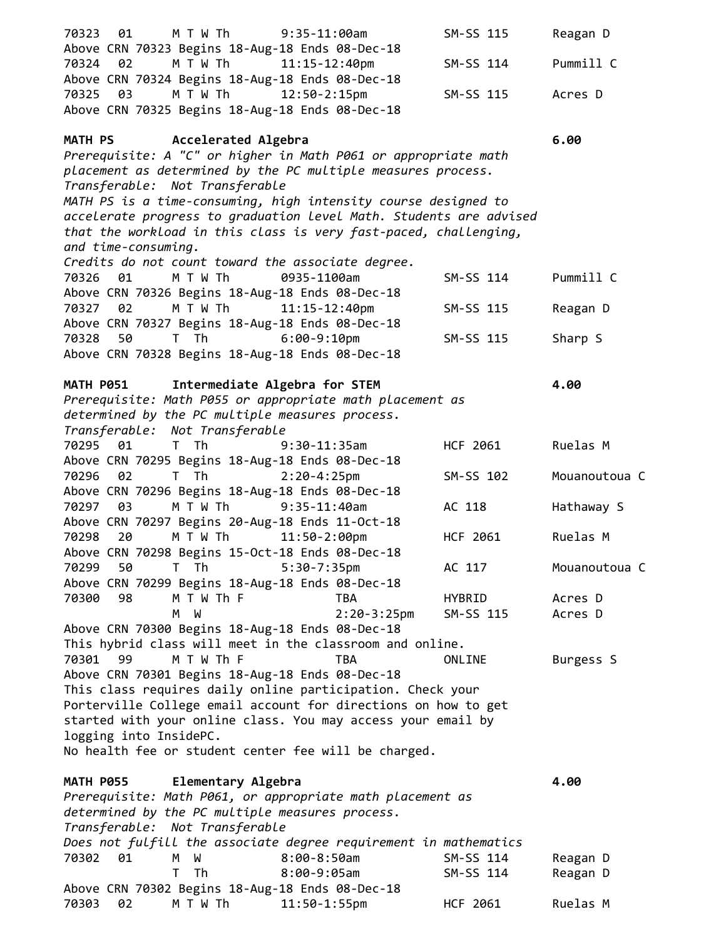| 70323 01               | M T W Th                           | $9:35-11:00am$                                                     | SM-SS 115 | Reagan D      |
|------------------------|------------------------------------|--------------------------------------------------------------------|-----------|---------------|
|                        |                                    | Above CRN 70323 Begins 18-Aug-18 Ends 08-Dec-18                    |           |               |
| 70324 02               | M T W Th                           | $11:15 - 12:40$ pm                                                 | SM-SS 114 | Pummill C     |
|                        |                                    | Above CRN 70324 Begins 18-Aug-18 Ends 08-Dec-18                    |           |               |
| 70325 03               | M T W Th                           | $12:50 - 2:15$ pm                                                  | SM-SS 115 | Acres D       |
|                        |                                    | Above CRN 70325 Begins 18-Aug-18 Ends 08-Dec-18                    |           |               |
|                        | MATH PS <b>Accelerated Algebra</b> |                                                                    |           | 6.00          |
|                        |                                    | Prerequisite: A "C" or higher in Math P061 or appropriate math     |           |               |
|                        |                                    | placement as determined by the PC multiple measures process.       |           |               |
|                        | Transferable: Not Transferable     |                                                                    |           |               |
|                        |                                    | MATH PS is a time-consuming, high intensity course designed to     |           |               |
|                        |                                    | accelerate progress to graduation level Math. Students are advised |           |               |
|                        |                                    | that the workload in this class is very fast-paced, challenging,   |           |               |
| and time-consuming.    |                                    |                                                                    |           |               |
|                        |                                    | Credits do not count toward the associate degree.                  |           |               |
| 70326 01               | M T W Th                           | 0935-1100am                                                        | SM-SS 114 | Pummill C     |
|                        |                                    | Above CRN 70326 Begins 18-Aug-18 Ends 08-Dec-18                    |           |               |
| 70327 02               | M T W Th                           | $11:15 - 12:40$ pm                                                 | SM-SS 115 | Reagan D      |
|                        |                                    | Above CRN 70327 Begins 18-Aug-18 Ends 08-Dec-18                    |           |               |
| 70328<br>50            | T The T                            | $6:00-9:10$ pm                                                     | SM-SS 115 | Sharp S       |
|                        |                                    | Above CRN 70328 Begins 18-Aug-18 Ends 08-Dec-18                    |           |               |
|                        |                                    |                                                                    |           |               |
| <b>MATH P051</b>       | Intermediate Algebra for STEM      |                                                                    |           | 4.00          |
|                        |                                    | Prerequisite: Math P055 or appropriate math placement as           |           |               |
|                        |                                    | determined by the PC multiple measures process.                    |           |               |
|                        | Transferable: Not Transferable     |                                                                    |           |               |
| 70295 01               | T Th                               | $9:30-11:35am$                                                     | HCF 2061  | Ruelas M      |
|                        |                                    | Above CRN 70295 Begins 18-Aug-18 Ends 08-Dec-18                    |           |               |
| 02<br>70296            | T Th                               | $2:20-4:25$ pm                                                     | SM-SS 102 | Mouanoutoua C |
|                        |                                    | Above CRN 70296 Begins 18-Aug-18 Ends 08-Dec-18                    |           |               |
| 70297 03               | M T W Th                           | $9:35-11:40am$                                                     | AC 118    | Hathaway S    |
|                        |                                    | Above CRN 70297 Begins 20-Aug-18 Ends 11-Oct-18                    |           |               |
| 70298<br>20            | M T W Th                           | $11:50-2:00$ pm                                                    | HCF 2061  | Ruelas M      |
|                        |                                    | Above CRN 70298 Begins 15-Oct-18 Ends 08-Dec-18                    |           |               |
| 70299<br>50            | T Th                               | $5:30-7:35$ pm                                                     | AC 117    | Mouanoutoua C |
|                        |                                    | Above CRN 70299 Begins 18-Aug-18 Ends 08-Dec-18                    |           |               |
| 70300<br>98            | M T W Th F                         | TBA                                                                | HYBRID    | Acres D       |
|                        | M W                                | $2:20-3:25$ pm                                                     | SM-SS 115 | Acres D       |
|                        |                                    | Above CRN 70300 Begins 18-Aug-18 Ends 08-Dec-18                    |           |               |
| 70301<br>99            | M T W Th F                         | This hybrid class will meet in the classroom and online.<br>TBA    | ONLINE    |               |
|                        |                                    | Above CRN 70301 Begins 18-Aug-18 Ends 08-Dec-18                    |           | Burgess S     |
|                        |                                    | This class requires daily online participation. Check your         |           |               |
|                        |                                    | Porterville College email account for directions on how to get     |           |               |
|                        |                                    | started with your online class. You may access your email by       |           |               |
| logging into InsidePC. |                                    |                                                                    |           |               |
|                        |                                    | No health fee or student center fee will be charged.               |           |               |
|                        |                                    |                                                                    |           |               |
| <b>MATH P055</b>       | Elementary Algebra                 |                                                                    |           | 4.00          |
|                        |                                    | Prerequisite: Math P061, or appropriate math placement as          |           |               |
|                        |                                    | determined by the PC multiple measures process.                    |           |               |
|                        | Transferable: Not Transferable     |                                                                    |           |               |
|                        |                                    | Does not fulfill the associate degree requirement in mathematics   |           |               |
| 70302<br>01            | W<br>M                             | $8:00 - 8:50$ am                                                   | SM-SS 114 | Reagan D      |
|                        | T.<br>Th                           | 8:00-9:05am                                                        | SM-SS 114 | Reagan D      |
|                        |                                    | Above CRN 70302 Begins 18-Aug-18 Ends 08-Dec-18                    |           |               |
| 70303<br>02            | M T W Th                           | $11:50-1:55$ pm                                                    | HCF 2061  | Ruelas M      |
|                        |                                    |                                                                    |           |               |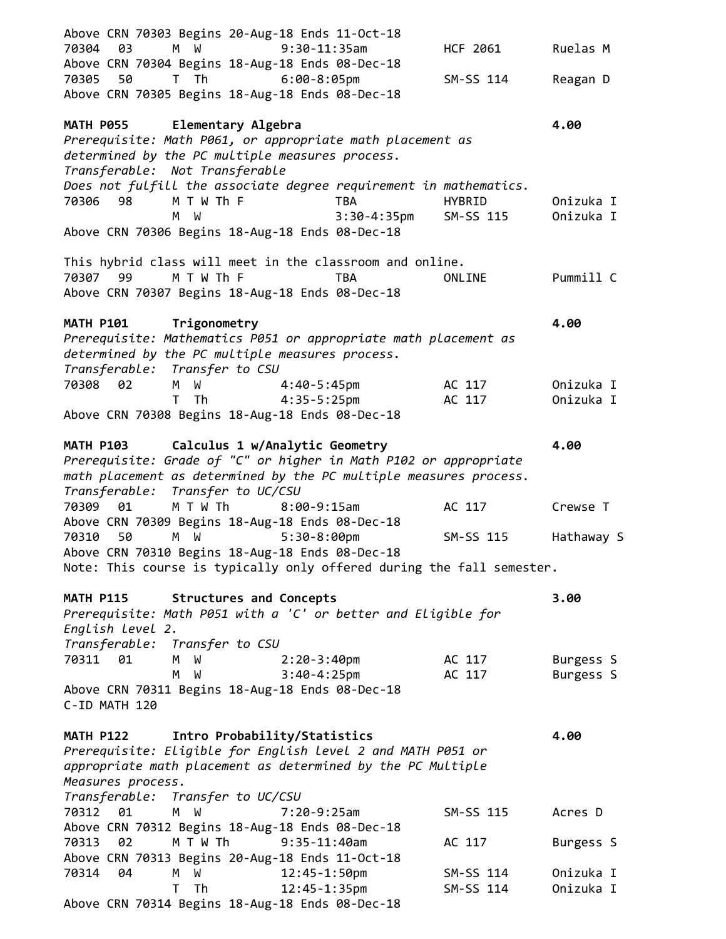| Above CRN 70303 Begins 20-Aug-18 Ends 11-Oct-18<br>70304<br>03<br>M W<br>$9:30-11:35$ am                                   | HCF 2061         | Ruelas M               |
|----------------------------------------------------------------------------------------------------------------------------|------------------|------------------------|
| Above CRN 70304 Begins 18-Aug-18 Ends 08-Dec-18                                                                            |                  |                        |
| T Th<br>50<br>6:00-8:05pm<br>70305                                                                                         | SM-SS 114        | Reagan D               |
| Above CRN 70305 Begins 18-Aug-18 Ends 08-Dec-18                                                                            |                  |                        |
| MATH P055 Elementary Algebra                                                                                               |                  | 4.00                   |
| Prerequisite: Math P061, or appropriate math placement as                                                                  |                  |                        |
| determined by the PC multiple measures process.                                                                            |                  |                        |
| Transferable: Not Transferable<br>Does not fulfill the associate degree requirement in mathematics.                        |                  |                        |
| M T W Th F<br>70306 98<br>TBA                                                                                              | <b>HYBRID</b>    | Onizuka I              |
| $3:30-4:35$ pm<br>м<br>ី ស                                                                                                 | SM-SS 115        | Onizuka I              |
| Above CRN 70306 Begins 18-Aug-18 Ends 08-Dec-18                                                                            |                  |                        |
| This hybrid class will meet in the classroom and online.                                                                   |                  |                        |
| M T W Th F<br>70307 99<br>TBA                                                                                              | ONLINE           | Pummill C              |
| Above CRN 70307 Begins 18-Aug-18 Ends 08-Dec-18                                                                            |                  |                        |
| MATH P101 Trigonometry                                                                                                     |                  | 4.00                   |
| Prerequisite: Mathematics P051 or appropriate math placement as                                                            |                  |                        |
| determined by the PC multiple measures process.                                                                            |                  |                        |
| Transferable: Transfer to CSU                                                                                              |                  |                        |
| 70308<br>02<br>W 4:40-5:45pm<br>M                                                                                          | AC 117           | Onizuka I              |
| 4:35-5:25pm<br>Th<br>T.<br>Above CRN 70308 Begins 18-Aug-18 Ends 08-Dec-18                                                 | AC 117           | Onizuka I              |
|                                                                                                                            |                  |                        |
| MATH P103 Calculus 1 w/Analytic Geometry                                                                                   |                  | 4.00                   |
| Prerequisite: Grade of "C" or higher in Math P102 or appropriate                                                           |                  |                        |
| math placement as determined by the PC multiple measures process.                                                          |                  |                        |
| Transferable: Transfer to UC/CSU                                                                                           |                  |                        |
| M T W Th<br>70309<br>01<br>$8:00-9:15am$                                                                                   | AC 117           | Crewse T               |
| Above CRN 70309 Begins 18-Aug-18 Ends 08-Dec-18<br>70310<br>50<br>M W                                                      |                  |                        |
| $5:30-8:00$ pm<br>Above CRN 70310 Begins 18-Aug-18 Ends 08-Dec-18                                                          | SM-SS 115        | Hathaway S             |
| Note: This course is typically only offered during the fall semester.                                                      |                  |                        |
|                                                                                                                            |                  |                        |
| <b>Structures and Concepts</b><br><b>MATH P115</b>                                                                         |                  | 3.00                   |
| Prerequisite: Math P051 with a 'C' or better and Eligible for                                                              |                  |                        |
| English Level 2.                                                                                                           |                  |                        |
| Transferable: Transfer to CSU<br>70311 01                                                                                  |                  |                        |
| $2:20-3:40$ pm<br>M<br>W<br>$3:40-4:25$ pm<br>M<br>W                                                                       | AC 117<br>AC 117 | Burgess S<br>Burgess S |
| Above CRN 70311 Begins 18-Aug-18 Ends 08-Dec-18                                                                            |                  |                        |
| C-ID MATH 120                                                                                                              |                  |                        |
|                                                                                                                            |                  |                        |
| Intro Probability/Statistics<br><b>MATH P122</b>                                                                           |                  | 4.00                   |
| Prerequisite: Eligible for English level 2 and MATH P051 or<br>appropriate math placement as determined by the PC Multiple |                  |                        |
| Measures process.                                                                                                          |                  |                        |
| Transferable:<br>Transfer to UC/CSU                                                                                        |                  |                        |
| 70312<br>01<br>$7:20-9:25am$<br>M<br>W                                                                                     | SM-SS 115        | Acres D                |
| Above CRN 70312 Begins 18-Aug-18 Ends 08-Dec-18                                                                            |                  |                        |
| 02<br>M T W Th<br>$9:35 - 11:40$ am<br>70313                                                                               | AC 117           | Burgess S              |
| Above CRN 70313 Begins 20-Aug-18 Ends 11-Oct-18                                                                            |                  |                        |
| 12:45-1:50pm<br>70314<br>04<br>M W                                                                                         | SM-SS 114        | Onizuka I              |
| $12:45 - 1:35$ pm<br>T<br>Th                                                                                               | SM-SS 114        | Onizuka I              |
| Above CRN 70314 Begins 18-Aug-18 Ends 08-Dec-18                                                                            |                  |                        |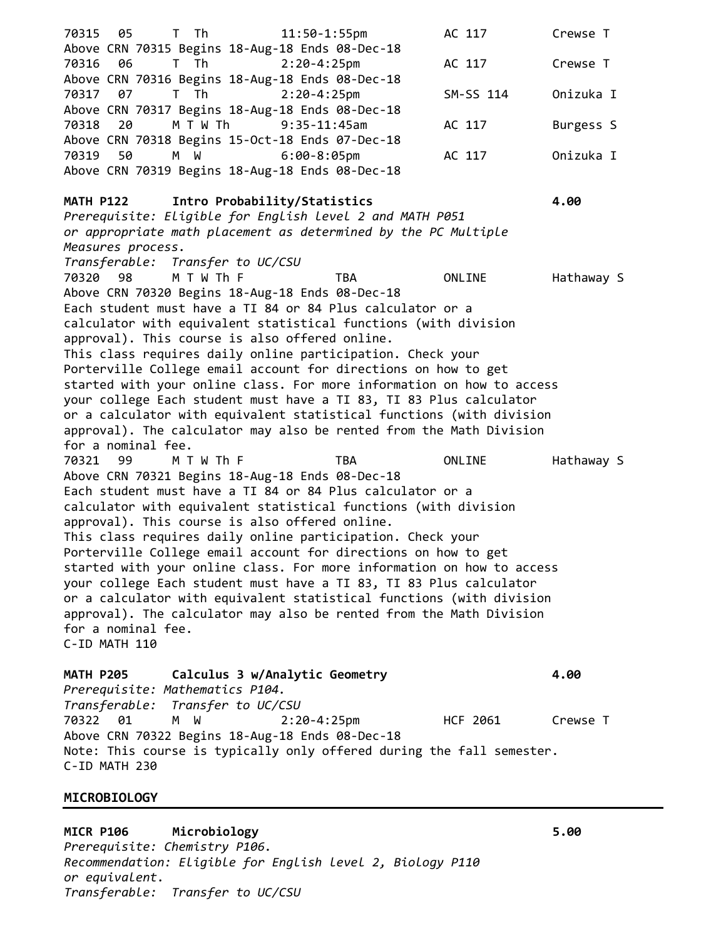70315 05 T Th 11:50-1:55pm AC 117 Crewse T Above CRN 70315 Begins 18-Aug-18 Ends 08-Dec-18 70316 06 T Th 2:20-4:25pm AC 117 Crewse T Above CRN 70316 Begins 18-Aug-18 Ends 08-Dec-18 70317 07 T Th 2:20-4:25pm SM-SS 114 Onizuka I Above CRN 70317 Begins 18-Aug-18 Ends 08-Dec-18 70318 20 M T W Th 9:35-11:45am AC 117 Burgess S Above CRN 70318 Begins 15-Oct-18 Ends 07-Dec-18 70319 50 M W 6:00-8:05pm AC 117 Onizuka I Above CRN 70319 Begins 18-Aug-18 Ends 08-Dec-18 **MATH P122 Intro Probability/Statistics 4.00** *Prerequisite: Eligible for English level 2 and MATH P051 or appropriate math placement as determined by the PC Multiple Measures process. Transferable: Transfer to UC/CSU* 70320 98 M T W Th F TBA ONLINE Hathaway S Above CRN 70320 Begins 18-Aug-18 Ends 08-Dec-18 Each student must have a TI 84 or 84 Plus calculator or a calculator with equivalent statistical functions (with division approval). This course is also offered online. This class requires daily online participation. Check your Porterville College email account for directions on how to get started with your online class. For more information on how to access your college Each student must have a TI 83, TI 83 Plus calculator or a calculator with equivalent statistical functions (with division approval). The calculator may also be rented from the Math Division for a nominal fee. 70321 99 M T W Th F TBA ONLINE Hathaway S Above CRN 70321 Begins 18-Aug-18 Ends 08-Dec-18 Each student must have a TI 84 or 84 Plus calculator or a calculator with equivalent statistical functions (with division approval). This course is also offered online. This class requires daily online participation. Check your Porterville College email account for directions on how to get started with your online class. For more information on how to access your college Each student must have a TI 83, TI 83 Plus calculator or a calculator with equivalent statistical functions (with division approval). The calculator may also be rented from the Math Division for a nominal fee. C-ID MATH 110 **MATH P205 Calculus 3 w/Analytic Geometry 4.00** *Prerequisite: Mathematics P104. Transferable: Transfer to UC/CSU* 70322 01 M W 2:20-4:25pm HCF 2061 Crewse T Above CRN 70322 Begins 18-Aug-18 Ends 08-Dec-18 Note: This course is typically only offered during the fall semester.

C-ID MATH 230

## **MICROBIOLOGY**

**MICR P106 Microbiology 5.00** *Prerequisite: Chemistry P106. Recommendation: Eligible for English level 2, Biology P110 or equivalent. Transferable: Transfer to UC/CSU*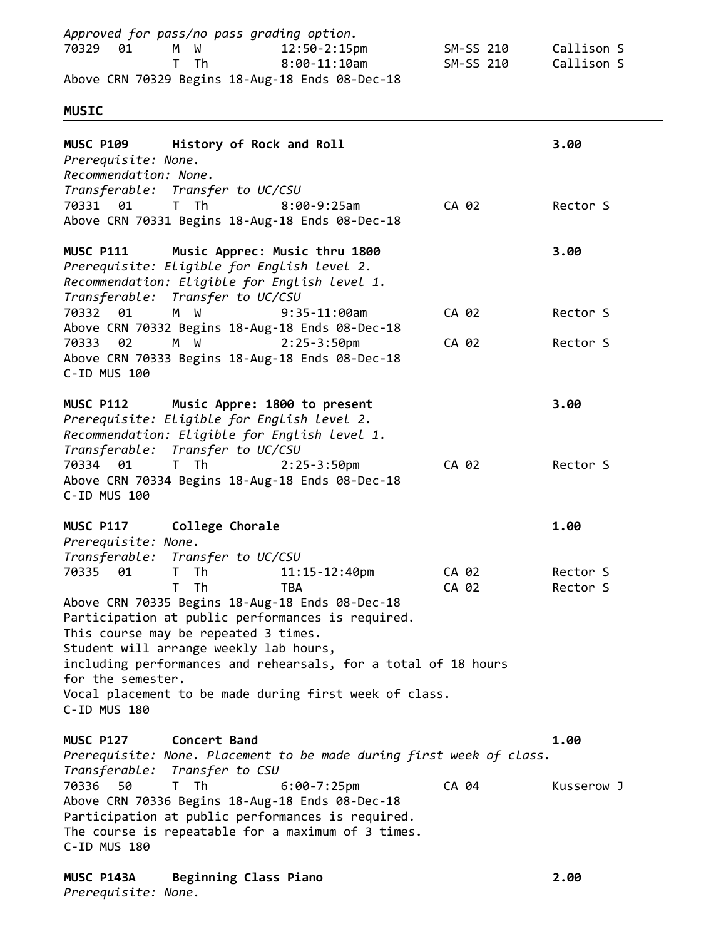70329 01 M W 12:50-2:15pm SM-SS 210 Callison S T Th 8:00-11:10am SM-SS 210 Callison S Above CRN 70329 Begins 18-Aug-18 Ends 08-Dec-18 **MUSIC MUSC P109 History of Rock and Roll 3.00** *Prerequisite: None. Recommendation: None. Transferable: Transfer to UC/CSU* 70331 01 T Th 8:00-9:25am CA 02 Rector S Above CRN 70331 Begins 18-Aug-18 Ends 08-Dec-18 **MUSC P111 Music Apprec: Music thru 1800 3.00** *Prerequisite: Eligible for English level 2. Recommendation: Eligible for English level 1. Transferable: Transfer to UC/CSU* 70332 01 M W 9:35-11:00am CA 02 Rector S Above CRN 70332 Begins 18-Aug-18 Ends 08-Dec-18 70333 02 M W 2:25-3:50pm CA 02 Rector S Above CRN 70333 Begins 18-Aug-18 Ends 08-Dec-18 C-ID MUS 100 **MUSC P112 Music Appre: 1800 to present 3.00** *Prerequisite: Eligible for English level 2. Recommendation: Eligible for English level 1. Transferable: Transfer to UC/CSU* 70334 01 T Th 2:25-3:50pm CA 02 Rector S Above CRN 70334 Begins 18-Aug-18 Ends 08-Dec-18 C-ID MUS 100 **MUSC P117 College Chorale 1.00** *Prerequisite: None. Transferable: Transfer to UC/CSU* 70335 01 T Th 11:15-12:40pm CA 02 Rector S T Th TBA CA 02 Rector S Above CRN 70335 Begins 18-Aug-18 Ends 08-Dec-18 Participation at public performances is required. This course may be repeated 3 times. Student will arrange weekly lab hours, including performances and rehearsals, for a total of 18 hours for the semester. Vocal placement to be made during first week of class. C-ID MUS 180 **MUSC P127 Concert Band 1.00** *Prerequisite: None. Placement to be made during first week of class. Transferable: Transfer to CSU* 70336 50 T Th 6:00-7:25pm CA 04 Kusserow J Above CRN 70336 Begins 18-Aug-18 Ends 08-Dec-18 Participation at public performances is required. The course is repeatable for a maximum of 3 times. C-ID MUS 180 **MUSC P143A Beginning Class Piano 2.00**

*Approved for pass/no pass grading option.*

*Prerequisite: None.*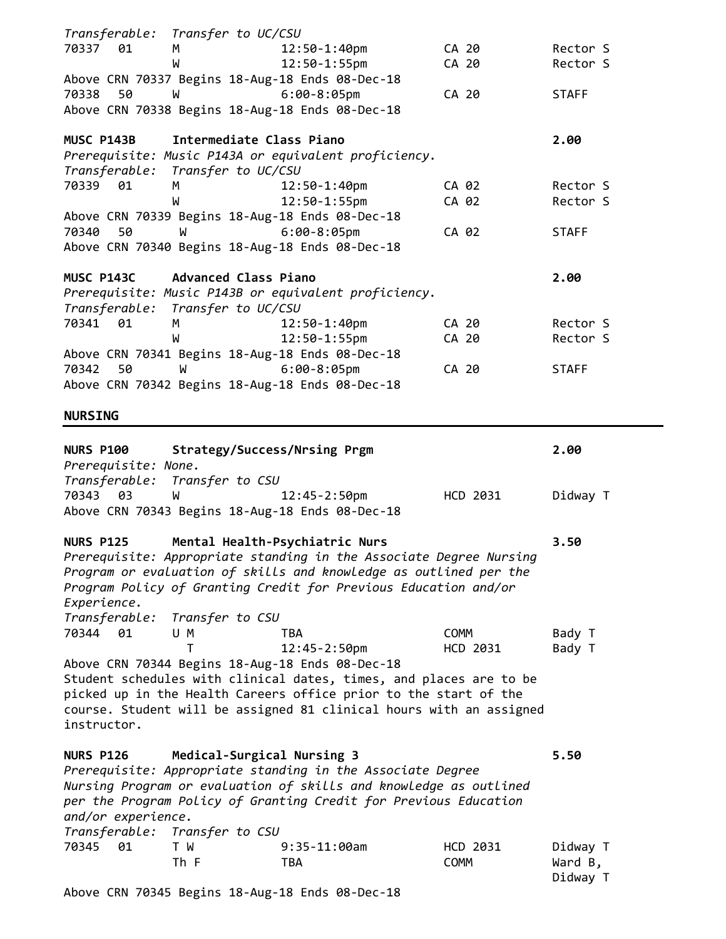|                                                     | Transferable: Transfer to UC/CSU          |                                                                                                                                                                                                                                                                  |                         |                                 |
|-----------------------------------------------------|-------------------------------------------|------------------------------------------------------------------------------------------------------------------------------------------------------------------------------------------------------------------------------------------------------------------|-------------------------|---------------------------------|
| 70337 01                                            | М                                         | $12:50 - 1:40$ pm                                                                                                                                                                                                                                                | CA 20                   | Rector S                        |
|                                                     | W                                         | $12:50 - 1:55$ pm                                                                                                                                                                                                                                                | CA 20                   | Rector S                        |
|                                                     |                                           | Above CRN 70337 Begins 18-Aug-18 Ends 08-Dec-18                                                                                                                                                                                                                  |                         |                                 |
| 50<br>70338                                         | W                                         | $6:00-8:05$ pm                                                                                                                                                                                                                                                   | CA 20                   | <b>STAFF</b>                    |
|                                                     |                                           | Above CRN 70338 Begins 18-Aug-18 Ends 08-Dec-18                                                                                                                                                                                                                  |                         |                                 |
| MUSC P143B                                          | Intermediate Class Piano                  |                                                                                                                                                                                                                                                                  |                         | 2.00                            |
|                                                     |                                           | Prerequisite: Music P143A or equivalent proficiency.                                                                                                                                                                                                             |                         |                                 |
|                                                     | Transferable: Transfer to UC/CSU          |                                                                                                                                                                                                                                                                  |                         |                                 |
| 70339 01                                            | М                                         | 12:50-1:40pm                                                                                                                                                                                                                                                     | CA 02                   | Rector S                        |
|                                                     | W                                         | $12:50 - 1:55$ pm                                                                                                                                                                                                                                                | CA 02                   | Rector S                        |
|                                                     |                                           | Above CRN 70339 Begins 18-Aug-18 Ends 08-Dec-18                                                                                                                                                                                                                  |                         |                                 |
| 50<br>70340                                         | <b>M</b>                                  | $6:00-8:05$ pm                                                                                                                                                                                                                                                   | CA 02                   | <b>STAFF</b>                    |
|                                                     |                                           | Above CRN 70340 Begins 18-Aug-18 Ends 08-Dec-18                                                                                                                                                                                                                  |                         |                                 |
|                                                     | MUSC P143C Advanced Class Piano           |                                                                                                                                                                                                                                                                  |                         | 2.00                            |
|                                                     |                                           | Prerequisite: Music P143B or equivalent proficiency.                                                                                                                                                                                                             |                         |                                 |
|                                                     | Transferable: Transfer to UC/CSU          |                                                                                                                                                                                                                                                                  |                         |                                 |
| 70341<br>01                                         | М                                         | $12:50 - 1:40$ pm                                                                                                                                                                                                                                                | CA 20                   | Rector S                        |
|                                                     | W                                         | $12:50 - 1:55$ pm                                                                                                                                                                                                                                                | CA 20                   | Rector S                        |
|                                                     |                                           | Above CRN 70341 Begins 18-Aug-18 Ends 08-Dec-18                                                                                                                                                                                                                  |                         |                                 |
| 70342<br>50                                         | W                                         | $6:00-8:05$ pm                                                                                                                                                                                                                                                   | CA 20                   | <b>STAFF</b>                    |
|                                                     |                                           | Above CRN 70342 Begins 18-Aug-18 Ends 08-Dec-18                                                                                                                                                                                                                  |                         |                                 |
| <b>NURSING</b>                                      |                                           |                                                                                                                                                                                                                                                                  |                         |                                 |
| <b>NURS P100</b><br>Prerequisite: None.<br>70343 03 | Transferable: Transfer to CSU<br><b>M</b> | Strategy/Success/Nrsing Prgm<br>12:45-2:50pm<br>Above CRN 70343 Begins 18-Aug-18 Ends 08-Dec-18                                                                                                                                                                  | HCD 2031                | 2.00<br>Didway T                |
| <b>NURS P125</b><br>Experience.                     |                                           | Mental Health-Psychiatric Nurs<br>Prerequisite: Appropriate standing in the Associate Degree Nursing<br>Program or evaluation of skills and knowledge as outlined per the<br>Program Policy of Granting Credit for Previous Education and/or                     |                         | 3.50                            |
| Transferable:                                       | Transfer to CSU                           |                                                                                                                                                                                                                                                                  |                         |                                 |
| 70344<br>01                                         | U M                                       | <b>TBA</b>                                                                                                                                                                                                                                                       | COMM                    | Bady T                          |
|                                                     | т                                         | $12:45 - 2:50$ pm                                                                                                                                                                                                                                                | HCD 2031                | Bady T                          |
| instructor.                                         |                                           | Above CRN 70344 Begins 18-Aug-18 Ends 08-Dec-18<br>Student schedules with clinical dates, times, and places are to be<br>picked up in the Health Careers office prior to the start of the<br>course. Student will be assigned 81 clinical hours with an assigned |                         |                                 |
| <b>NURS P126</b>                                    | Medical-Surgical Nursing 3                |                                                                                                                                                                                                                                                                  |                         | 5.50                            |
| and/or experience.                                  |                                           | Prerequisite: Appropriate standing in the Associate Degree<br>Nursing Program or evaluation of skills and knowledge as outlined<br>per the Program Policy of Granting Credit for Previous Education                                                              |                         |                                 |
|                                                     | Transferable: Transfer to CSU             |                                                                                                                                                                                                                                                                  |                         |                                 |
| 70345<br>01                                         | T W<br>Th F                               | $9:35-11:00am$<br><b>TBA</b>                                                                                                                                                                                                                                     | HCD 2031<br><b>COMM</b> | Didway T<br>Ward B,<br>Didway T |

Above CRN 70345 Begins 18-Aug-18 Ends 08-Dec-18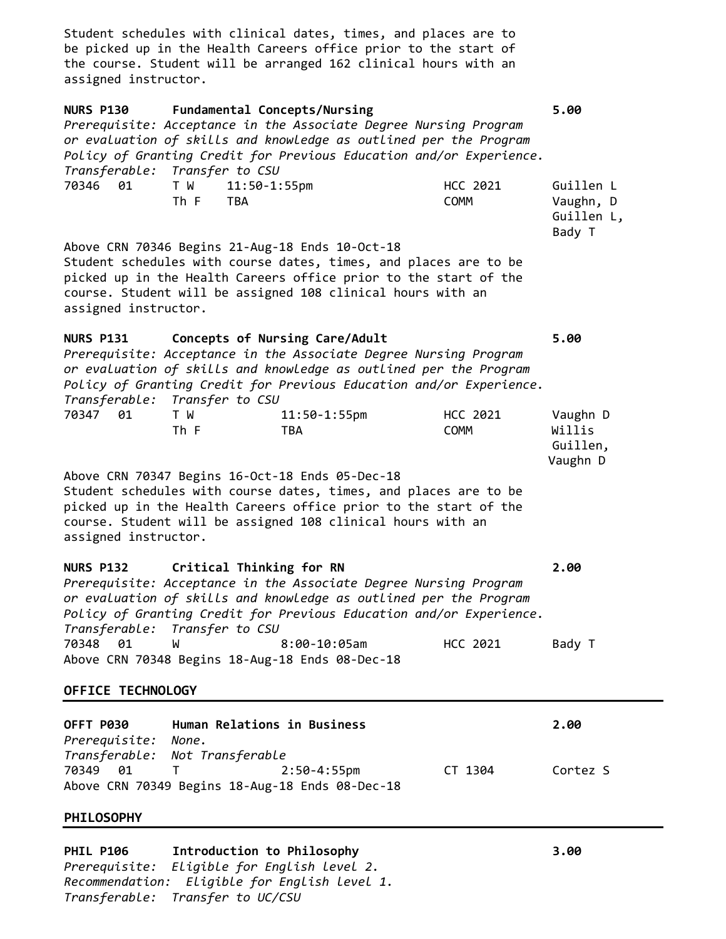Student schedules with clinical dates, times, and places are to be picked up in the Health Careers office prior to the start of the course. Student will be arranged 162 clinical hours with an assigned instructor.

| HCC 2021<br>70346 01<br>T W<br>$11:50-1:55$ pm<br>Guillen L<br>Th F<br><b>COMM</b><br>Vaughn, D<br><b>TBA</b><br>Guillen L,<br>Bady T<br>Above CRN 70346 Begins 21-Aug-18 Ends 10-Oct-18<br>Student schedules with course dates, times, and places are to be<br>picked up in the Health Careers office prior to the start of the<br>course. Student will be assigned 108 clinical hours with an<br>assigned instructor.<br>Concepts of Nursing Care/Adult<br>5.00<br>Prerequisite: Acceptance in the Associate Degree Nursing Program<br>or evaluation of skills and knowledge as outlined per the Program<br>Policy of Granting Credit for Previous Education and/or Experience.<br>Transferable: Transfer to CSU<br>HCC 2021<br>T W<br>$11:50 - 1:55$ pm<br>Vaughn D<br>Willis<br>Th F<br><b>COMM</b><br>TBA<br>Guillen,<br>Vaughn D<br>Above CRN 70347 Begins 16-Oct-18 Ends 05-Dec-18<br>Student schedules with course dates, times, and places are to be<br>picked up in the Health Careers office prior to the start of the<br>course. Student will be assigned 108 clinical hours with an<br>assigned instructor.<br>Critical Thinking for RN<br>2.00<br>Prerequisite: Acceptance in the Associate Degree Nursing Program<br>or evaluation of skills and knowledge as outlined per the Program<br>Policy of Granting Credit for Previous Education and/or Experience.<br>Transferable: Transfer to CSU<br>70348<br>01<br>$8:00-10:05$ am<br>HCC 2021<br>Bady T<br>W<br>Above CRN 70348 Begins 18-Aug-18 Ends 08-Dec-18<br>OFFICE TECHNOLOGY<br>Human Relations in Business<br>2.00<br>None.<br>Transferable: Not Transferable<br>T.<br>$2:50 - 4:55$ pm<br>CT 1304<br>Cortez S<br>Above CRN 70349 Begins 18-Aug-18 Ends 08-Dec-18 | <b>NURS P130</b><br>Fundamental Concepts/Nursing<br>Prerequisite: Acceptance in the Associate Degree Nursing Program<br>or evaluation of skills and knowledge as outlined per the Program<br>Policy of Granting Credit for Previous Education and/or Experience.<br>Transferable: Transfer to CSU |  |  |  |  |
|------------------------------------------------------------------------------------------------------------------------------------------------------------------------------------------------------------------------------------------------------------------------------------------------------------------------------------------------------------------------------------------------------------------------------------------------------------------------------------------------------------------------------------------------------------------------------------------------------------------------------------------------------------------------------------------------------------------------------------------------------------------------------------------------------------------------------------------------------------------------------------------------------------------------------------------------------------------------------------------------------------------------------------------------------------------------------------------------------------------------------------------------------------------------------------------------------------------------------------------------------------------------------------------------------------------------------------------------------------------------------------------------------------------------------------------------------------------------------------------------------------------------------------------------------------------------------------------------------------------------------------------------------------------------------------------------------------------------------------------|---------------------------------------------------------------------------------------------------------------------------------------------------------------------------------------------------------------------------------------------------------------------------------------------------|--|--|--|--|
|                                                                                                                                                                                                                                                                                                                                                                                                                                                                                                                                                                                                                                                                                                                                                                                                                                                                                                                                                                                                                                                                                                                                                                                                                                                                                                                                                                                                                                                                                                                                                                                                                                                                                                                                          |                                                                                                                                                                                                                                                                                                   |  |  |  |  |
|                                                                                                                                                                                                                                                                                                                                                                                                                                                                                                                                                                                                                                                                                                                                                                                                                                                                                                                                                                                                                                                                                                                                                                                                                                                                                                                                                                                                                                                                                                                                                                                                                                                                                                                                          |                                                                                                                                                                                                                                                                                                   |  |  |  |  |
|                                                                                                                                                                                                                                                                                                                                                                                                                                                                                                                                                                                                                                                                                                                                                                                                                                                                                                                                                                                                                                                                                                                                                                                                                                                                                                                                                                                                                                                                                                                                                                                                                                                                                                                                          | <b>NURS P131</b>                                                                                                                                                                                                                                                                                  |  |  |  |  |
|                                                                                                                                                                                                                                                                                                                                                                                                                                                                                                                                                                                                                                                                                                                                                                                                                                                                                                                                                                                                                                                                                                                                                                                                                                                                                                                                                                                                                                                                                                                                                                                                                                                                                                                                          | 70347 01                                                                                                                                                                                                                                                                                          |  |  |  |  |
|                                                                                                                                                                                                                                                                                                                                                                                                                                                                                                                                                                                                                                                                                                                                                                                                                                                                                                                                                                                                                                                                                                                                                                                                                                                                                                                                                                                                                                                                                                                                                                                                                                                                                                                                          |                                                                                                                                                                                                                                                                                                   |  |  |  |  |
|                                                                                                                                                                                                                                                                                                                                                                                                                                                                                                                                                                                                                                                                                                                                                                                                                                                                                                                                                                                                                                                                                                                                                                                                                                                                                                                                                                                                                                                                                                                                                                                                                                                                                                                                          | <b>NURS P132</b>                                                                                                                                                                                                                                                                                  |  |  |  |  |
|                                                                                                                                                                                                                                                                                                                                                                                                                                                                                                                                                                                                                                                                                                                                                                                                                                                                                                                                                                                                                                                                                                                                                                                                                                                                                                                                                                                                                                                                                                                                                                                                                                                                                                                                          |                                                                                                                                                                                                                                                                                                   |  |  |  |  |
|                                                                                                                                                                                                                                                                                                                                                                                                                                                                                                                                                                                                                                                                                                                                                                                                                                                                                                                                                                                                                                                                                                                                                                                                                                                                                                                                                                                                                                                                                                                                                                                                                                                                                                                                          |                                                                                                                                                                                                                                                                                                   |  |  |  |  |
|                                                                                                                                                                                                                                                                                                                                                                                                                                                                                                                                                                                                                                                                                                                                                                                                                                                                                                                                                                                                                                                                                                                                                                                                                                                                                                                                                                                                                                                                                                                                                                                                                                                                                                                                          | OFFT P030<br>Prerequisite:                                                                                                                                                                                                                                                                        |  |  |  |  |
|                                                                                                                                                                                                                                                                                                                                                                                                                                                                                                                                                                                                                                                                                                                                                                                                                                                                                                                                                                                                                                                                                                                                                                                                                                                                                                                                                                                                                                                                                                                                                                                                                                                                                                                                          | 70349 01                                                                                                                                                                                                                                                                                          |  |  |  |  |
|                                                                                                                                                                                                                                                                                                                                                                                                                                                                                                                                                                                                                                                                                                                                                                                                                                                                                                                                                                                                                                                                                                                                                                                                                                                                                                                                                                                                                                                                                                                                                                                                                                                                                                                                          | <b>PHILOSOPHY</b>                                                                                                                                                                                                                                                                                 |  |  |  |  |

**PHIL P106 Introduction to Philosophy 3.00** *Prerequisite: Eligible for English level 2. Recommendation: Eligible for English level 1. Transferable: Transfer to UC/CSU*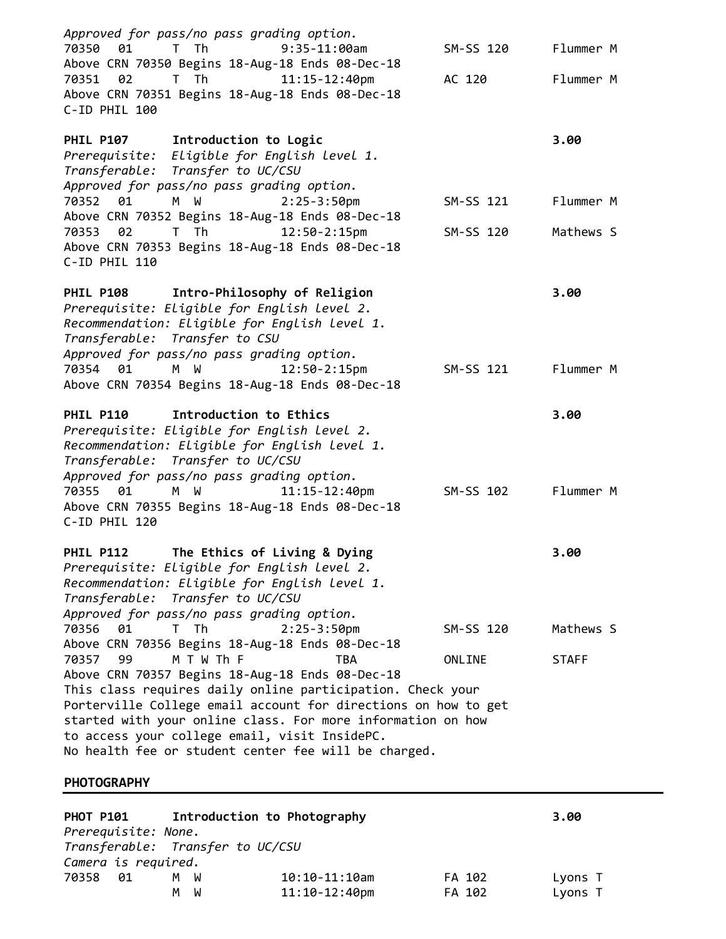| Approved for pass/no pass grading option.<br>01<br>$T$ Th<br>$9:35-11:00am$<br>70350<br>Above CRN 70350 Begins 18-Aug-18 Ends 08-Dec-18<br>T Th<br>$11:15 - 12:40$ pm<br>70351<br>02<br>Above CRN 70351 Begins 18-Aug-18 Ends 08-Dec-18                                                                                                                                                            | SM-SS 120<br>AC 120 | Flummer M<br>Flummer M |
|----------------------------------------------------------------------------------------------------------------------------------------------------------------------------------------------------------------------------------------------------------------------------------------------------------------------------------------------------------------------------------------------------|---------------------|------------------------|
| C-ID PHIL 100<br>PHIL P107 Introduction to Logic<br>Prerequisite: Eligible for English level 1.<br>Transferable: Transfer to UC/CSU                                                                                                                                                                                                                                                                |                     | 3.00                   |
| Approved for pass/no pass grading option.<br>M W<br>$2:25 - 3:50$ pm<br>70352 01                                                                                                                                                                                                                                                                                                                   | SM-SS 121           | Flummer M              |
| Above CRN 70352 Begins 18-Aug-18 Ends 08-Dec-18<br>T Th<br>$12:50 - 2:15$ pm<br>70353<br>02<br>Above CRN 70353 Begins 18-Aug-18 Ends 08-Dec-18<br>C-ID PHIL 110                                                                                                                                                                                                                                    | SM-SS 120           | Mathews S              |
| PHIL P108 Intro-Philosophy of Religion<br>Prerequisite: Eligible for English level 2.<br>Recommendation: Eligible for English level 1.<br>Transferable: Transfer to CSU                                                                                                                                                                                                                            |                     | 3.00                   |
| Approved for pass/no pass grading option.<br>70354 01 M W<br>$12:50 - 2:15$ pm<br>Above CRN 70354 Begins 18-Aug-18 Ends 08-Dec-18                                                                                                                                                                                                                                                                  | SM-SS 121           | Flummer M              |
| <b>PHIL P110</b><br>Introduction to Ethics<br>Prerequisite: Eligible for English level 2.<br>Recommendation: Eligible for English level 1.<br>Transferable: Transfer to UC/CSU<br>Approved for pass/no pass grading option.                                                                                                                                                                        |                     | 3.00                   |
| 70355 01<br>M W<br>$11:15 - 12:40$ pm<br>Above CRN 70355 Begins 18-Aug-18 Ends 08-Dec-18<br>C-ID PHIL 120                                                                                                                                                                                                                                                                                          | SM-SS 102           | Flummer M              |
| The Ethics of Living & Dying<br><b>PHIL P112</b><br>Prerequisite: Eligible for English level 2.<br>Recommendation: Eligible for English level 1.<br>Transferable: Transfer to UC/CSU<br>Approved for pass/no pass grading option.                                                                                                                                                                  |                     | 3.00                   |
| 70356<br>T Th<br>01<br>$2:25 - 3:50$ pm<br>Above CRN 70356 Begins 18-Aug-18 Ends 08-Dec-18                                                                                                                                                                                                                                                                                                         | SM-SS 120           | Mathews S              |
| 70357<br>99<br>M T W Th F<br><b>TBA</b><br>Above CRN 70357 Begins 18-Aug-18 Ends 08-Dec-18<br>This class requires daily online participation. Check your<br>Porterville College email account for directions on how to get<br>started with your online class. For more information on how<br>to access your college email, visit InsidePC.<br>No health fee or student center fee will be charged. | ONLINE              | <b>STAFF</b>           |
| <b>PHOTOGRAPHY</b>                                                                                                                                                                                                                                                                                                                                                                                 |                     |                        |
| Introduction to Photography<br><b>PHOT P101</b><br>Prerequisite: None.<br>Transferable: Transfer to UC/CSU<br>Camera is required.                                                                                                                                                                                                                                                                  |                     | 3.00                   |

70358 01 M W 10:10-11:10am FA 102 Lyons T 11:10-12:40pm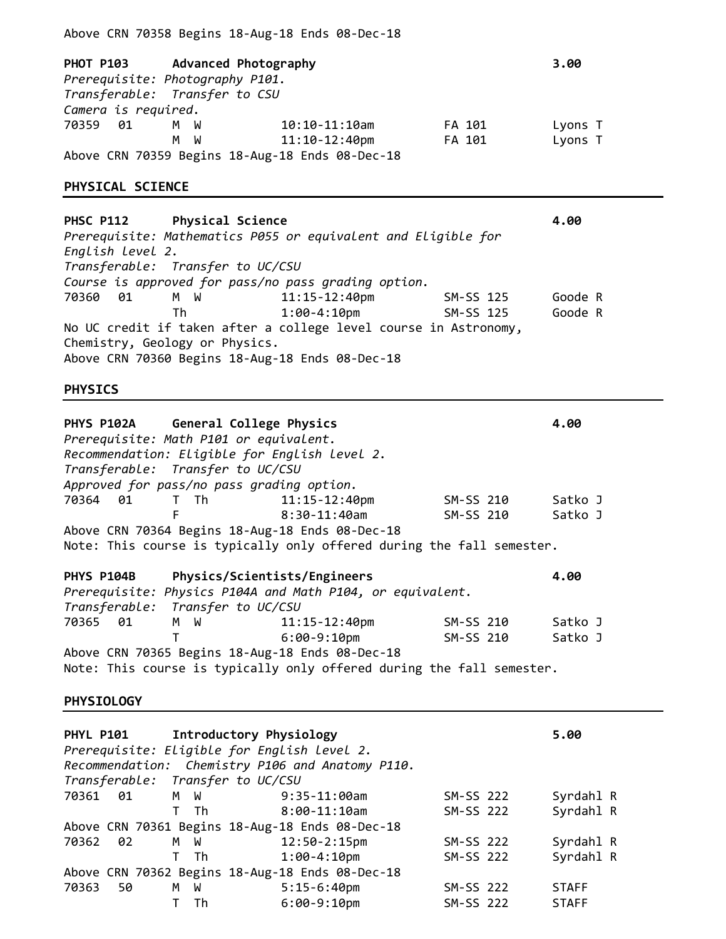| Camera is required.                  | PHOT P103 Advanced Photography<br>Prerequisite: Photography P101.<br>Transferable: Transfer to CSU |                                                                                                                     |           | 3.00    |
|--------------------------------------|----------------------------------------------------------------------------------------------------|---------------------------------------------------------------------------------------------------------------------|-----------|---------|
| 70359<br>01                          | M W<br>м<br>- M                                                                                    | $10:10-11:10$ am                                                                                                    | FA 101    | Lyons T |
|                                      |                                                                                                    | $11:10-12:40$ pm<br>Above CRN 70359 Begins 18-Aug-18 Ends 08-Dec-18                                                 | FA 101    | Lyons T |
| PHYSICAL SCIENCE                     |                                                                                                    |                                                                                                                     |           |         |
| <b>PHSC P112</b><br>English Level 2. | <b>Physical Science</b><br>Transferable: Transfer to UC/CSU                                        | Prerequisite: Mathematics P055 or equivalent and Eligible for                                                       |           | 4.00    |
|                                      |                                                                                                    | Course is approved for pass/no pass grading option.                                                                 |           |         |
| 70360<br>01                          | M W                                                                                                | $11:15 - 12:40$ pm                                                                                                  | SM-SS 125 | Goode R |
|                                      | Th                                                                                                 | $1:00 - 4:10$ pm                                                                                                    | SM-SS 125 | Goode R |
|                                      | Chemistry, Geology or Physics.                                                                     | No UC credit if taken after a college level course in Astronomy,<br>Above CRN 70360 Begins 18-Aug-18 Ends 08-Dec-18 |           |         |
|                                      |                                                                                                    |                                                                                                                     |           |         |
| <b>PHYSICS</b>                       |                                                                                                    |                                                                                                                     |           |         |
| PHYS P102A                           | General College Physics                                                                            |                                                                                                                     |           | 4.00    |
|                                      | Prerequisite: Math P101 or equivalent.                                                             |                                                                                                                     |           |         |
|                                      | Recommendation: Eligible for English level 2.                                                      |                                                                                                                     |           |         |
|                                      | Transferable: Transfer to UC/CSU                                                                   |                                                                                                                     |           |         |
| 70364 01                             | Approved for pass/no pass grading option.<br>T Th                                                  | $11:15 - 12:40$ pm                                                                                                  | SM-SS 210 | Satko J |
|                                      | F                                                                                                  | $8:30-11:40$ am                                                                                                     | SM-SS 210 | Satko J |
|                                      |                                                                                                    | Above CRN 70364 Begins 18-Aug-18 Ends 08-Dec-18                                                                     |           |         |
|                                      |                                                                                                    | Note: This course is typically only offered during the fall semester.                                               |           |         |
| PHYS P104B                           | Physics/Scientists/Engineers                                                                       |                                                                                                                     |           | 4.00    |
|                                      |                                                                                                    | Prerequisite: Physics P104A and Math P104, or equivalent.                                                           |           |         |
| Transferable:<br>70365<br>01         | Transfer to UC/CSU<br>W<br>М                                                                       | $11:15 - 12:40$ pm                                                                                                  | SM-SS 210 | Satko J |
|                                      | т                                                                                                  | $6:00-9:10$ pm<br>Above CRN 70365 Begins 18-Aug-18 Ends 08-Dec-18                                                   | SM-SS 210 | Satko J |

Above CRN 70358 Begins 18-Aug-18 Ends 08-Dec-18

# **PHYSIOLOGY**

| PHYL P101 Introductory Physiology<br>Prerequisite: Eligible for English level 2.<br>Transferable: Transfer to UC/CSU |     |    | Recommendation: Chemistry P106 and Anatomy P110. |           | 5.00         |  |
|----------------------------------------------------------------------------------------------------------------------|-----|----|--------------------------------------------------|-----------|--------------|--|
| 70361 01                                                                                                             | M W |    | $9:35-11:00$ am                                  | SM-SS 222 | Syrdahl R    |  |
|                                                                                                                      |     | Th | 8:00-11:10am                                     | SM-SS 222 | Syrdahl R    |  |
|                                                                                                                      |     |    | Above CRN 70361 Begins 18-Aug-18 Ends 08-Dec-18  |           |              |  |
| 70362 02                                                                                                             | M W |    | $12:50-2:15p$ m                                  | SM-SS 222 | Syrdahl R    |  |
|                                                                                                                      |     | Th | $1:00 - 4:10$ pm                                 | SM-SS 222 | Syrdahl R    |  |
|                                                                                                                      |     |    | Above CRN 70362 Begins 18-Aug-18 Ends 08-Dec-18  |           |              |  |
| 70363<br>50                                                                                                          | M   | W  | $5:15-6:40$ pm                                   | SM-SS 222 | <b>STAFF</b> |  |
|                                                                                                                      |     | Th | $6:00-9:10$ pm                                   | SM-SS 222 | <b>STAFF</b> |  |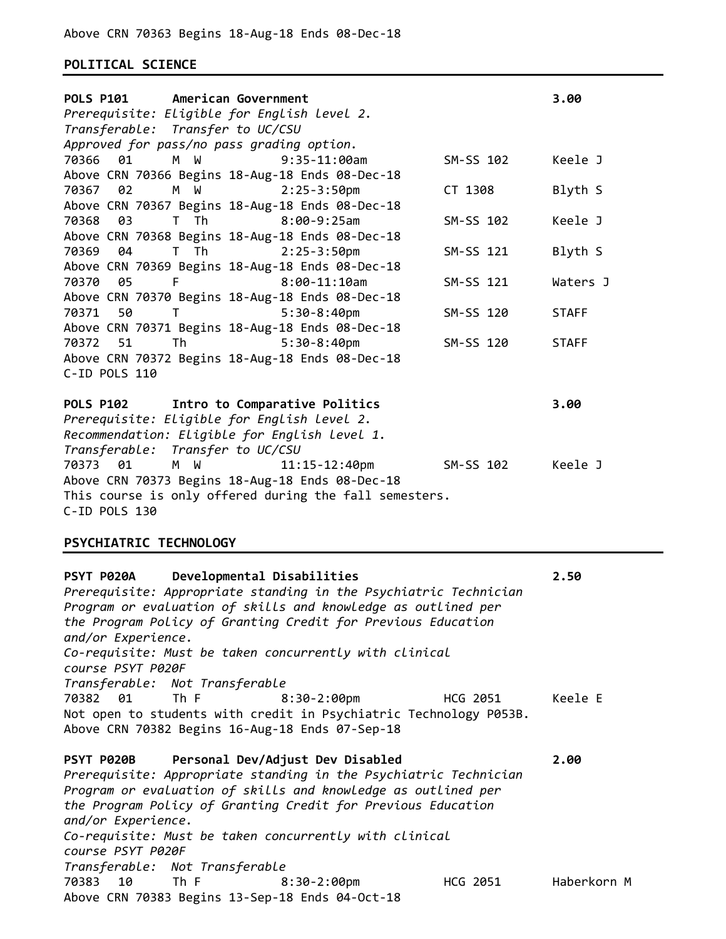## **POLITICAL SCIENCE**

| <b>POLS P101</b>       | American Government                       |                                                                                                           |           | 3.00         |
|------------------------|-------------------------------------------|-----------------------------------------------------------------------------------------------------------|-----------|--------------|
|                        |                                           | Prerequisite: Eligible for English level 2.                                                               |           |              |
|                        | Transferable: Transfer to UC/CSU          |                                                                                                           |           |              |
|                        | Approved for pass/no pass grading option. |                                                                                                           |           |              |
| 70366<br>01            | M W                                       | $9:35-11:00am$                                                                                            | SM-SS 102 | Keele J      |
| 02<br>70367            | M W                                       | Above CRN 70366 Begins 18-Aug-18 Ends 08-Dec-18<br>$2:25 - 3:50$ pm                                       | CT 1308   | Blyth S      |
|                        |                                           | Above CRN 70367 Begins 18-Aug-18 Ends 08-Dec-18                                                           |           |              |
| 70368<br>03            | T Th                                      | $8:00-9:25am$                                                                                             | SM-SS 102 | Keele J      |
|                        |                                           | Above CRN 70368 Begins 18-Aug-18 Ends 08-Dec-18                                                           |           |              |
| 70369<br>04            | T Th                                      | $2:25 - 3:50$ pm                                                                                          | SM-SS 121 | Blyth S      |
|                        |                                           | Above CRN 70369 Begins 18-Aug-18 Ends 08-Dec-18                                                           |           |              |
| 05<br>70370            | F <sub>a</sub>                            | $8:00-11:10am$                                                                                            | SM-SS 121 | Waters J     |
|                        |                                           | Above CRN 70370 Begins 18-Aug-18 Ends 08-Dec-18                                                           |           |              |
| 50<br>70371            | T                                         | $5:30-8:40$ pm                                                                                            | SM-SS 120 | <b>STAFF</b> |
| 70372 51               |                                           | Above CRN 70371 Begins 18-Aug-18 Ends 08-Dec-18<br>Th 5:30-8:40pm                                         | SM-SS 120 | <b>STAFF</b> |
|                        |                                           | Above CRN 70372 Begins 18-Aug-18 Ends 08-Dec-18                                                           |           |              |
| C-ID POLS 110          |                                           |                                                                                                           |           |              |
|                        |                                           |                                                                                                           |           |              |
| <b>POLS P102</b>       |                                           | Intro to Comparative Politics                                                                             |           | 3.00         |
|                        |                                           | Prerequisite: Eligible for English level 2.                                                               |           |              |
|                        |                                           | Recommendation: Eligible for English level 1.                                                             |           |              |
|                        | Transferable: Transfer to UC/CSU          |                                                                                                           |           |              |
| 70373<br>01            | M W                                       | 11:15-12:40pm                                                                                             | SM-SS 102 | Keele J      |
|                        |                                           | Above CRN 70373 Begins 18-Aug-18 Ends 08-Dec-18<br>This course is only offered during the fall semesters. |           |              |
| C-ID POLS 130          |                                           |                                                                                                           |           |              |
|                        |                                           |                                                                                                           |           |              |
| PSYCHIATRIC TECHNOLOGY |                                           |                                                                                                           |           |              |
|                        |                                           |                                                                                                           |           |              |
| PSYT P020A             |                                           | Developmental Disabilities                                                                                |           | 2.50         |
|                        |                                           | Prerequisite: Appropriate standing in the Psychiatric Technician                                          |           |              |
|                        |                                           | Program or evaluation of skills and knowledge as outlined per                                             |           |              |
| and/or Experience.     |                                           | the Program Policy of Granting Credit for Previous Education                                              |           |              |
|                        |                                           | Co-requisite: Must be taken concurrently with clinical                                                    |           |              |
| course PSYT P020F      |                                           |                                                                                                           |           |              |
|                        | Transferable: Not Transferable            |                                                                                                           |           |              |
| 70382 01               | Th F                                      | $8:30-2:00$ pm                                                                                            | HCG 2051  | Keele E      |
|                        |                                           | Not open to students with credit in Psychiatric Technology P053B.                                         |           |              |
|                        |                                           | Above CRN 70382 Begins 16-Aug-18 Ends 07-Sep-18                                                           |           |              |
|                        |                                           |                                                                                                           |           |              |
| PSYT P020B             |                                           | Personal Dev/Adjust Dev Disabled<br>Prerequisite: Appropriate standing in the Psychiatric Technician      |           | 2.00         |
|                        |                                           | Program or evaluation of skills and knowledge as outlined per                                             |           |              |
|                        |                                           | the Program Policy of Granting Credit for Previous Education                                              |           |              |
| and/or Experience.     |                                           |                                                                                                           |           |              |
|                        |                                           | Co-requisite: Must be taken concurrently with clinical                                                    |           |              |
| course PSYT P020F      |                                           |                                                                                                           |           |              |
|                        | Transferable: Not Transferable            |                                                                                                           |           |              |
| 10<br>70383            | Th F                                      | 8:30-2:00pm                                                                                               | HCG 2051  | Haberkorn M  |

Above CRN 70383 Begins 13-Sep-18 Ends 04-Oct-18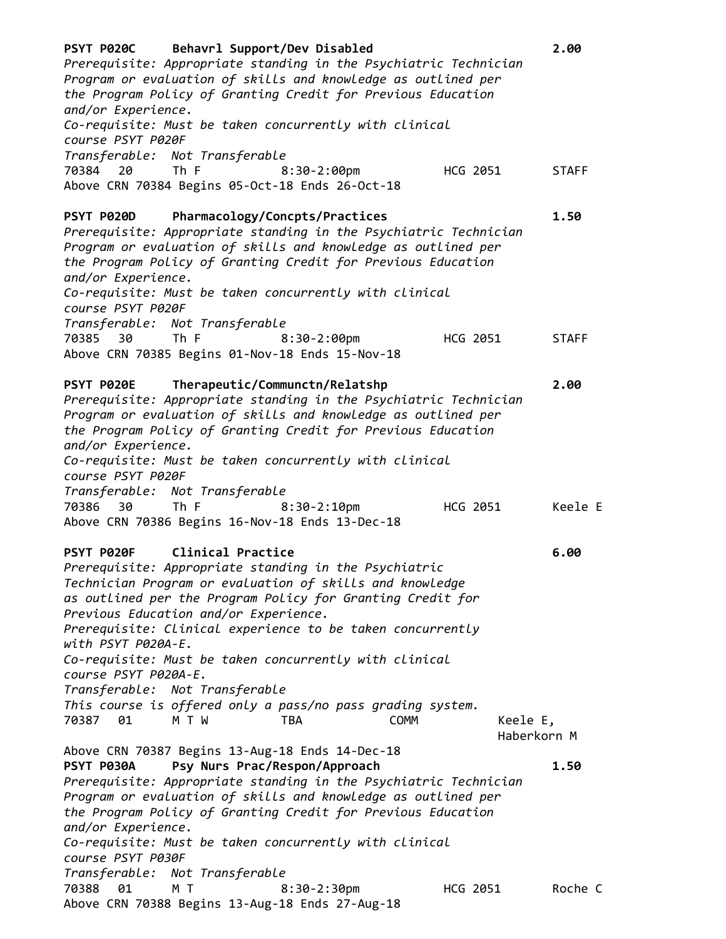| PSYT P020C Behavrl Support/Dev Disabled<br>Prerequisite: Appropriate standing in the Psychiatric Technician<br>Program or evaluation of skills and knowledge as outlined per<br>the Program Policy of Granting Credit for Previous Education<br>and/or Experience.                                                                                                                                                                                                                                                                                                                                                                                                                                                                                                                                                                                                                                                                                                                                     |          | 2.00                        |
|--------------------------------------------------------------------------------------------------------------------------------------------------------------------------------------------------------------------------------------------------------------------------------------------------------------------------------------------------------------------------------------------------------------------------------------------------------------------------------------------------------------------------------------------------------------------------------------------------------------------------------------------------------------------------------------------------------------------------------------------------------------------------------------------------------------------------------------------------------------------------------------------------------------------------------------------------------------------------------------------------------|----------|-----------------------------|
| Co-requisite: Must be taken concurrently with clinical<br>course PSYT P020F                                                                                                                                                                                                                                                                                                                                                                                                                                                                                                                                                                                                                                                                                                                                                                                                                                                                                                                            |          |                             |
| Transferable: Not Transferable<br>The Figures of the Second State and the Second State and Second State and Second State and Second State and State and Second State and Second State and Second State and Second State and Second State and Second State and St<br>70384<br>20<br>$8:30-2:00$ pm<br>Above CRN 70384 Begins 05-Oct-18 Ends 26-Oct-18                                                                                                                                                                                                                                                                                                                                                                                                                                                                                                                                                                                                                                                   | HCG 2051 | <b>STAFF</b>                |
| PSYT P020D<br>Pharmacology/Concpts/Practices<br>Prerequisite: Appropriate standing in the Psychiatric Technician<br>Program or evaluation of skills and knowledge as outlined per<br>the Program Policy of Granting Credit for Previous Education<br>and/or Experience.<br>Co-requisite: Must be taken concurrently with clinical<br>course PSYT P020F                                                                                                                                                                                                                                                                                                                                                                                                                                                                                                                                                                                                                                                 |          | 1.50                        |
| Transferable: Not Transferable<br>The Figures of the Theory of the Paris of the Paris of the Paris of the Paris of the Paris of the Paris of the<br>70385 30<br>$8:30-2:00$ pm<br>Above CRN 70385 Begins 01-Nov-18 Ends 15-Nov-18                                                                                                                                                                                                                                                                                                                                                                                                                                                                                                                                                                                                                                                                                                                                                                      | HCG 2051 | <b>STAFF</b>                |
| PSYT P020E<br>Therapeutic/Communctn/Relatshp<br>Prerequisite: Appropriate standing in the Psychiatric Technician<br>Program or evaluation of skills and knowledge as outlined per<br>the Program Policy of Granting Credit for Previous Education<br>and/or Experience.<br>Co-requisite: Must be taken concurrently with clinical<br>course PSYT P020F                                                                                                                                                                                                                                                                                                                                                                                                                                                                                                                                                                                                                                                 |          | 2.00                        |
| Transferable: Not Transferable<br>The Figures of the Theory of the Theory of the Theory of the Theory of the Theory of the Theory of the Theory<br>70386 30<br>$8:30-2:10$ pm<br>Above CRN 70386 Begins 16-Nov-18 Ends 13-Dec-18                                                                                                                                                                                                                                                                                                                                                                                                                                                                                                                                                                                                                                                                                                                                                                       | HCG 2051 | Keele E                     |
| Clinical Practice<br><b>PSYT P020F</b><br>Prerequisite: Appropriate standing in the Psychiatric<br>Technician Program or evaluation of skills and knowledge<br>as outlined per the Program Policy for Granting Credit for<br>Previous Education and/or Experience.<br>Prerequisite: Clinical experience to be taken concurrently<br>with PSYT P020A-E.<br>Co-requisite: Must be taken concurrently with clinical<br>course PSYT P020A-E.<br>Transferable: Not Transferable<br>This course is offered only a pass/no pass grading system.<br>70387 01<br>M T W<br><b>COMM</b><br><b>TBA</b><br>Above CRN 70387 Begins 13-Aug-18 Ends 14-Dec-18<br>Psy Nurs Prac/Respon/Approach<br>PSYT P030A<br>Prerequisite: Appropriate standing in the Psychiatric Technician<br>Program or evaluation of skills and knowledge as outlined per<br>the Program Policy of Granting Credit for Previous Education<br>and/or Experience.<br>Co-requisite: Must be taken concurrently with clinical<br>course PSYT P030F | Keele E, | 6.00<br>Haberkorn M<br>1.50 |
| Transferable: Not Transferable<br>70388<br>01<br>M T<br>$8:30-2:30$ pm<br>Above CRN 70388 Begins 13-Aug-18 Ends 27-Aug-18                                                                                                                                                                                                                                                                                                                                                                                                                                                                                                                                                                                                                                                                                                                                                                                                                                                                              | HCG 2051 | Roche C                     |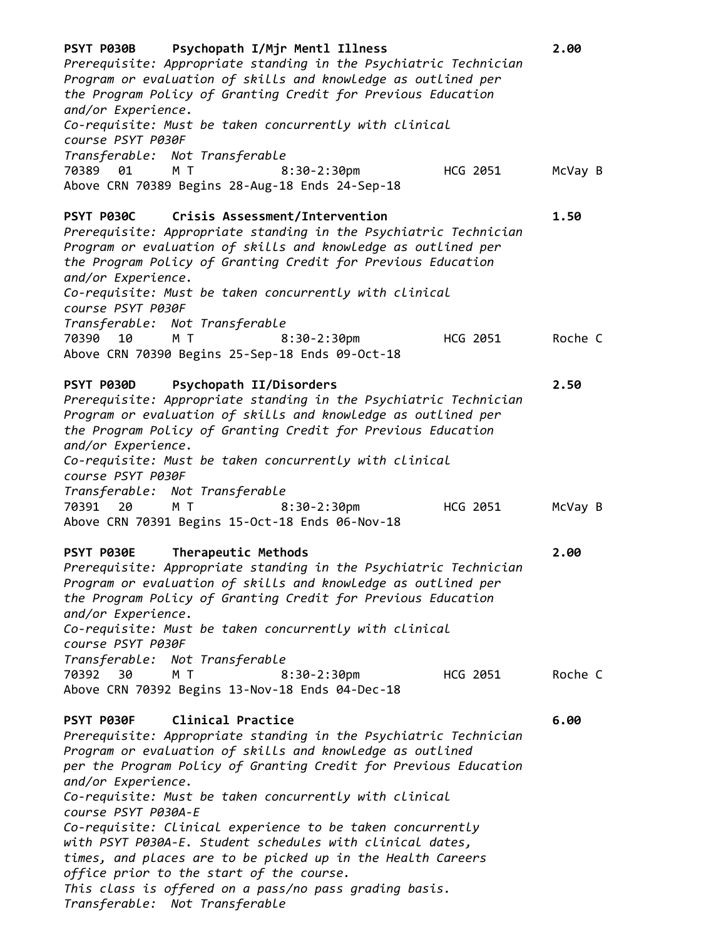| course PSYT P030F<br>Transferable: Not Transferable<br>M T<br>70389 01<br>$8:30-2:30$ pm<br>HCG 2051<br>Above CRN 70389 Begins 28-Aug-18 Ends 24-Sep-18<br>PSYT P030C<br><b>Crisis Assessment/Intervention</b><br>1.50<br>Prerequisite: Appropriate standing in the Psychiatric Technician<br>Program or evaluation of skills and knowledge as outlined per<br>the Program Policy of Granting Credit for Previous Education<br>and/or Experience.<br>Co-requisite: Must be taken concurrently with clinical<br>course PSYT P030F<br>Transferable: Not Transferable<br>M T<br>70390 10<br>$8:30-2:30$ pm<br>HCG 2051<br>Above CRN 70390 Begins 25-Sep-18 Ends 09-Oct-18<br>Psychopath II/Disorders<br>PSYT P030D<br>2.50<br>Prerequisite: Appropriate standing in the Psychiatric Technician<br>Program or evaluation of skills and knowledge as outlined per<br>the Program Policy of Granting Credit for Previous Education<br>and/or Experience.<br>Co-requisite: Must be taken concurrently with clinical<br>course PSYT P030F<br>Transferable: Not Transferable<br>70391<br>20<br>M T<br>$8:30-2:30$ pm<br>HCG 2051<br>Above CRN 70391 Begins 15-Oct-18 Ends 06-Nov-18<br>Therapeutic Methods<br>PSYT P030E<br>2.00<br>Prerequisite: Appropriate standing in the Psychiatric Technician<br>Program or evaluation of skills and knowledge as outlined per<br>the Program Policy of Granting Credit for Previous Education<br>and/or Experience.<br>Co-requisite: Must be taken concurrently with clinical<br>course PSYT P030F<br>Transferable: Not Transferable<br>70392 30<br>M T<br>HCG 2051<br>$8:30-2:30$ pm<br>Above CRN 70392 Begins 13-Nov-18 Ends 04-Dec-18<br>PSYT P030F<br>Clinical Practice<br>6.00<br>Prerequisite: Appropriate standing in the Psychiatric Technician<br>Program or evaluation of skills and knowledge as outlined<br>per the Program Policy of Granting Credit for Previous Education<br>and/or Experience.<br>Co-requisite: Must be taken concurrently with clinical<br>course PSYT P030A-E<br>Co-requisite: Clinical experience to be taken concurrently<br>with PSYT P030A-E. Student schedules with clinical dates, | PSYT P030B Psychopath I/Mjr Mentl Illness<br>2.00<br>Prerequisite: Appropriate standing in the Psychiatric Technician<br>Program or evaluation of skills and knowledge as outlined per<br>the Program Policy of Granting Credit for Previous Education<br>Co-requisite: Must be taken concurrently with clinical |
|-----------------------------------------------------------------------------------------------------------------------------------------------------------------------------------------------------------------------------------------------------------------------------------------------------------------------------------------------------------------------------------------------------------------------------------------------------------------------------------------------------------------------------------------------------------------------------------------------------------------------------------------------------------------------------------------------------------------------------------------------------------------------------------------------------------------------------------------------------------------------------------------------------------------------------------------------------------------------------------------------------------------------------------------------------------------------------------------------------------------------------------------------------------------------------------------------------------------------------------------------------------------------------------------------------------------------------------------------------------------------------------------------------------------------------------------------------------------------------------------------------------------------------------------------------------------------------------------------------------------------------------------------------------------------------------------------------------------------------------------------------------------------------------------------------------------------------------------------------------------------------------------------------------------------------------------------------------------------------------------------------------------------------------------------------------------------------------------------------------------------------------------------------------|------------------------------------------------------------------------------------------------------------------------------------------------------------------------------------------------------------------------------------------------------------------------------------------------------------------|
|                                                                                                                                                                                                                                                                                                                                                                                                                                                                                                                                                                                                                                                                                                                                                                                                                                                                                                                                                                                                                                                                                                                                                                                                                                                                                                                                                                                                                                                                                                                                                                                                                                                                                                                                                                                                                                                                                                                                                                                                                                                                                                                                                           | McVay B                                                                                                                                                                                                                                                                                                          |
|                                                                                                                                                                                                                                                                                                                                                                                                                                                                                                                                                                                                                                                                                                                                                                                                                                                                                                                                                                                                                                                                                                                                                                                                                                                                                                                                                                                                                                                                                                                                                                                                                                                                                                                                                                                                                                                                                                                                                                                                                                                                                                                                                           |                                                                                                                                                                                                                                                                                                                  |
|                                                                                                                                                                                                                                                                                                                                                                                                                                                                                                                                                                                                                                                                                                                                                                                                                                                                                                                                                                                                                                                                                                                                                                                                                                                                                                                                                                                                                                                                                                                                                                                                                                                                                                                                                                                                                                                                                                                                                                                                                                                                                                                                                           | Roche C                                                                                                                                                                                                                                                                                                          |
|                                                                                                                                                                                                                                                                                                                                                                                                                                                                                                                                                                                                                                                                                                                                                                                                                                                                                                                                                                                                                                                                                                                                                                                                                                                                                                                                                                                                                                                                                                                                                                                                                                                                                                                                                                                                                                                                                                                                                                                                                                                                                                                                                           |                                                                                                                                                                                                                                                                                                                  |
|                                                                                                                                                                                                                                                                                                                                                                                                                                                                                                                                                                                                                                                                                                                                                                                                                                                                                                                                                                                                                                                                                                                                                                                                                                                                                                                                                                                                                                                                                                                                                                                                                                                                                                                                                                                                                                                                                                                                                                                                                                                                                                                                                           | McVay B                                                                                                                                                                                                                                                                                                          |
|                                                                                                                                                                                                                                                                                                                                                                                                                                                                                                                                                                                                                                                                                                                                                                                                                                                                                                                                                                                                                                                                                                                                                                                                                                                                                                                                                                                                                                                                                                                                                                                                                                                                                                                                                                                                                                                                                                                                                                                                                                                                                                                                                           |                                                                                                                                                                                                                                                                                                                  |
|                                                                                                                                                                                                                                                                                                                                                                                                                                                                                                                                                                                                                                                                                                                                                                                                                                                                                                                                                                                                                                                                                                                                                                                                                                                                                                                                                                                                                                                                                                                                                                                                                                                                                                                                                                                                                                                                                                                                                                                                                                                                                                                                                           | Roche C                                                                                                                                                                                                                                                                                                          |
| times, and places are to be picked up in the Health Careers<br>office prior to the start of the course.<br>This class is offered on a pass/no pass grading basis.                                                                                                                                                                                                                                                                                                                                                                                                                                                                                                                                                                                                                                                                                                                                                                                                                                                                                                                                                                                                                                                                                                                                                                                                                                                                                                                                                                                                                                                                                                                                                                                                                                                                                                                                                                                                                                                                                                                                                                                         |                                                                                                                                                                                                                                                                                                                  |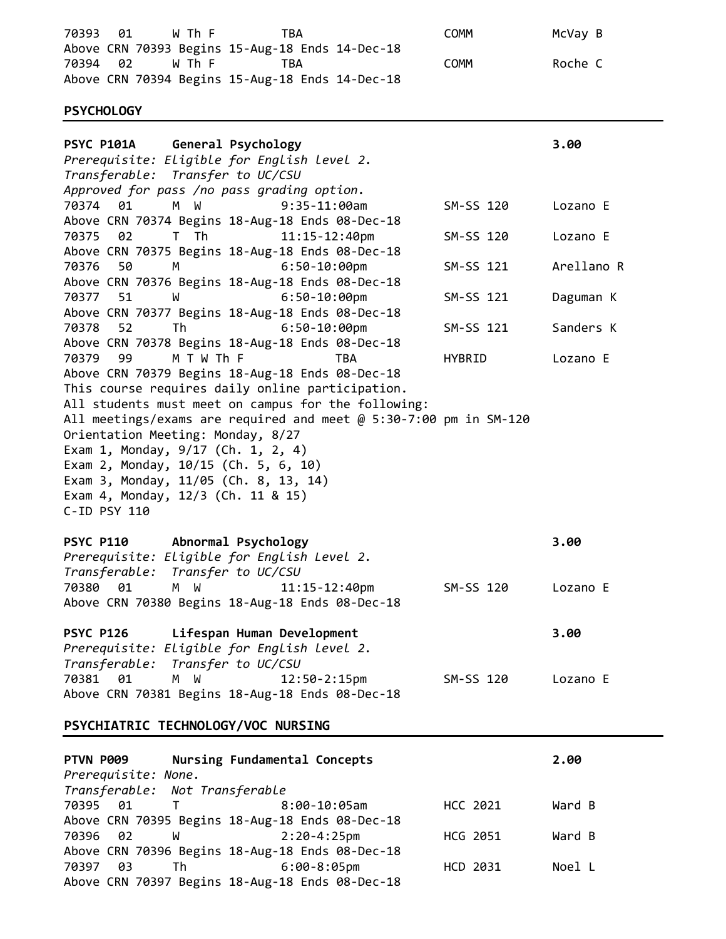70393 01 W Th F TBA COMM COMM McVay B Above CRN 70393 Begins 15-Aug-18 Ends 14-Dec-18 70394 02 W Th F TBA COMM COMM Roche C Above CRN 70394 Begins 15-Aug-18 Ends 14-Dec-18

## **PSYCHOLOGY**

| General Psychology<br><b>PSYC P101A</b>                           |               | 3.00       |
|-------------------------------------------------------------------|---------------|------------|
| Prerequisite: Eligible for English level 2.                       |               |            |
| Transferable: Transfer to UC/CSU                                  |               |            |
| Approved for pass /no pass grading option.                        |               |            |
| 70374<br>M W<br>$9:35-11:00am$<br>01                              | SM-SS 120     | Lozano E   |
| Above CRN 70374 Begins 18-Aug-18 Ends 08-Dec-18                   |               |            |
| 70375<br>02<br>T Th<br>11:15-12:40pm                              | SM-SS 120     | Lozano E   |
| Above CRN 70375 Begins 18-Aug-18 Ends 08-Dec-18                   |               |            |
| 70376<br>50<br>$6:50 - 10:00$ pm<br>м                             | SM-SS 121     | Arellano R |
| Above CRN 70376 Begins 18-Aug-18 Ends 08-Dec-18                   |               |            |
| $6:50-10:00$ pm<br>70377<br>51<br>W                               | SM-SS 121     | Daguman K  |
| Above CRN 70377 Begins 18-Aug-18 Ends 08-Dec-18                   |               |            |
| $6:50-10:00$ pm<br>70378<br>52<br>Th                              | SM-SS 121     | Sanders K  |
| Above CRN 70378 Begins 18-Aug-18 Ends 08-Dec-18                   |               |            |
| 70379<br>99<br>M T W Th F<br><b>TBA</b>                           | <b>HYBRID</b> | Lozano E   |
| Above CRN 70379 Begins 18-Aug-18 Ends 08-Dec-18                   |               |            |
| This course requires daily online participation.                  |               |            |
| All students must meet on campus for the following:               |               |            |
| All meetings/exams are required and meet @ 5:30-7:00 pm in SM-120 |               |            |
| Orientation Meeting: Monday, 8/27                                 |               |            |
| Exam 1, Monday, 9/17 (Ch. 1, 2, 4)                                |               |            |
| Exam 2, Monday, 10/15 (Ch. 5, 6, 10)                              |               |            |
| Exam 3, Monday, 11/05 (Ch. 8, 13, 14)                             |               |            |
| Exam 4, Monday, 12/3 (Ch. 11 & 15)                                |               |            |
| C-ID PSY 110                                                      |               |            |
|                                                                   |               |            |
| Abnormal Psychology<br><b>PSYC P110</b>                           |               | 3.00       |
| Prerequisite: Eligible for English Level 2.                       |               |            |
| Transferable: Transfer to UC/CSU                                  |               |            |
| 70380<br>01<br>M W<br>$11:15 - 12:40$ pm                          | SM-SS 120     | Lozano E   |
| Above CRN 70380 Begins 18-Aug-18 Ends 08-Dec-18                   |               |            |
|                                                                   |               |            |
| <b>PSYC P126</b><br>Lifespan Human Development                    |               | 3.00       |
| Prerequisite: Eligible for English level 2.                       |               |            |
| Transfer to UC/CSU<br>Transferable:                               |               |            |
| 70381<br>01<br>M<br>W<br>$12:50 - 2:15$ pm                        | SM-SS 120     | Lozano E   |
| Above CRN 70381 Begins 18-Aug-18 Ends 08-Dec-18                   |               |            |
|                                                                   |               |            |

# **PSYCHIATRIC TECHNOLOGY/VOC NURSING**

| PTVN P009 |    |                                | Nursing Fundamental Concepts                    |          | 2.00   |
|-----------|----|--------------------------------|-------------------------------------------------|----------|--------|
|           |    | Prerequisite: None.            |                                                 |          |        |
|           |    | Transferable: Not Transferable |                                                 |          |        |
| 70395 01  |    | $\mathbf{T}$                   | 8:00-10:05am                                    | HCC 2021 | Ward B |
|           |    |                                | Above CRN 70395 Begins 18-Aug-18 Ends 08-Dec-18 |          |        |
| 70396 02  |    | <b>M</b>                       | 2:20-4:25pm                                     | HCG 2051 | Ward B |
|           |    |                                | Above CRN 70396 Begins 18-Aug-18 Ends 08-Dec-18 |          |        |
| 70397     | 03 | Th <sub>1</sub>                | 6:00-8:05pm                                     | HCD 2031 | Noel L |
|           |    |                                | Above CRN 70397 Begins 18-Aug-18 Ends 08-Dec-18 |          |        |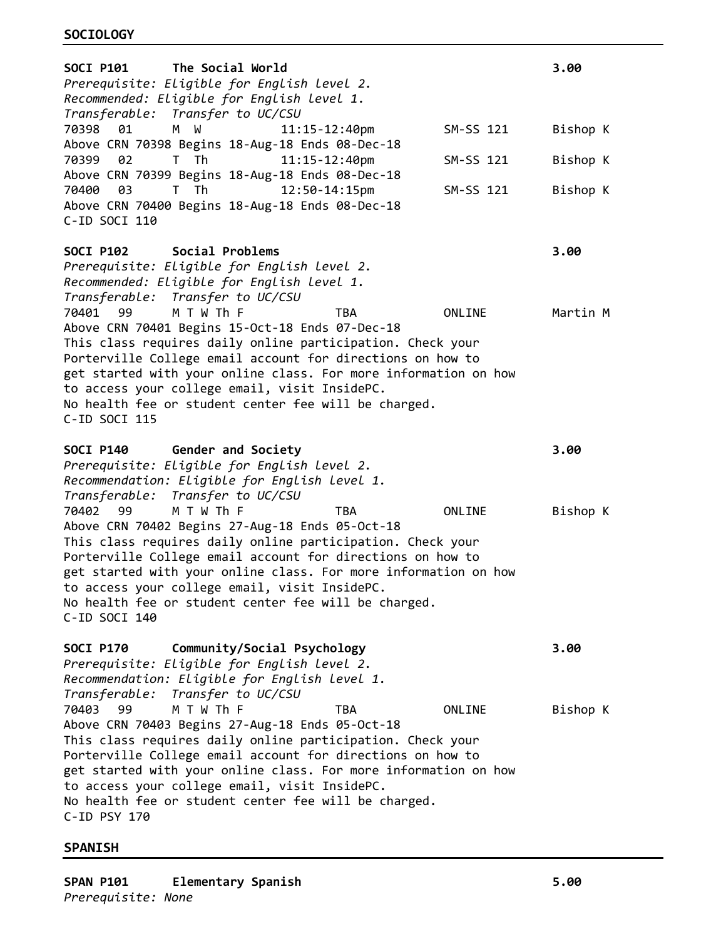| <b>SOCI P101</b><br>The Social World<br>Prerequisite: Eligible for English level 2.<br>Recommended: Eligible for English level 1.                                                                                                                                                                                                                                                                                   |           | 3.00     |
|---------------------------------------------------------------------------------------------------------------------------------------------------------------------------------------------------------------------------------------------------------------------------------------------------------------------------------------------------------------------------------------------------------------------|-----------|----------|
| Transferable: Transfer to UC/CSU<br>M W<br>70398<br>01<br>11:15-12:40pm<br>Above CRN 70398 Begins 18-Aug-18 Ends 08-Dec-18                                                                                                                                                                                                                                                                                          | SM-SS 121 | Bishop K |
| T Th<br>70399<br>02<br>$11:15 - 12:40$ pm<br>Above CRN 70399 Begins 18-Aug-18 Ends 08-Dec-18                                                                                                                                                                                                                                                                                                                        | SM-SS 121 | Bishop K |
| T Th<br>12:50-14:15pm<br>70400<br>03<br>Above CRN 70400 Begins 18-Aug-18 Ends 08-Dec-18<br>C-ID SOCI 110                                                                                                                                                                                                                                                                                                            | SM-SS 121 | Bishop K |
| Social Problems<br><b>SOCI P102</b><br>Prerequisite: Eligible for English level 2.<br>Recommended: Eligible for English level 1.<br>Transferable: Transfer to UC/CSU                                                                                                                                                                                                                                                |           | 3.00     |
| 70401<br>M T W Th F<br><b>TBA</b><br>99<br>Above CRN 70401 Begins 15-Oct-18 Ends 07-Dec-18<br>This class requires daily online participation. Check your<br>Porterville College email account for directions on how to<br>get started with your online class. For more information on how<br>to access your college email, visit InsidePC.<br>No health fee or student center fee will be charged.<br>C-ID SOCI 115 | ONLINE    | Martin M |
| SOCI P140 Gender and Society<br>Prerequisite: Eligible for English level 2.<br>Recommendation: Eligible for English level 1.<br>Transfer to UC/CSU<br>Transferable:                                                                                                                                                                                                                                                 |           | 3.00     |
| 70402<br>M T W Th F<br><b>TBA</b><br>99<br>Above CRN 70402 Begins 27-Aug-18 Ends 05-Oct-18<br>This class requires daily online participation. Check your                                                                                                                                                                                                                                                            | ONLINE    | Bishop K |
| Porterville College email account for directions on how to<br>get started with your online class. For more information on how<br>to access your college email, visit InsidePC.<br>No health fee or student center fee will be charged.<br>C-ID SOCI 140                                                                                                                                                             |           |          |
| <b>SOCI P170</b><br>Community/Social Psychology<br>Prerequisite: Eligible for English level 2.<br>Recommendation: Eligible for English level 1.<br>Transferable: Transfer to UC/CSU                                                                                                                                                                                                                                 |           | 3.00     |

# **SPANISH**

**SPAN P101 Elementary Spanish 5.00** *Prerequisite: None*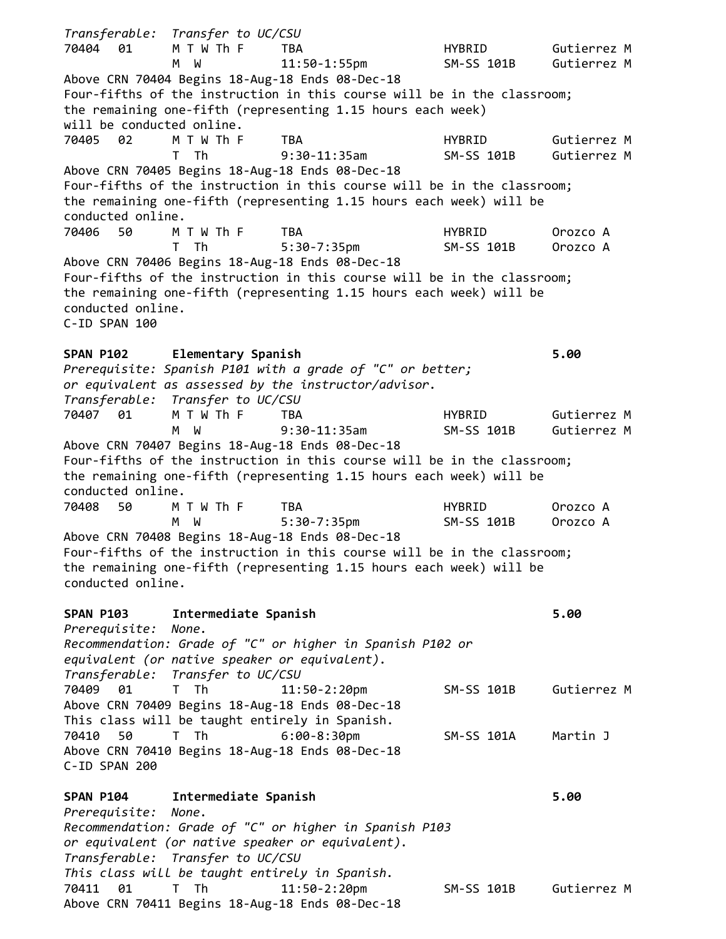*Transferable: Transfer to UC/CSU* 70404 01 M T W Th F TBA HYBRID Gutierrez M M W 11:50-1:55pm SM-SS 101B Gutierrez M Above CRN 70404 Begins 18-Aug-18 Ends 08-Dec-18 Four-fifths of the instruction in this course will be in the classroom; the remaining one-fifth (representing 1.15 hours each week) will be conducted online. 70405 02 M T W Th F TBA HYBRID Gutierrez M T Th 9:30-11:35am SM-SS 101B Gutierrez M Above CRN 70405 Begins 18-Aug-18 Ends 08-Dec-18 Four-fifths of the instruction in this course will be in the classroom; the remaining one-fifth (representing 1.15 hours each week) will be conducted online. 70406 50 M T W Th F TBA HYBRID Orozco A T Th 5:30-7:35pm SM-SS 101B Orozco A Above CRN 70406 Begins 18-Aug-18 Ends 08-Dec-18 Four-fifths of the instruction in this course will be in the classroom; the remaining one-fifth (representing 1.15 hours each week) will be conducted online.  $C$ -TD SPAN 100 **SPAN P102 Elementary Spanish 5.00** *Prerequisite: Spanish P101 with a grade of "C" or better; or equivalent as assessed by the instructor/advisor. Transferable: Transfer to UC/CSU* 70407 01 M T W Th F TBA HYBRID Gutierrez M M W 9:30-11:35am SM-SS 101B Gutierrez M Above CRN 70407 Begins 18-Aug-18 Ends 08-Dec-18 Four-fifths of the instruction in this course will be in the classroom; the remaining one-fifth (representing 1.15 hours each week) will be conducted online. 70408 50 M T W Th F TBA HYBRID Orozco A M W 5:30-7:35pm SM-SS 101B Orozco A Above CRN 70408 Begins 18-Aug-18 Ends 08-Dec-18 Four-fifths of the instruction in this course will be in the classroom; the remaining one-fifth (representing 1.15 hours each week) will be conducted online. **SPAN P103 Intermediate Spanish 5.00** *Prerequisite: None. Recommendation: Grade of "C" or higher in Spanish P102 or equivalent (or native speaker or equivalent). Transferable: Transfer to UC/CSU* 70409 01 T Th 11:50-2:20pm SM-SS 101B Gutierrez M Above CRN 70409 Begins 18-Aug-18 Ends 08-Dec-18 This class will be taught entirely in Spanish. 70410 50 T Th 6:00-8:30pm SM-SS 101A Martin J Above CRN 70410 Begins 18-Aug-18 Ends 08-Dec-18 C-ID SPAN 200 **SPAN P104 Intermediate Spanish 5.00** *Prerequisite: None. Recommendation: Grade of "C" or higher in Spanish P103 or equivalent (or native speaker or equivalent). Transferable: Transfer to UC/CSU This class will be taught entirely in Spanish.* 70411 01 T Th 11:50-2:20pm SM-SS 101B Gutierrez M Above CRN 70411 Begins 18-Aug-18 Ends 08-Dec-18